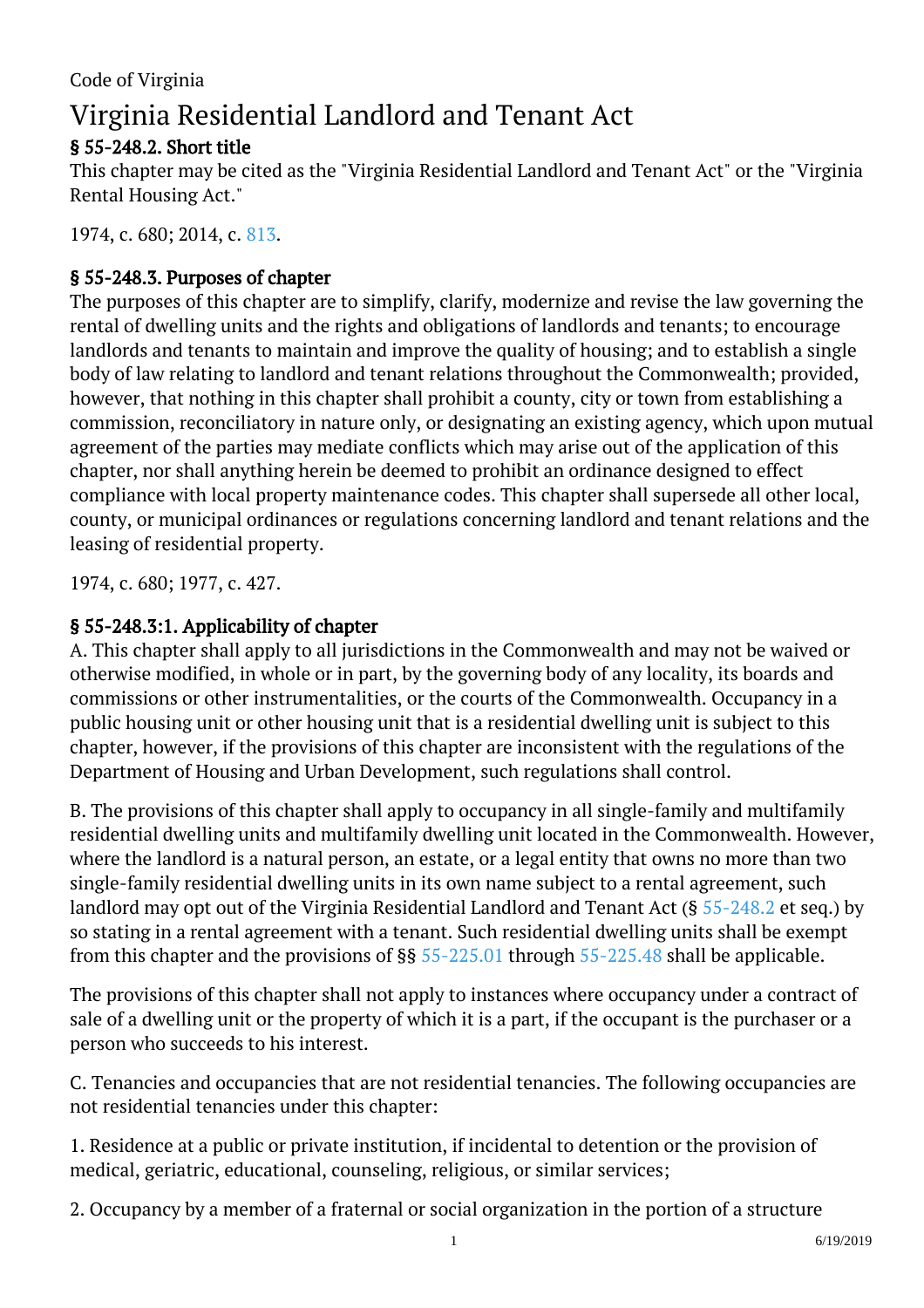# Virginia Residential Landlord and Tenant Act

# § 55-248.2. Short title

This chapter may be cited as the "Virginia Residential Landlord and Tenant Act" or the "Virginia Rental Housing Act."

1974, c. 680; 2014, c. [813.](http://lis.virginia.gov/cgi-bin/legp604.exe?141+ful+CHAP0813)

#### § 55-248.3. Purposes of chapter

The purposes of this chapter are to simplify, clarify, modernize and revise the law governing the rental of dwelling units and the rights and obligations of landlords and tenants; to encourage landlords and tenants to maintain and improve the quality of housing; and to establish a single body of law relating to landlord and tenant relations throughout the Commonwealth; provided, however, that nothing in this chapter shall prohibit a county, city or town from establishing a commission, reconciliatory in nature only, or designating an existing agency, which upon mutual agreement of the parties may mediate conflicts which may arise out of the application of this chapter, nor shall anything herein be deemed to prohibit an ordinance designed to effect compliance with local property maintenance codes. This chapter shall supersede all other local, county, or municipal ordinances or regulations concerning landlord and tenant relations and the leasing of residential property.

1974, c. 680; 1977, c. 427.

#### § 55-248.3:1. Applicability of chapter

A. This chapter shall apply to all jurisdictions in the Commonwealth and may not be waived or otherwise modified, in whole or in part, by the governing body of any locality, its boards and commissions or other instrumentalities, or the courts of the Commonwealth. Occupancy in a public housing unit or other housing unit that is a residential dwelling unit is subject to this chapter, however, if the provisions of this chapter are inconsistent with the regulations of the Department of Housing and Urban Development, such regulations shall control.

B. The provisions of this chapter shall apply to occupancy in all single-family and multifamily residential dwelling units and multifamily dwelling unit located in the Commonwealth. However, where the landlord is a natural person, an estate, or a legal entity that owns no more than two single-family residential dwelling units in its own name subject to a rental agreement, such landlord may opt out of the Virginia Residential Landlord and Tenant Act (§ [55-248.2](/vacode/55-248.2/) et seq.) by so stating in a rental agreement with a tenant. Such residential dwelling units shall be exempt from this chapter and the provisions of  $\S$ § [55-225.01](/vacode/55-225.01/) through [55-225.48](/vacode/55-225.48/) shall be applicable.

The provisions of this chapter shall not apply to instances where occupancy under a contract of sale of a dwelling unit or the property of which it is a part, if the occupant is the purchaser or a person who succeeds to his interest. <sup>"</sup>

C. Tenancies and occupancies that are not residential tenancies. The following occupancies are not residential tenancies under this chapter:

1. Residence at a public or private institution, if incidental to detention or the provision of medical, geriatric, educational, counseling, religious, or similar services;

2. Occupancy by a member of a fraternal or social organization in the portion of a structure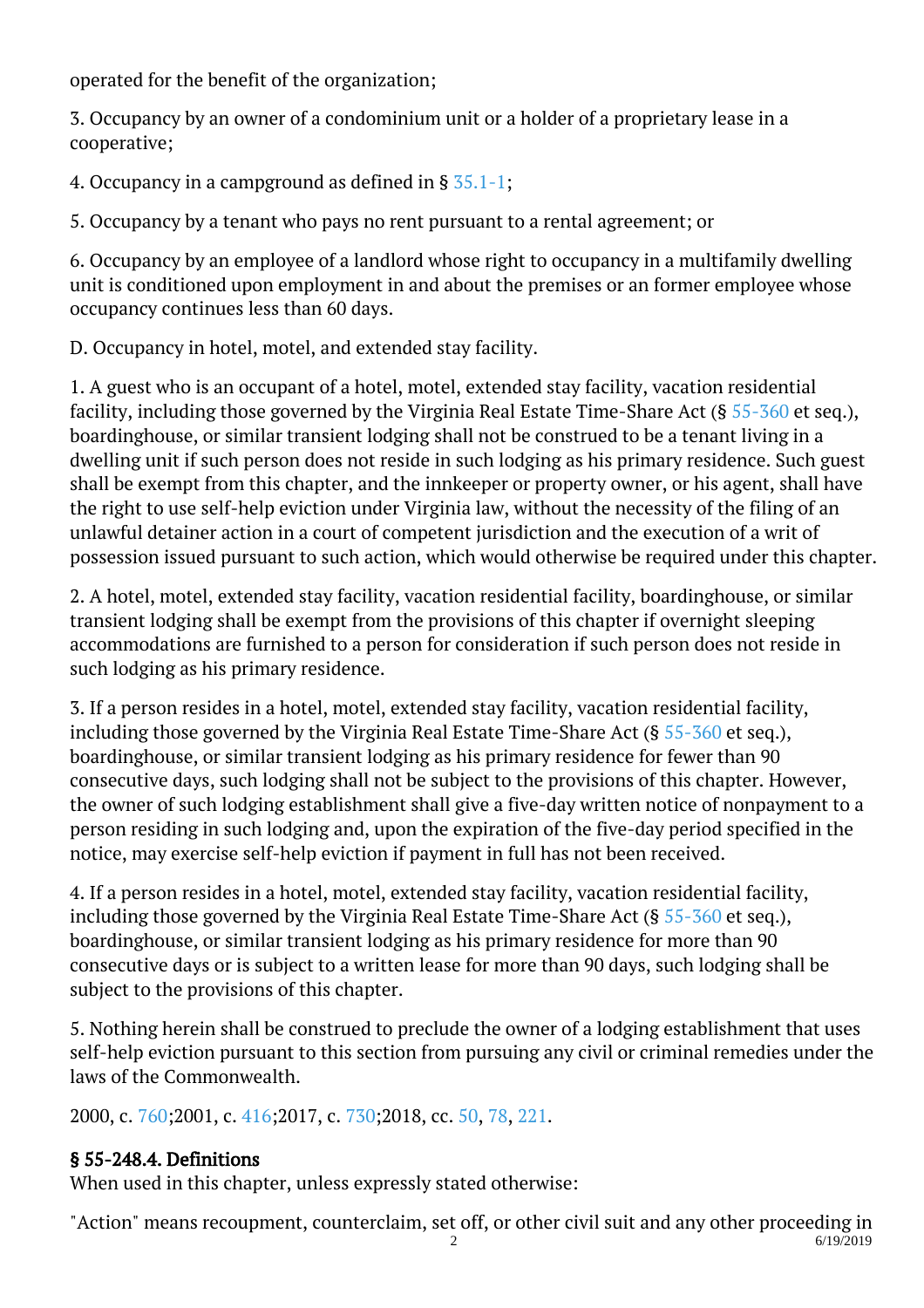operated for the benefit of the organization;

3. Occupancy by an owner of a condominium unit or a holder of a proprietary lease in a cooperative;

4. Occupancy in a campground as defined in § [35.1-1;](/vacode/35.1-1/)

5. Occupancy by a tenant who pays no rent pursuant to a rental agreement; or I

6. Occupancy by an employee of a landlord whose right to occupancy in a multifamily dwelling unit is conditioned upon employment in and about the premises or an former employee whose occupancy continues less than 60 days.

D. Occupancy in hotel, motel, and extended stay facility.

1. A guest who is an occupant of a hotel, motel, extended stay facility, vacation residential facility, including those governed by the Virginia Real Estate Time-Share Act (§ [55-360](/vacode/55-360/) et seq.), boardinghouse, or similar transient lodging shall not be construed to be a tenant living in a dwelling unit if such person does not reside in such lodging as his primary residence. Such guest shall be exempt from this chapter, and the innkeeper or property owner, or his agent, shall have the right to use self-help eviction under Virginia law, without the necessity of the filing of an unlawful detainer action in a court of competent jurisdiction and the execution of a writ of possession issued pursuant to such action, which would otherwise be required under this chapter. <sup>"</sup>

2. A hotel, motel, extended stay facility, vacation residential facility, boardinghouse, or similar transient lodging shall be exempt from the provisions of this chapter if overnight sleeping accommodations are furnished to a person for consideration if such person does not reside in such lodging as his primary residence. Ĩ

3. If a person resides in a hotel, motel, extended stay facility, vacation residential facility, including those governed by the Virginia Real Estate Time-Share Act (§ [55-360](/vacode/55-360/) et seq.), boardinghouse, or similar transient lodging as his primary residence for fewer than 90 consecutive days, such lodging shall not be subject to the provisions of this chapter. However, the owner of such lodging establishment shall give a five-day written notice of nonpayment to a person residing in such lodging and, upon the expiration of the five-day period specified in the notice, may exercise self-help eviction if payment in full has not been received.

4. If a person resides in a hotel, motel, extended stay facility, vacation residential facility, including those governed by the Virginia Real Estate Time-Share Act (§ [55-360](/vacode/55-360/) et seq.), boardinghouse, or similar transient lodging as his primary residence for more than 90 consecutive days or is subject to a written lease for more than 90 days, such lodging shall be subject to the provisions of this chapter. Ĩ

5. Nothing herein shall be construed to preclude the owner of a lodging establishment that uses self-help eviction pursuant to this section from pursuing any civil or criminal remedies under the laws of the Commonwealth.

2000, c. [760;2](http://lis.virginia.gov/cgi-bin/legp604.exe?001+ful+CHAP0760)001, c. [416;2](http://lis.virginia.gov/cgi-bin/legp604.exe?011+ful+CHAP0416)017, c. [730;2](http://lis.virginia.gov/cgi-bin/legp604.exe?171+ful+CHAP0730)018, cc. [50,](http://lis.virginia.gov/cgi-bin/legp604.exe?181+ful+CHAP0050) [78](http://lis.virginia.gov/cgi-bin/legp604.exe?181+ful+CHAP0078), [221.](http://lis.virginia.gov/cgi-bin/legp604.exe?181+ful+CHAP0221)

## § 55-248.4. Definitions

When used in this chapter, unless expressly stated otherwise:

"Action" means recoupment, counterclaim, set off, or other civil suit and any other proceeding in 2 6/19/2019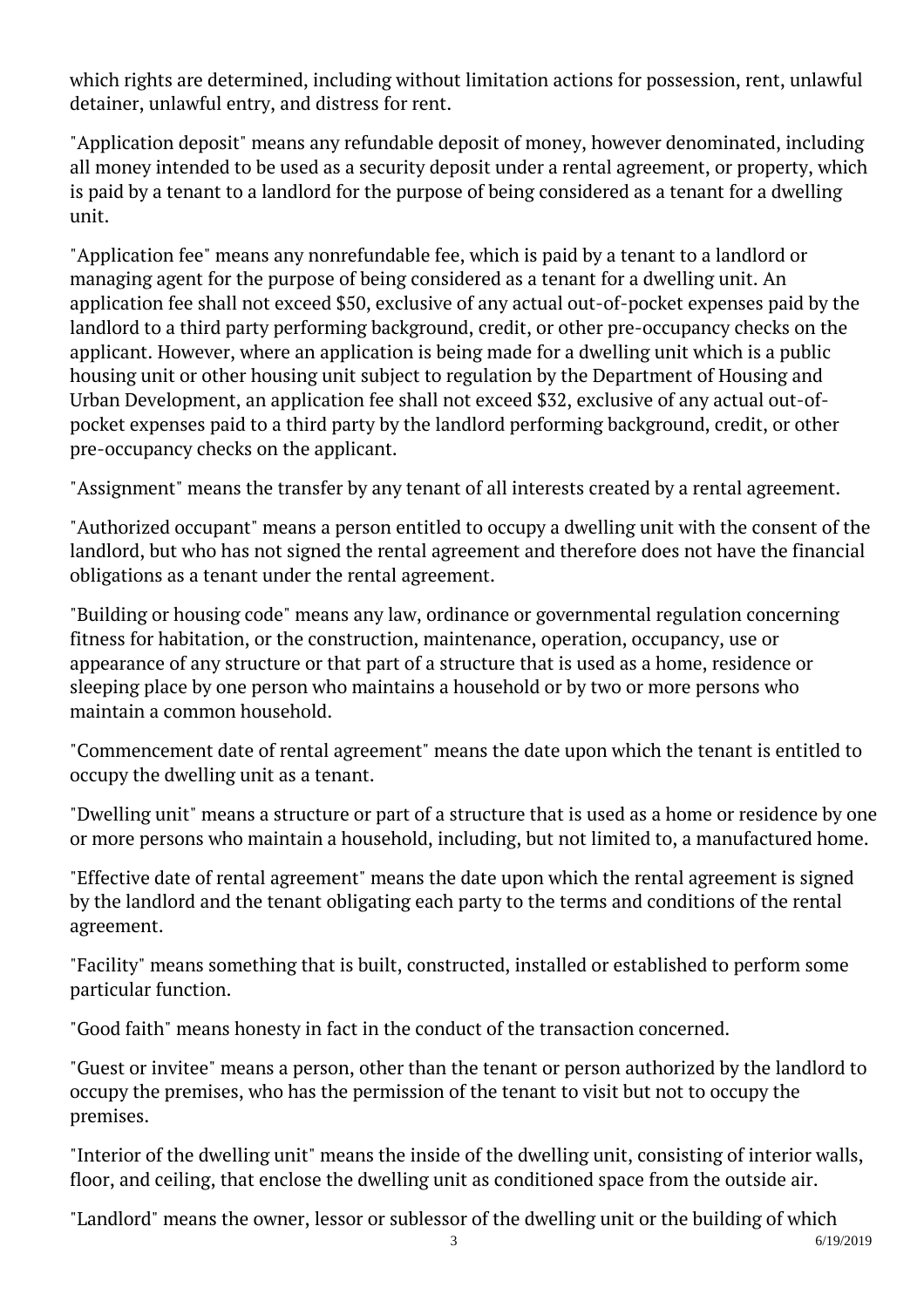which rights are determined, including without limitation actions for possession, rent, unlawful detainer, unlawful entry, and distress for rent.

"Application deposit" means any refundable deposit of money, however denominated, including all money intended to be used as a security deposit under a rental agreement, or property, which is paid by a tenant to a landlord for the purpose of being considered as a tenant for a dwelling unit.

"Application fee" means any nonrefundable fee, which is paid by a tenant to a landlord or managing agent for the purpose of being considered as a tenant for a dwelling unit. An application fee shall not exceed \$50, exclusive of any actual out-of-pocket expenses paid by the landlord to a third party performing background, credit, or other pre-occupancy checks on the applicant. However, where an application is being made for a dwelling unit which is a public housing unit or other housing unit subject to regulation by the Department of Housing and Urban Development, an application fee shall not exceed \$32, exclusive of any actual out-ofpocket expenses paid to a third party by the landlord performing background, credit, or other pre-occupancy checks on the applicant. <sup>"</sup>

"Assignment" means the transfer by any tenant of all interests created by a rental agreement.

"Authorized occupant" means a person entitled to occupy a dwelling unit with the consent of the landlord, but who has not signed the rental agreement and therefore does not have the financial obligations as a tenant under the rental agreement.

"Building or housing code" means any law, ordinance or governmental regulation concerning fitness for habitation, or the construction, maintenance, operation, occupancy, use or appearance of any structure or that part of a structure that is used as a home, residence or sleeping place by one person who maintains a household or by two or more persons who maintain a common household.

"Commencement date of rental agreement" means the date upon which the tenant is entitled to occupy the dwelling unit as a tenant.

"Dwelling unit" means a structure or part of a structure that is used as a home or residence by one or more persons who maintain a household, including, but not limited to, a manufactured home.

"Effective date of rental agreement" means the date upon which the rental agreement is signed by the landlord and the tenant obligating each party to the terms and conditions of the rental agreement. Ĩ

"Facility" means something that is built, constructed, installed or established to perform some particular function. <sup>"</sup>

"Good faith" means honesty in fact in the conduct of the transaction concerned.

"Guest or invitee" means a person, other than the tenant or person authorized by the landlord to occupy the premises, who has the permission of the tenant to visit but not to occupy the premises. <sup>"</sup>

"Interior of the dwelling unit" means the inside of the dwelling unit, consisting of interior walls, floor, and ceiling, that enclose the dwelling unit as conditioned space from the outside air.

"Landlord" means the owner, lessor or sublessor of the dwelling unit or the building of which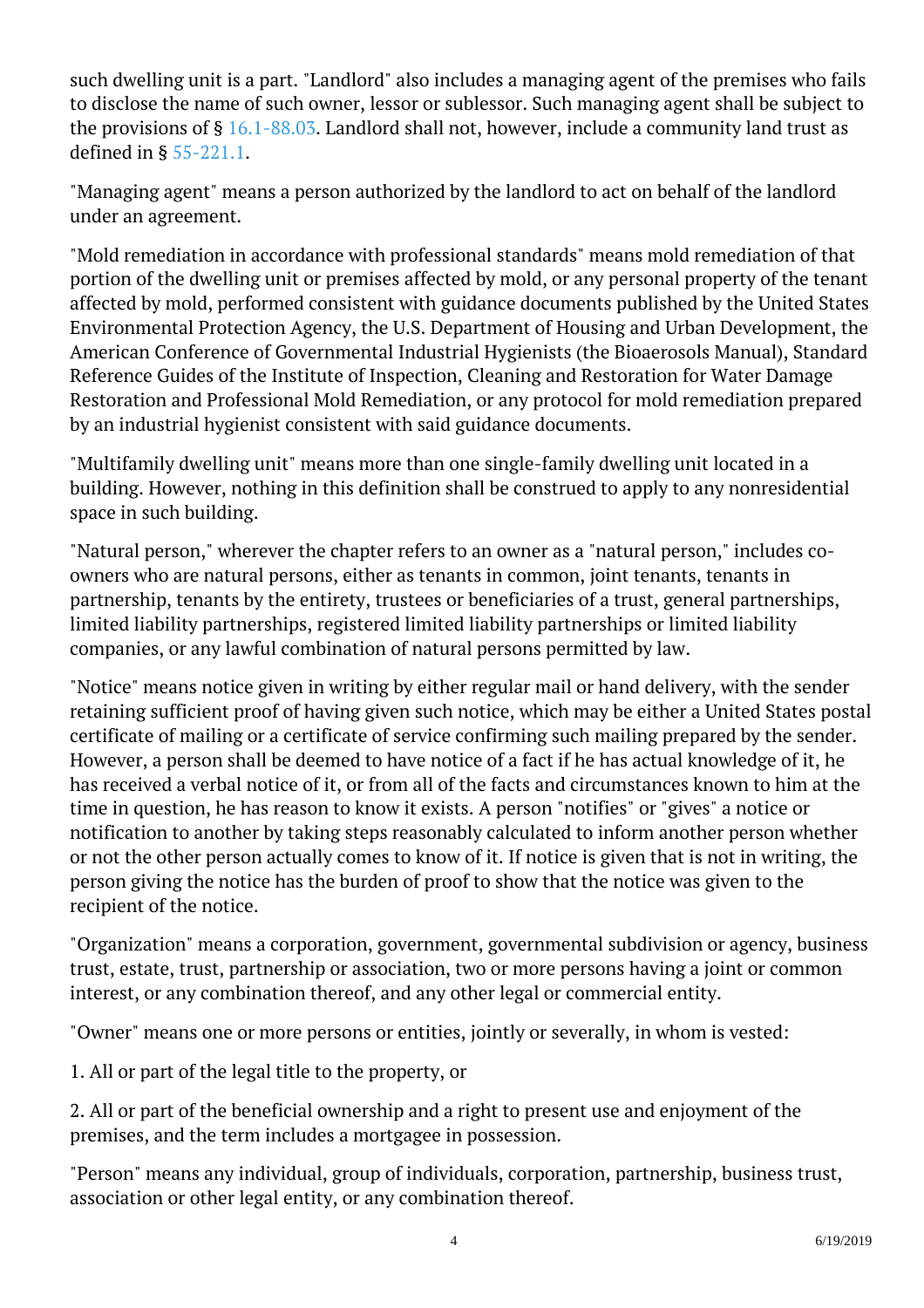such dwelling unit is a part. "Landlord" also includes a managing agent of the premises who fails to disclose the name of such owner, lessor or sublessor. Such managing agent shall be subject to the provisions of  $\S$  [16.1-88.03](http://law.lis.virginia.gov/vacode/16.1-88.03/). Landlord shall not, however, include a community land trust as defined in § [55-221.1.](http://law.lis.virginia.gov/vacode/55-221.1/)

"Managing agent" means a person authorized by the landlord to act on behalf of the landlord under an agreement.

"Mold remediation in accordance with professional standards" means mold remediation of that portion of the dwelling unit or premises affected by mold, or any personal property of the tenant affected by mold, performed consistent with guidance documents published by the United States Environmental Protection Agency, the U.S. Department of Housing and Urban Development, the American Conference of Governmental Industrial Hygienists (the Bioaerosols Manual), Standard Reference Guides of the Institute of Inspection, Cleaning and Restoration for Water Damage Restoration and Professional Mold Remediation, or any protocol for mold remediation prepared by an industrial hygienist consistent with said guidance documents.

"Multifamily dwelling unit" means more than one single-family dwelling unit located in a building. However, nothing in this definition shall be construed to apply to any nonresidential space in such building.

"Natural person," wherever the chapter refers to an owner as a "natural person," includes coowners who are natural persons, either as tenants in common, joint tenants, tenants in partnership, tenants by the entirety, trustees or beneficiaries of a trust, general partnerships, limited liability partnerships, registered limited liability partnerships or limited liability companies, or any lawful combination of natural persons permitted by law.

"Notice" means notice given in writing by either regular mail or hand delivery, with the sender retaining sufficient proof of having given such notice, which may be either a United States postal certificate of mailing or a certificate of service confirming such mailing prepared by the sender. However, a person shall be deemed to have notice of a fact if he has actual knowledge of it, he has received a verbal notice of it, or from all of the facts and circumstances known to him at the time in question, he has reason to know it exists. A person "notifies" or "gives" a notice or notification to another by taking steps reasonably calculated to inform another person whether or not the other person actually comes to know of it. If notice is given that is not in writing, the person giving the notice has the burden of proof to show that the notice was given to the recipient of the notice.

"Organization" means a corporation, government, governmental subdivision or agency, business trust, estate, trust, partnership or association, two or more persons having a joint or common interest, or any combination thereof, and any other legal or commercial entity.

"Owner" means one or more persons or entities, jointly or severally, in whom is vested:

1. All or part of the legal title to the property, or

2. All or part of the beneficial ownership and a right to present use and enjoyment of the premises, and the term includes a mortgagee in possession. <sup>"</sup>

"Person" means any individual, group of individuals, corporation, partnership, business trust, association or other legal entity, or any combination thereof.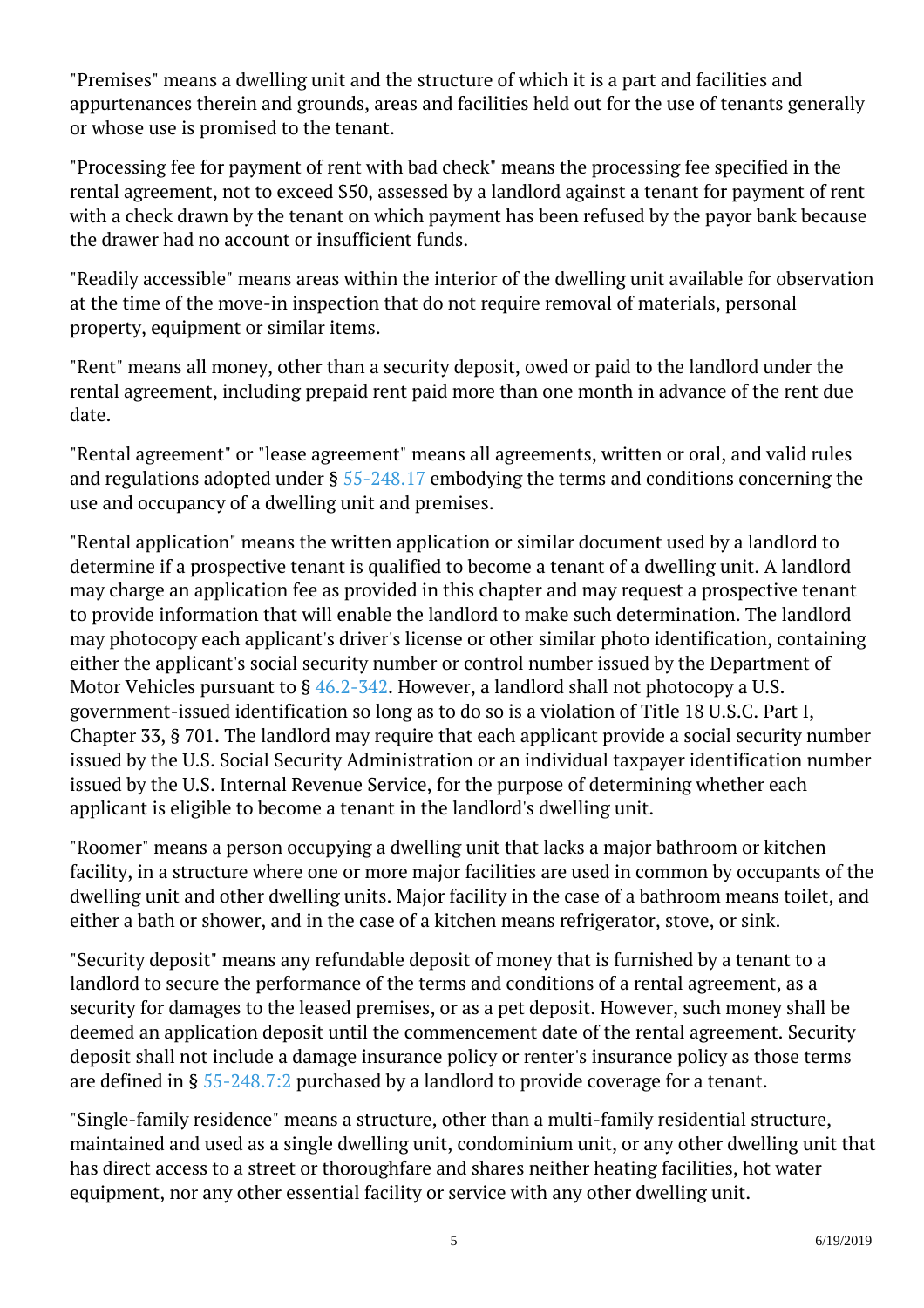"Premises" means a dwelling unit and the structure of which it is a part and facilities and appurtenances therein and grounds, areas and facilities held out for the use of tenants generally or whose use is promised to the tenant.

"Processing fee for payment of rent with bad check" means the processing fee specified in the rental agreement, not to exceed \$50, assessed by a landlord against a tenant for payment of rent with a check drawn by the tenant on which payment has been refused by the payor bank because the drawer had no account or insufficient funds.

"Readily accessible" means areas within the interior of the dwelling unit available for observation at the time of the move-in inspection that do not require removal of materials, personal property, equipment or similar items. <sup>"</sup>

"Rent" means all money, other than a security deposit, owed or paid to the landlord under the rental agreement, including prepaid rent paid more than one month in advance of the rent due date.

"Rental agreement" or "lease agreement" means all agreements, written or oral, and valid rules and regulations adopted under § [55-248.17](http://law.lis.virginia.gov/vacode/55-248.17/) embodying the terms and conditions concerning the use and occupancy of a dwelling unit and premises.

"Rental application" means the written application or similar document used by a landlord to determine if a prospective tenant is qualified to become a tenant of a dwelling unit. A landlord may charge an application fee as provided in this chapter and may request a prospective tenant to provide information that will enable the landlord to make such determination. The landlord may photocopy each applicant's driver's license or other similar photo identification, containing either the applicant's social security number or control number issued by the Department of Motor Vehicles pursuant to § [46.2-342.](http://law.lis.virginia.gov/vacode/46.2-342/) However, a landlord shall not photocopy a U.S. government-issued identification so long as to do so is a violation of Title 18 U.S.C. Part I, Chapter 33, § 701. The landlord may require that each applicant provide a social security number issued by the U.S. Social Security Administration or an individual taxpayer identification number issued by the U.S. Internal Revenue Service, for the purpose of determining whether each applicant is eligible to become a tenant in the landlord's dwelling unit. Ĩ

"Roomer" means a person occupying a dwelling unit that lacks a major bathroom or kitchen facility, in a structure where one or more major facilities are used in common by occupants of the dwelling unit and other dwelling units. Major facility in the case of a bathroom means toilet, and either a bath or shower, and in the case of a kitchen means refrigerator, stove, or sink.

"Security deposit" means any refundable deposit of money that is furnished by a tenant to a landlord to secure the performance of the terms and conditions of a rental agreement, as a security for damages to the leased premises, or as a pet deposit. However, such money shall be deemed an application deposit until the commencement date of the rental agreement. Security deposit shall not include a damage insurance policy or renter's insurance policy as those terms are defined in § [55-248.7:2](http://law.lis.virginia.gov/vacode/55-248.7:2/) purchased by a landlord to provide coverage for a tenant. Ĩ

"Single-family residence" means a structure, other than a multi-family residential structure, maintained and used as a single dwelling unit, condominium unit, or any other dwelling unit that has direct access to a street or thoroughfare and shares neither heating facilities, hot water equipment, nor any other essential facility or service with any other dwelling unit.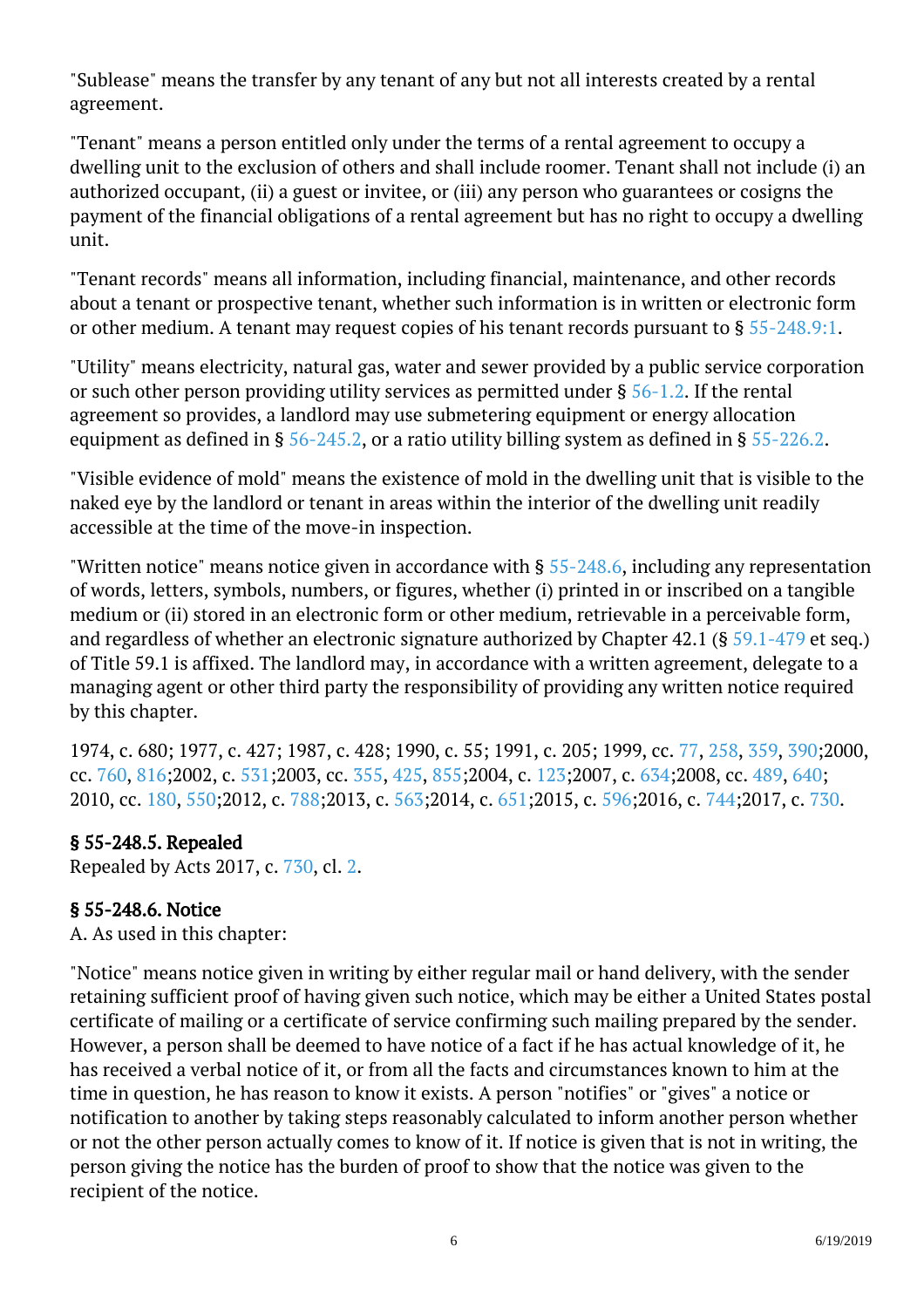"Sublease" means the transfer by any tenant of any but not all interests created by a rental agreement. Ĩ

"Tenant" means a person entitled only under the terms of a rental agreement to occupy a dwelling unit to the exclusion of others and shall include roomer. Tenant shall not include (i) an authorized occupant, (ii) a guest or invitee, or (iii) any person who guarantees or cosigns the payment of the financial obligations of a rental agreement but has no right to occupy a dwelling unit.

"Tenant records" means all information, including financial, maintenance, and other records about a tenant or prospective tenant, whether such information is in written or electronic form or other medium. A tenant may request copies of his tenant records pursuant to §  $55$ -248.9:1.

"Utility" means electricity, natural gas, water and sewer provided by a public service corporation or such other person providing utility services as permitted under § [56-1.2.](http://law.lis.virginia.gov/vacode/56-1.2/) If the rental agreement so provides, a landlord may use submetering equipment or energy allocation equipment as defined in §  $56$ -245.2, or a ratio utility billing system as defined in §  $55$ -226.2.

"Visible evidence of mold" means the existence of mold in the dwelling unit that is visible to the naked eye by the landlord or tenant in areas within the interior of the dwelling unit readily accessible at the time of the move-in inspection.

"Written notice" means notice given in accordance with  $\S$  [55-248.6](http://law.lis.virginia.gov/vacode/55-248.6/), including any representation of words, letters, symbols, numbers, or figures, whether (i) printed in or inscribed on a tangible medium or (ii) stored in an electronic form or other medium, retrievable in a perceivable form, and regardless of whether an electronic signature authorized by Chapter 42.1 (§ [59.1-479](http://law.lis.virginia.gov/vacode/59.1-479/) et seq.) of Title 59.1 is affixed. The landlord may, in accordance with a written agreement, delegate to a managing agent or other third party the responsibility of providing any written notice required by this chapter.

1974, c. 680; 1977, c. 427; 1987, c. 428; 1990, c. 55; 1991, c. 205; 1999, cc. [77,](http://lis.virginia.gov/cgi-bin/legp604.exe?991+ful+CHAP0077) [258](http://lis.virginia.gov/cgi-bin/legp604.exe?991+ful+CHAP0258), [359,](http://lis.virginia.gov/cgi-bin/legp604.exe?991+ful+CHAP0359) [390;](http://lis.virginia.gov/cgi-bin/legp604.exe?991+ful+CHAP0390)2000, cc. [760,](http://lis.virginia.gov/cgi-bin/legp604.exe?001+ful+CHAP0760) [816;](http://lis.virginia.gov/cgi-bin/legp604.exe?001+ful+CHAP0816)2002, c. [531;](http://lis.virginia.gov/cgi-bin/legp604.exe?021+ful+CHAP0531)2003, cc. [355,](http://lis.virginia.gov/cgi-bin/legp604.exe?031+ful+CHAP0355) [425](http://lis.virginia.gov/cgi-bin/legp604.exe?031+ful+CHAP0425), [855;2](http://lis.virginia.gov/cgi-bin/legp604.exe?031+ful+CHAP0855)004, c. [123;](http://lis.virginia.gov/cgi-bin/legp604.exe?041+ful+CHAP0123)2007, c. [634;](http://lis.virginia.gov/cgi-bin/legp604.exe?071+ful+CHAP0634)2008, cc. [489,](http://lis.virginia.gov/cgi-bin/legp604.exe?081+ful+CHAP0489) [640;](http://lis.virginia.gov/cgi-bin/legp604.exe?081+ful+CHAP0640) 2010, cc. [180,](http://lis.virginia.gov/cgi-bin/legp604.exe?101+ful+CHAP0180) [550;](http://lis.virginia.gov/cgi-bin/legp604.exe?101+ful+CHAP0550)2012, c. [788;2](http://lis.virginia.gov/cgi-bin/legp604.exe?121+ful+CHAP0788)013, c. [563;2](http://lis.virginia.gov/cgi-bin/legp604.exe?131+ful+CHAP0563)014, c. [651;2](http://lis.virginia.gov/cgi-bin/legp604.exe?141+ful+CHAP0651)015, c. [596;2](http://lis.virginia.gov/cgi-bin/legp604.exe?151+ful+CHAP0596)016, c. [744;2](http://lis.virginia.gov/cgi-bin/legp604.exe?161+ful+CHAP0744)017, c. [730.](http://lis.virginia.gov/cgi-bin/legp604.exe?171+ful+CHAP0730)

## § 55-248.5. Repealed

Repealed by Acts 2017, c. [730,](http://lis.virginia.gov/cgi-bin/legp604.exe?171+ful+CHAP0730) cl. [2.](http://lis.virginia.gov/cgi-bin/legp604.exe?171+ful+CHAP0002)

## § 55-248.6. Notice

A. As used in this chapter:

"Notice" means notice given in writing by either regular mail or hand delivery, with the sender retaining sufficient proof of having given such notice, which may be either a United States postal certificate of mailing or a certificate of service confirming such mailing prepared by the sender. However, a person shall be deemed to have notice of a fact if he has actual knowledge of it, he has received a verbal notice of it, or from all the facts and circumstances known to him at the time in question, he has reason to know it exists. A person "notifies" or "gives" a notice or notification to another by taking steps reasonably calculated to inform another person whether or not the other person actually comes to know of it. If notice is given that is not in writing, the person giving the notice has the burden of proof to show that the notice was given to the recipient of the notice.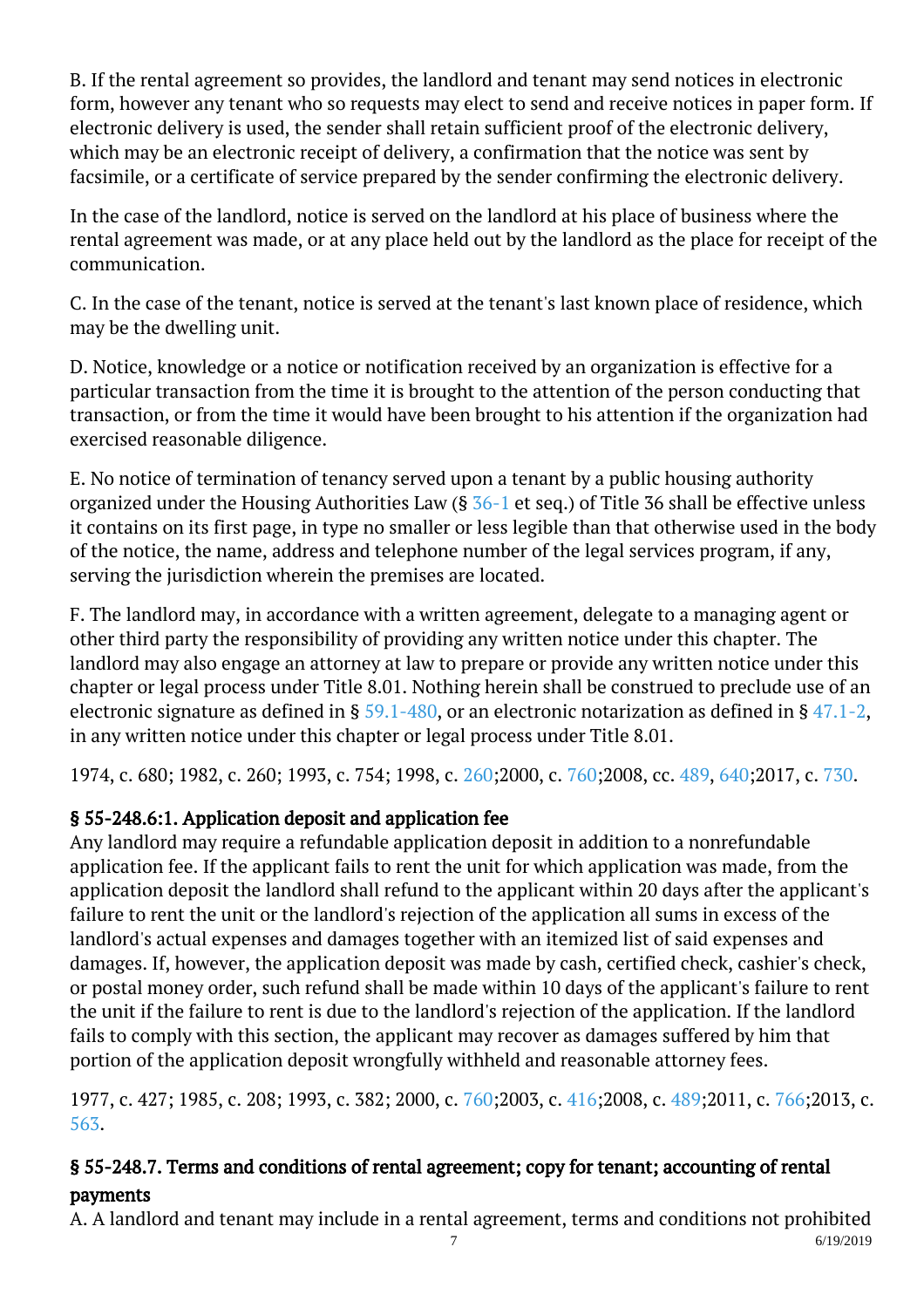B. If the rental agreement so provides, the landlord and tenant may send notices in electronic form, however any tenant who so requests may elect to send and receive notices in paper form. If electronic delivery is used, the sender shall retain sufficient proof of the electronic delivery, which may be an electronic receipt of delivery, a confirmation that the notice was sent by facsimile, or a certificate of service prepared by the sender confirming the electronic delivery.

In the case of the landlord, notice is served on the landlord at his place of business where the rental agreement was made, or at any place held out by the landlord as the place for receipt of the communication.

C. In the case of the tenant, notice is served at the tenant's last known place of residence, which may be the dwelling unit.

D. Notice, knowledge or a notice or notification received by an organization is effective for a particular transaction from the time it is brought to the attention of the person conducting that transaction, or from the time it would have been brought to his attention if the organization had exercised reasonable diligence.

E. No notice of termination of tenancy served upon a tenant by a public housing authority organized under the Housing Authorities Law (§ [36-1](http://law.lis.virginia.gov/vacode/36-1/) et seq.) of Title 36 shall be effective unless it contains on its first page, in type no smaller or less legible than that otherwise used in the body of the notice, the name, address and telephone number of the legal services program, if any, serving the jurisdiction wherein the premises are located. Ĩ

F. The landlord may, in accordance with a written agreement, delegate to a managing agent or other third party the responsibility of providing any written notice under this chapter. The landlord may also engage an attorney at law to prepare or provide any written notice under this chapter or legal process under Title 8.01. Nothing herein shall be construed to preclude use of an electronic signature as defined in §  $59.1-480$ , or an electronic notarization as defined in §  $47.1-2$ , in any written notice under this chapter or legal process under Title 8.01.

1974, c. 680; 1982, c. 260; 1993, c. 754; 1998, c. [260;](http://lis.virginia.gov/cgi-bin/legp604.exe?981+ful+CHAP0260)2000, c. [760;](http://lis.virginia.gov/cgi-bin/legp604.exe?001+ful+CHAP0760)2008, cc. [489,](http://lis.virginia.gov/cgi-bin/legp604.exe?081+ful+CHAP0489) [640;](http://lis.virginia.gov/cgi-bin/legp604.exe?081+ful+CHAP0640)2017, c. [730](http://lis.virginia.gov/cgi-bin/legp604.exe?171+ful+CHAP0730).

# § 55-248.6:1. Application deposit and application fee

Any landlord may require a refundable application deposit in addition to a nonrefundable application fee. If the applicant fails to rent the unit for which application was made, from the application deposit the landlord shall refund to the applicant within 20 days after the applicant's failure to rent the unit or the landlord's rejection of the application all sums in excess of the landlord's actual expenses and damages together with an itemized list of said expenses and damages. If, however, the application deposit was made by cash, certified check, cashier's check, or postal money order, such refund shall be made within 10 days of the applicant's failure to rent the unit if the failure to rent is due to the landlord's rejection of the application. If the landlord fails to comply with this section, the applicant may recover as damages suffered by him that portion of the application deposit wrongfully withheld and reasonable attorney fees. <sup>"</sup>

1977, c. 427; 1985, c. 208; 1993, c. 382; 2000, c. [760;](http://lis.virginia.gov/cgi-bin/legp604.exe?001+ful+CHAP0760)2003, c. [416;](http://lis.virginia.gov/cgi-bin/legp604.exe?031+ful+CHAP0416)2008, c. [489;](http://lis.virginia.gov/cgi-bin/legp604.exe?081+ful+CHAP0489)2011, c. [766;](http://lis.virginia.gov/cgi-bin/legp604.exe?111+ful+CHAP0766)2013, c. [563](http://lis.virginia.gov/cgi-bin/legp604.exe?131+ful+CHAP0563).

# § 55-248.7. Terms and conditions of rental agreement; copy for tenant; accounting of rental payments

A. A landlord and tenant may include in a rental agreement, terms and conditions not prohibited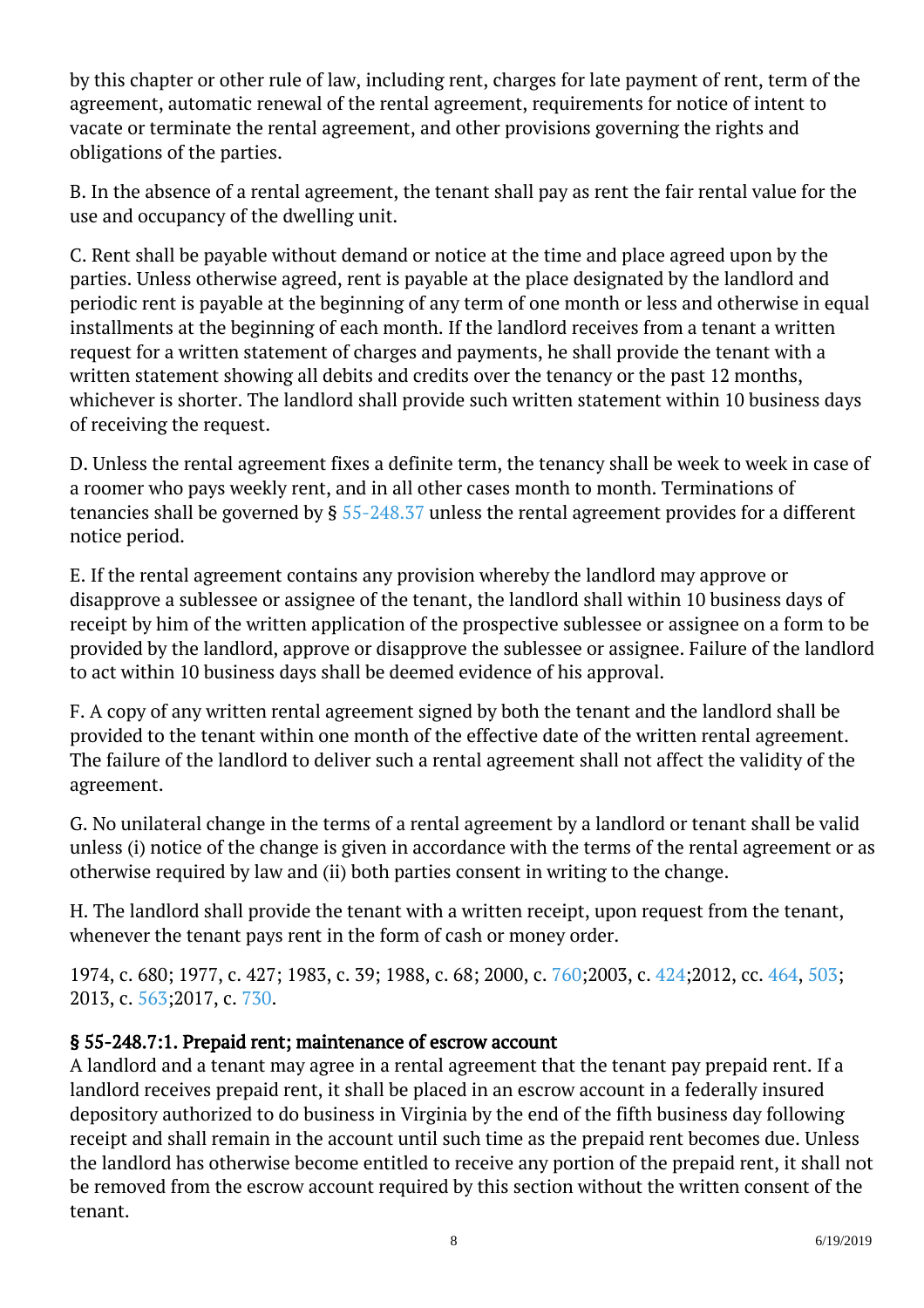by this chapter or other rule of law, including rent, charges for late payment of rent, term of the agreement, automatic renewal of the rental agreement, requirements for notice of intent to vacate or terminate the rental agreement, and other provisions governing the rights and obligations of the parties.

B. In the absence of a rental agreement, the tenant shall pay as rent the fair rental value for the use and occupancy of the dwelling unit.

C. Rent shall be payable without demand or notice at the time and place agreed upon by the parties. Unless otherwise agreed, rent is payable at the place designated by the landlord and periodic rent is payable at the beginning of any term of one month or less and otherwise in equal installments at the beginning of each month. If the landlord receives from a tenant a written request for a written statement of charges and payments, he shall provide the tenant with a written statement showing all debits and credits over the tenancy or the past 12 months, whichever is shorter. The landlord shall provide such written statement within 10 business days of receiving the request.

D. Unless the rental agreement fixes a definite term, the tenancy shall be week to week in case of a roomer who pays weekly rent, and in all other cases month to month. Terminations of tenancies shall be governed by § [55-248.37](http://law.lis.virginia.gov/vacode/55-248.37/) unless the rental agreement provides for a different notice period.

E. If the rental agreement contains any provision whereby the landlord may approve or disapprove a sublessee or assignee of the tenant, the landlord shall within 10 business days of receipt by him of the written application of the prospective sublessee or assignee on a form to be provided by the landlord, approve or disapprove the sublessee or assignee. Failure of the landlord to act within 10 business days shall be deemed evidence of his approval.

F. A copy of any written rental agreement signed by both the tenant and the landlord shall be provided to the tenant within one month of the effective date of the written rental agreement. The failure of the landlord to deliver such a rental agreement shall not affect the validity of the agreement. Ĩ

G. No unilateral change in the terms of a rental agreement by a landlord or tenant shall be valid unless (i) notice of the change is given in accordance with the terms of the rental agreement or as otherwise required by law and (ii) both parties consent in writing to the change.

H. The landlord shall provide the tenant with a written receipt, upon request from the tenant, whenever the tenant pays rent in the form of cash or money order.

1974, c. 680; 1977, c. 427; 1983, c. 39; 1988, c. 68; 2000, c. [760;](http://lis.virginia.gov/cgi-bin/legp604.exe?001+ful+CHAP0760)2003, c. [424;](http://lis.virginia.gov/cgi-bin/legp604.exe?031+ful+CHAP0424)2012, cc. [464,](http://lis.virginia.gov/cgi-bin/legp604.exe?121+ful+CHAP0464) [503;](http://lis.virginia.gov/cgi-bin/legp604.exe?121+ful+CHAP0503) 2013, c. [563;2](http://lis.virginia.gov/cgi-bin/legp604.exe?131+ful+CHAP0563)017, c. [730.](http://lis.virginia.gov/cgi-bin/legp604.exe?171+ful+CHAP0730)

## § 55-248.7:1. Prepaid rent; maintenance of escrow account

A landlord and a tenant may agree in a rental agreement that the tenant pay prepaid rent. If a landlord receives prepaid rent, it shall be placed in an escrow account in a federally insured depository authorized to do business in Virginia by the end of the fifth business day following receipt and shall remain in the account until such time as the prepaid rent becomes due. Unless the landlord has otherwise become entitled to receive any portion of the prepaid rent, it shall not be removed from the escrow account required by this section without the written consent of the tenant.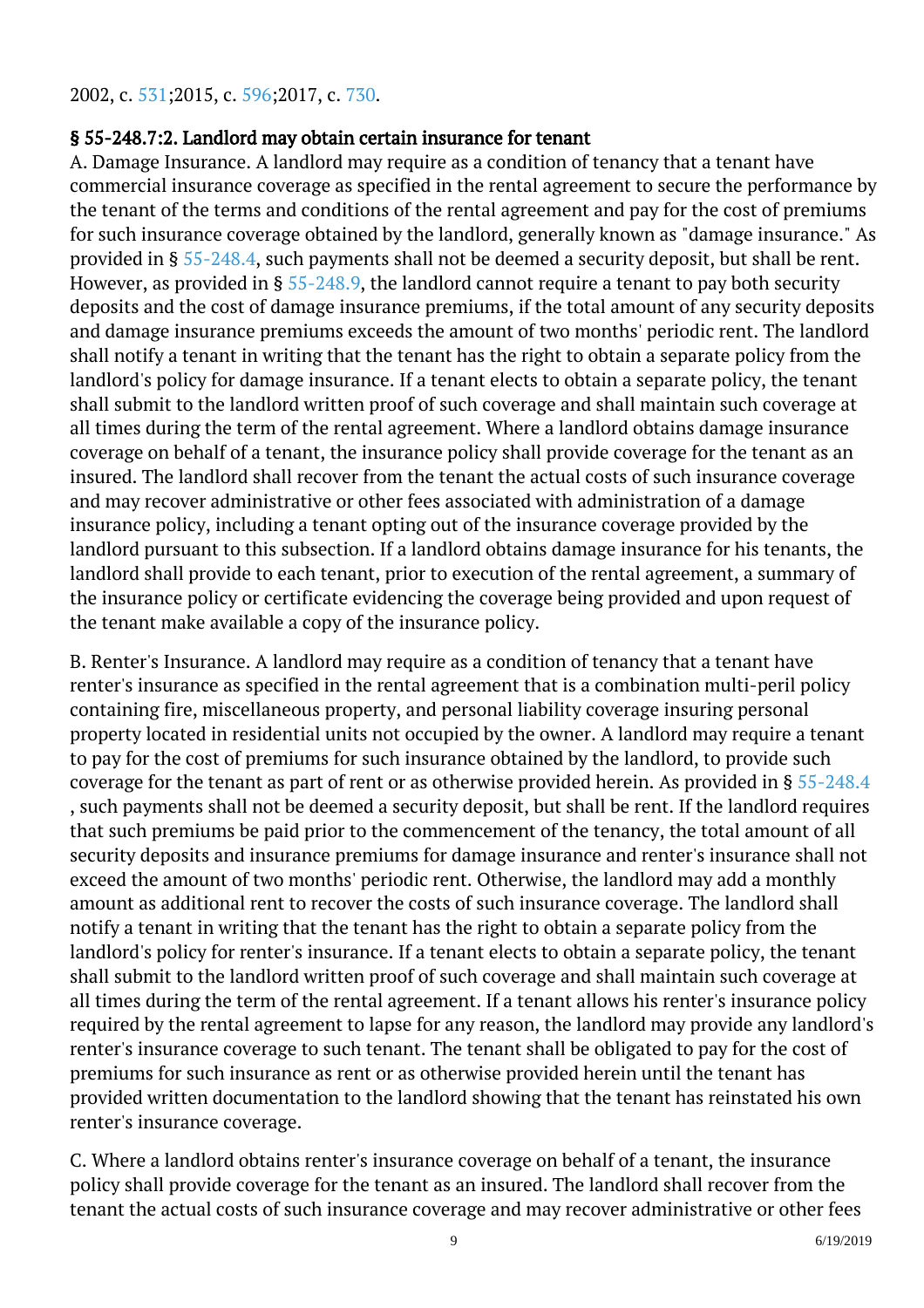2002, c. [531;2](http://lis.virginia.gov/cgi-bin/legp604.exe?021+ful+CHAP0531)015, c. [596;2](http://lis.virginia.gov/cgi-bin/legp604.exe?151+ful+CHAP0596)017, c. [730.](http://lis.virginia.gov/cgi-bin/legp604.exe?171+ful+CHAP0730)

#### § 55-248.7:2. Landlord may obtain certain insurance for tenant

A. Damage Insurance. A landlord may require as a condition of tenancy that a tenant have commercial insurance coverage as specified in the rental agreement to secure the performance by the tenant of the terms and conditions of the rental agreement and pay for the cost of premiums for such insurance coverage obtained by the landlord, generally known as "damage insurance." As provided in § [55-248.4,](/vacode/55-248.4/) such payments shall not be deemed a security deposit, but shall be rent. However, as provided in §  $55$ -248.9, the landlord cannot require a tenant to pay both security deposits and the cost of damage insurance premiums, if the total amount of any security deposits and damage insurance premiums exceeds the amount of two months' periodic rent. The landlord shall notify a tenant in writing that the tenant has the right to obtain a separate policy from the landlord's policy for damage insurance. If a tenant elects to obtain a separate policy, the tenant shall submit to the landlord written proof of such coverage and shall maintain such coverage at all times during the term of the rental agreement. Where a landlord obtains damage insurance coverage on behalf of a tenant, the insurance policy shall provide coverage for the tenant as an insured. The landlord shall recover from the tenant the actual costs of such insurance coverage and may recover administrative or other fees associated with administration of a damage insurance policy, including a tenant opting out of the insurance coverage provided by the landlord pursuant to this subsection. If a landlord obtains damage insurance for his tenants, the landlord shall provide to each tenant, prior to execution of the rental agreement, a summary of the insurance policy or certificate evidencing the coverage being provided and upon request of the tenant make available a copy of the insurance policy.

B. Renter's Insurance. A landlord may require as a condition of tenancy that a tenant have renter's insurance as specified in the rental agreement that is a combination multi-peril policy containing fire, miscellaneous property, and personal liability coverage insuring personal property located in residential units not occupied by the owner. A landlord may require a tenant to pay for the cost of premiums for such insurance obtained by the landlord, to provide such coverage for the tenant as part of rent or as otherwise provided herein. As provided in § [55-248.4](/vacode/55-248.4/) , such payments shall not be deemed a security deposit, but shall be rent. If the landlord requires that such premiums be paid prior to the commencement of the tenancy, the total amount of all security deposits and insurance premiums for damage insurance and renter's insurance shall not exceed the amount of two months' periodic rent. Otherwise, the landlord may add a monthly amount as additional rent to recover the costs of such insurance coverage. The landlord shall notify a tenant in writing that the tenant has the right to obtain a separate policy from the landlord's policy for renter's insurance. If a tenant elects to obtain a separate policy, the tenant shall submit to the landlord written proof of such coverage and shall maintain such coverage at all times during the term of the rental agreement. If a tenant allows his renter's insurance policy required by the rental agreement to lapse for any reason, the landlord may provide any landlord's renter's insurance coverage to such tenant. The tenant shall be obligated to pay for the cost of premiums for such insurance as rent or as otherwise provided herein until the tenant has provided written documentation to the landlord showing that the tenant has reinstated his own renter's insurance coverage.

C. Where a landlord obtains renter's insurance coverage on behalf of a tenant, the insurance policy shall provide coverage for the tenant as an insured. The landlord shall recover from the tenant the actual costs of such insurance coverage and may recover administrative or other fees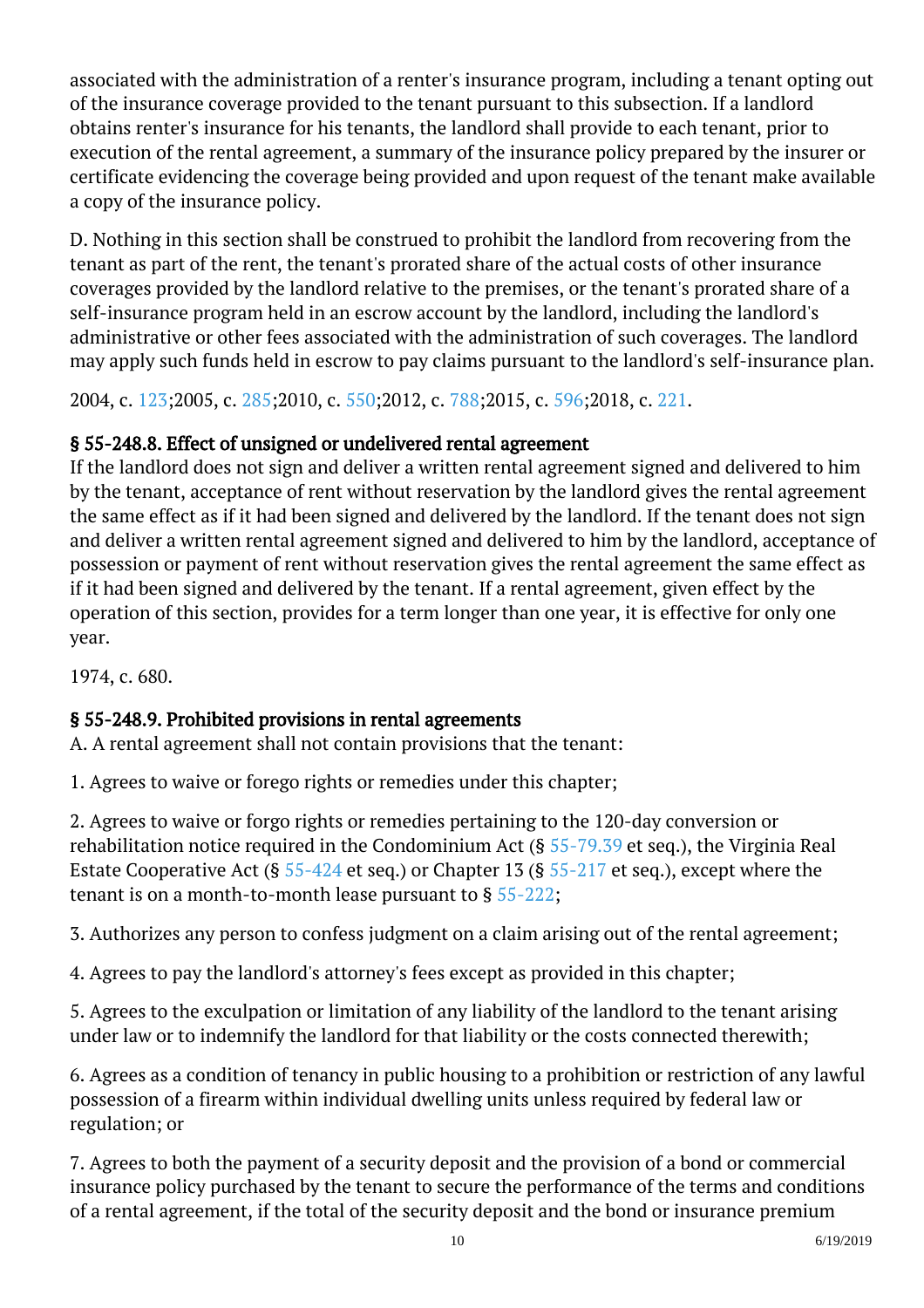associated with the administration of a renter's insurance program, including a tenant opting out of the insurance coverage provided to the tenant pursuant to this subsection. If a landlord obtains renter's insurance for his tenants, the landlord shall provide to each tenant, prior to execution of the rental agreement, a summary of the insurance policy prepared by the insurer or certificate evidencing the coverage being provided and upon request of the tenant make available a copy of the insurance policy. Ĩ

D. Nothing in this section shall be construed to prohibit the landlord from recovering from the tenant as part of the rent, the tenant's prorated share of the actual costs of other insurance coverages provided by the landlord relative to the premises, or the tenant's prorated share of a self-insurance program held in an escrow account by the landlord, including the landlord's administrative or other fees associated with the administration of such coverages. The landlord may apply such funds held in escrow to pay claims pursuant to the landlord's self-insurance plan.

2004, c. [123;2](http://lis.virginia.gov/cgi-bin/legp604.exe?041+ful+CHAP0123)005, c. [285;2](http://lis.virginia.gov/cgi-bin/legp604.exe?051+ful+CHAP0285)010, c. [550;2](http://lis.virginia.gov/cgi-bin/legp604.exe?101+ful+CHAP0550)012, c. [788;2](http://lis.virginia.gov/cgi-bin/legp604.exe?121+ful+CHAP0788)015, c. [596;2](http://lis.virginia.gov/cgi-bin/legp604.exe?151+ful+CHAP0596)018, c. [221.](http://lis.virginia.gov/cgi-bin/legp604.exe?181+ful+CHAP0221)

# § 55-248.8. Effect of unsigned or undelivered rental agreement

If the landlord does not sign and deliver a written rental agreement signed and delivered to him by the tenant, acceptance of rent without reservation by the landlord gives the rental agreement the same effect as if it had been signed and delivered by the landlord. If the tenant does not sign and deliver a written rental agreement signed and delivered to him by the landlord, acceptance of possession or payment of rent without reservation gives the rental agreement the same effect as if it had been signed and delivered by the tenant. If a rental agreement, given effect by the operation of this section, provides for a term longer than one year, it is effective for only one year. j

1974, c. 680.

# § 55-248.9. Prohibited provisions in rental agreements

A. A rental agreement shall not contain provisions that the tenant:

1. Agrees to waive or forego rights or remedies under this chapter;

2. Agrees to waive or forgo rights or remedies pertaining to the 120-day conversion or rehabilitation notice required in the Condominium Act (§ [55-79.39](http://law.lis.virginia.gov/vacode/55-79.39/) et seq.), the Virginia Real Estate Cooperative Act (§  $55-424$  et seq.) or Chapter 13 (§  $55-217$  et seq.), except where the tenant is on a month-to-month lease pursuant to § [55-222](http://law.lis.virginia.gov/vacode/55-222/);

3. Authorizes any person to confess judgment on a claim arising out of the rental agreement;

4. Agrees to pay the landlord's attorney's fees except as provided in this chapter;

5. Agrees to the exculpation or limitation of any liability of the landlord to the tenant arising under law or to indemnify the landlord for that liability or the costs connected therewith;

6. Agrees as a condition of tenancy in public housing to a prohibition or restriction of any lawful possession of a firearm within individual dwelling units unless required by federal law or regulation; or

7. Agrees to both the payment of a security deposit and the provision of a bond or commercial insurance policy purchased by the tenant to secure the performance of the terms and conditions of a rental agreement, if the total of the security deposit and the bond or insurance premium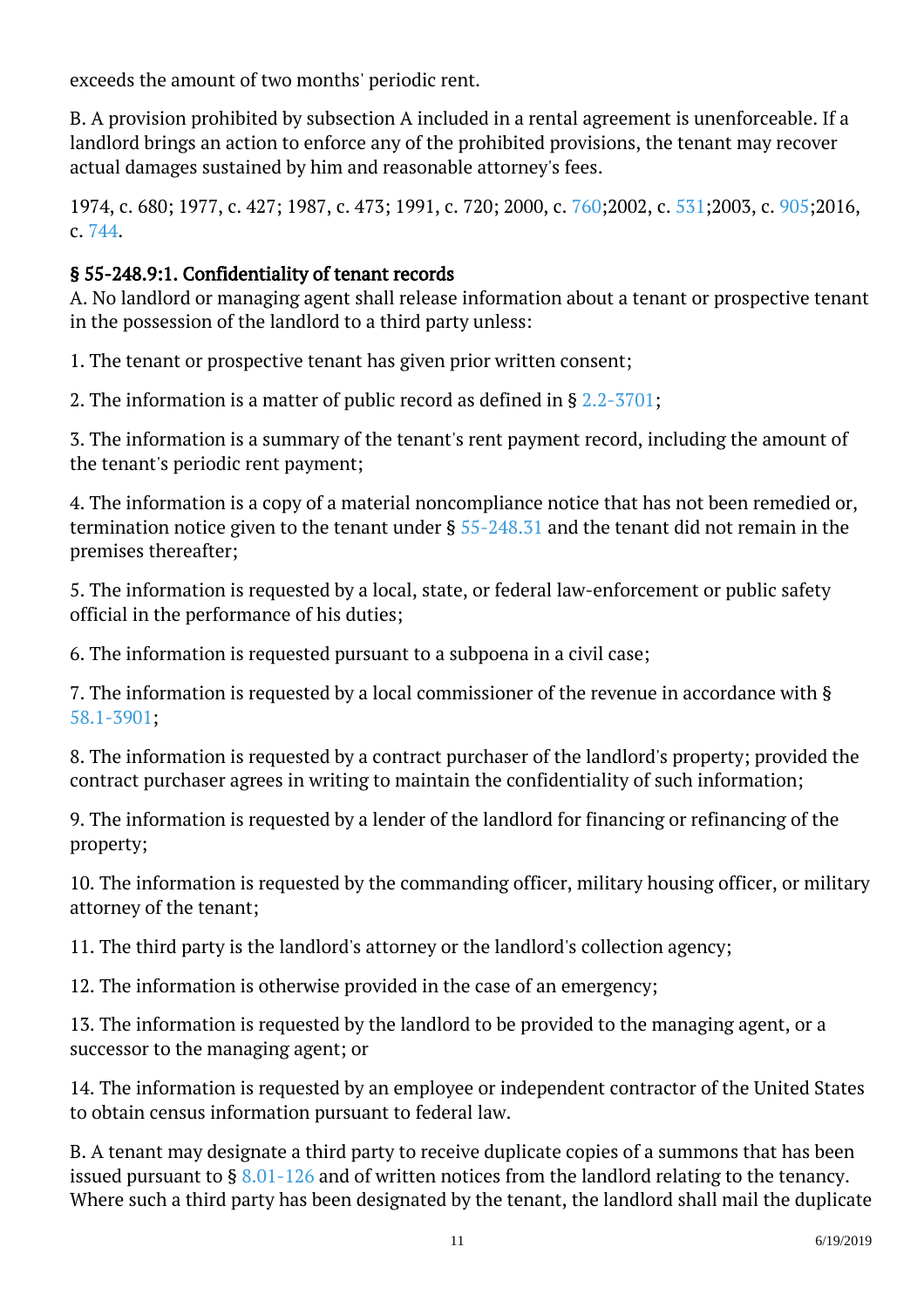exceeds the amount of two months' periodic rent.

B. A provision prohibited by subsection A included in a rental agreement is unenforceable. If a landlord brings an action to enforce any of the prohibited provisions, the tenant may recover actual damages sustained by him and reasonable attorney's fees.

1974, c. 680; 1977, c. 427; 1987, c. 473; 1991, c. 720; 2000, c. [760;](http://lis.virginia.gov/cgi-bin/legp604.exe?001+ful+CHAP0760)2002, c. [531;](http://lis.virginia.gov/cgi-bin/legp604.exe?021+ful+CHAP0531)2003, c. [905;](http://lis.virginia.gov/cgi-bin/legp604.exe?031+ful+CHAP0905)2016, c. [744](http://lis.virginia.gov/cgi-bin/legp604.exe?161+ful+CHAP0744).

## § 55-248.9:1. Confidentiality of tenant records

A. No landlord or managing agent shall release information about a tenant or prospective tenant in the possession of the landlord to a third party unless:

1. The tenant or prospective tenant has given prior written consent;

2. The information is a matter of public record as defined in § [2.2-3701;](/vacode/2.2-3701/)

3. The information is a summary of the tenant's rent payment record, including the amount of the tenant's periodic rent payment;

4. The information is a copy of a material noncompliance notice that has not been remedied or, termination notice given to the tenant under § [55-248.31](/vacode/55-248.31/) and the tenant did not remain in the premises thereafter; <sup>"</sup>

5. The information is requested by a local, state, or federal law-enforcement or public safety official in the performance of his duties;

6. The information is requested pursuant to a subpoena in a civil case;

7. The information is requested by a local commissioner of the revenue in accordance with § [58.1-3901](/vacode/58.1-3901/);

8. The information is requested by a contract purchaser of the landlord's property; provided the contract purchaser agrees in writing to maintain the confidentiality of such information;

9. The information is requested by a lender of the landlord for financing or refinancing of the property; <sup>"</sup>

10. The information is requested by the commanding officer, military housing officer, or military attorney of the tenant; Ĩ

11. The third party is the landlord's attorney or the landlord's collection agency;

12. The information is otherwise provided in the case of an emergency;

13. The information is requested by the landlord to be provided to the managing agent, or a successor to the managing agent; or

14. The information is requested by an employee or independent contractor of the United States to obtain census information pursuant to federal law.

B. A tenant may designate a third party to receive duplicate copies of a summons that has been issued pursuant to  $\S$  [8.01-126](/vacode/8.01-126/) and of written notices from the landlord relating to the tenancy. Where such a third party has been designated by the tenant, the landlord shall mail the duplicate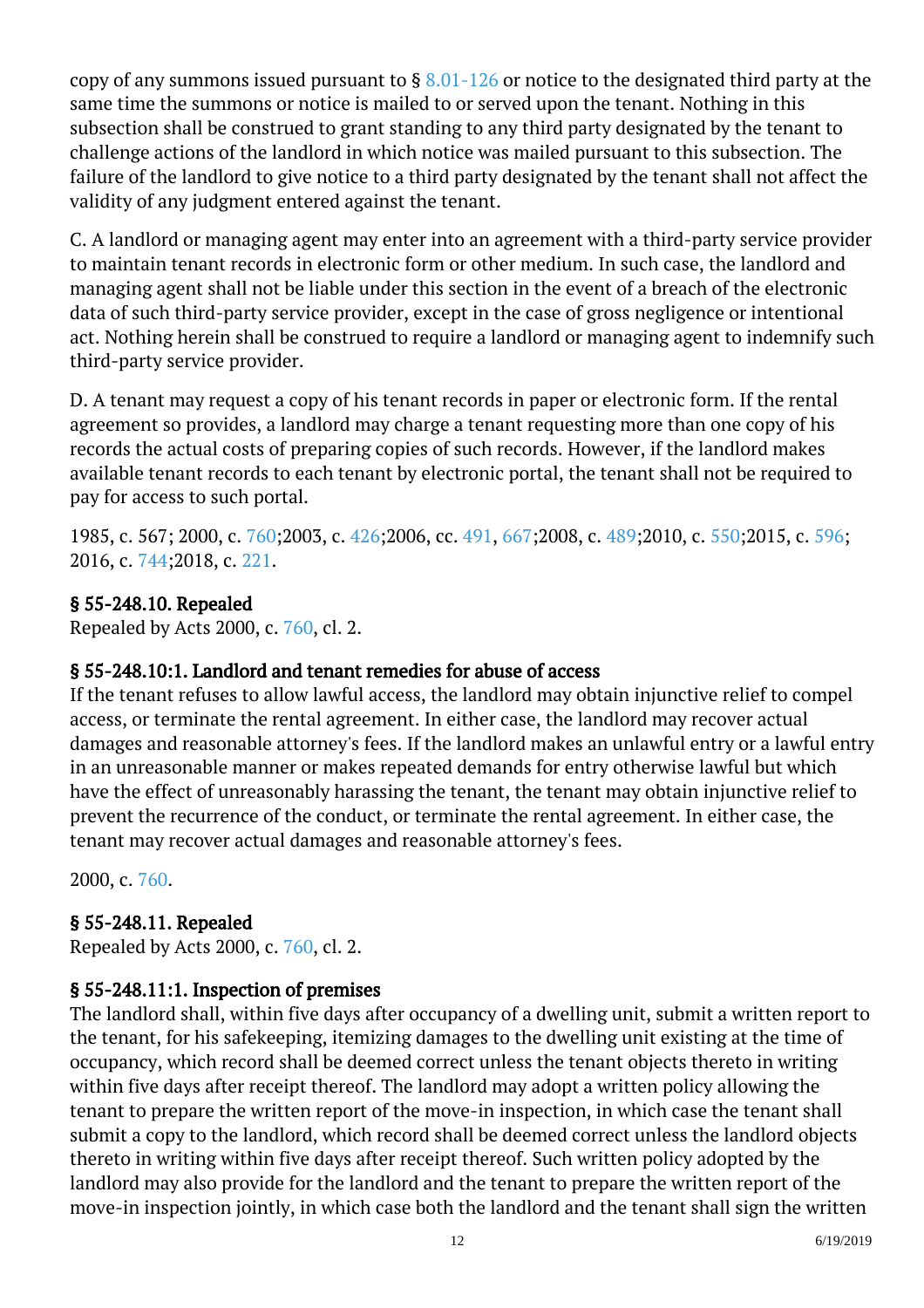copy of any summons issued pursuant to  $\S 8.01-126$  or notice to the designated third party at the same time the summons or notice is mailed to or served upon the tenant. Nothing in this subsection shall be construed to grant standing to any third party designated by the tenant to challenge actions of the landlord in which notice was mailed pursuant to this subsection. The failure of the landlord to give notice to a third party designated by the tenant shall not affect the validity of any judgment entered against the tenant.

C. A landlord or managing agent may enter into an agreement with a third-party service provider to maintain tenant records in electronic form or other medium. In such case, the landlord and managing agent shall not be liable under this section in the event of a breach of the electronic data of such third-party service provider, except in the case of gross negligence or intentional act. Nothing herein shall be construed to require a landlord or managing agent to indemnify such third-party service provider.

D. A tenant may request a copy of his tenant records in paper or electronic form. If the rental agreement so provides, a landlord may charge a tenant requesting more than one copy of his records the actual costs of preparing copies of such records. However, if the landlord makes available tenant records to each tenant by electronic portal, the tenant shall not be required to pay for access to such portal. <sup>"</sup>

1985, c. 567; 2000, c. [760;2](http://lis.virginia.gov/cgi-bin/legp604.exe?001+ful+CHAP0760)003, c. [426;2](http://lis.virginia.gov/cgi-bin/legp604.exe?031+ful+CHAP0426)006, cc. [491](http://lis.virginia.gov/cgi-bin/legp604.exe?061+ful+CHAP0491), [667;2](http://lis.virginia.gov/cgi-bin/legp604.exe?061+ful+CHAP0667)008, c. [489;2](http://lis.virginia.gov/cgi-bin/legp604.exe?081+ful+CHAP0489)010, c. [550;2](http://lis.virginia.gov/cgi-bin/legp604.exe?101+ful+CHAP0550)015, c. [596;](http://lis.virginia.gov/cgi-bin/legp604.exe?151+ful+CHAP0596) 2016, c. [744;2](http://lis.virginia.gov/cgi-bin/legp604.exe?161+ful+CHAP0744)018, c. [221.](http://lis.virginia.gov/cgi-bin/legp604.exe?181+ful+CHAP0221)

#### § 55-248.10. Repealed

Repealed by Acts 2000, c. [760,](http://lis.virginia.gov/cgi-bin/legp604.exe?001+ful+CHAP0760) cl. 2.

#### § 55-248.10:1. Landlord and tenant remedies for abuse of access

If the tenant refuses to allow lawful access, the landlord may obtain injunctive relief to compel access, or terminate the rental agreement. In either case, the landlord may recover actual damages and reasonable attorney's fees. If the landlord makes an unlawful entry or a lawful entry in an unreasonable manner or makes repeated demands for entry otherwise lawful but which have the effect of unreasonably harassing the tenant, the tenant may obtain injunctive relief to prevent the recurrence of the conduct, or terminate the rental agreement. In either case, the tenant may recover actual damages and reasonable attorney's fees.

2000, c. [760.](http://lis.virginia.gov/cgi-bin/legp604.exe?001+ful+CHAP0760)

## § 55-248.11. Repealed

Repealed by Acts 2000, c. [760,](http://lis.virginia.gov/cgi-bin/legp604.exe?001+ful+CHAP0760) cl. 2.

## § 55-248.11:1. Inspection of premises

The landlord shall, within five days after occupancy of a dwelling unit, submit a written report to the tenant, for his safekeeping, itemizing damages to the dwelling unit existing at the time of occupancy, which record shall be deemed correct unless the tenant objects thereto in writing within five days after receipt thereof. The landlord may adopt a written policy allowing the tenant to prepare the written report of the move-in inspection, in which case the tenant shall submit a copy to the landlord, which record shall be deemed correct unless the landlord objects thereto in writing within five days after receipt thereof. Such written policy adopted by the landlord may also provide for the landlord and the tenant to prepare the written report of the move-in inspection jointly, in which case both the landlord and the tenant shall sign the written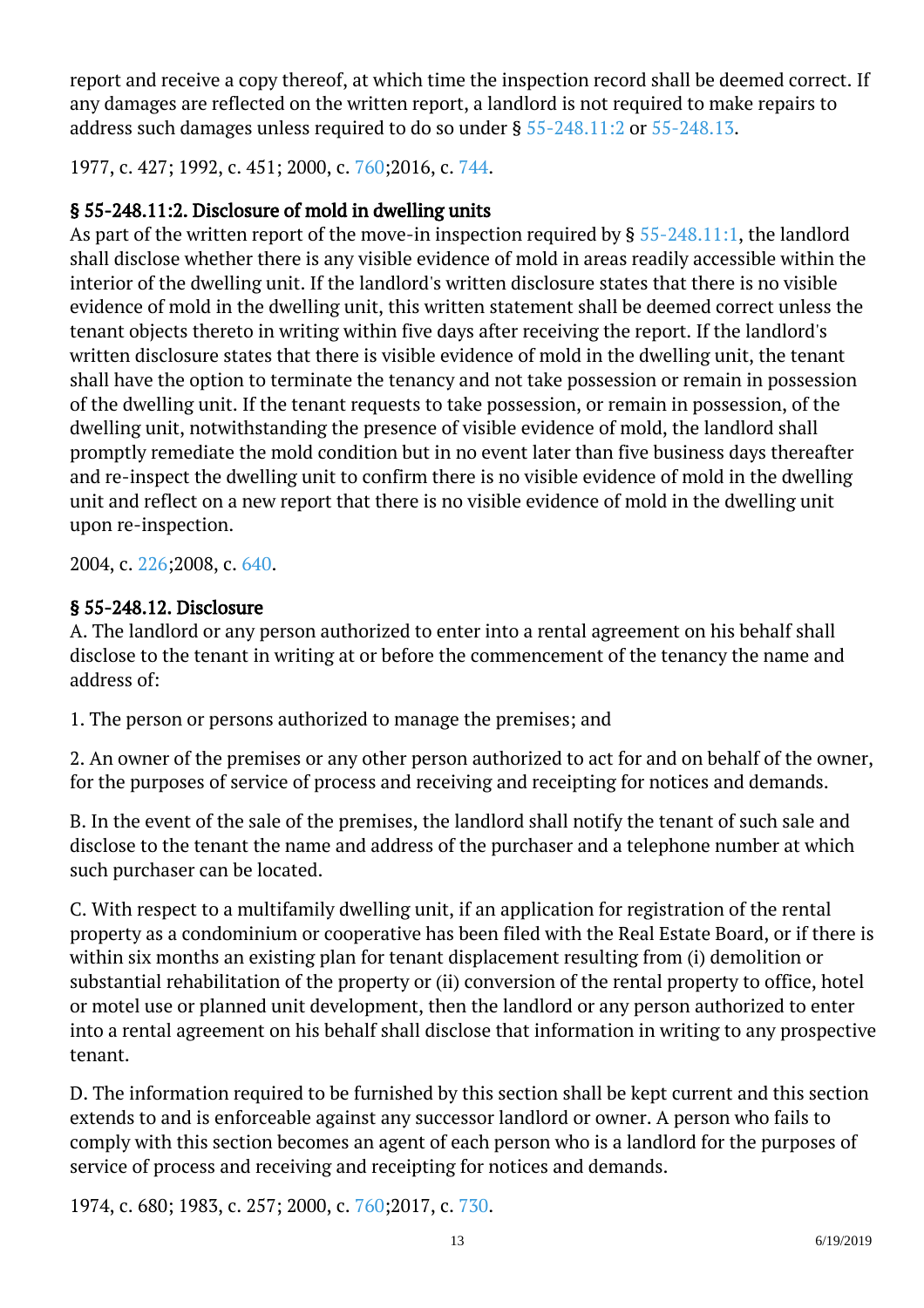report and receive a copy thereof, at which time the inspection record shall be deemed correct. If any damages are reflected on the written report, a landlord is not required to make repairs to address such damages unless required to do so under § [55-248.11:2](http://law.lis.virginia.gov/vacode/55-248.11:2/) or [55-248.13.](http://law.lis.virginia.gov/vacode/55-248.13/) Ĩ

1977, c. 427; 1992, c. 451; 2000, c. [760;2](http://lis.virginia.gov/cgi-bin/legp604.exe?001+ful+CHAP0760)016, c. [744.](http://lis.virginia.gov/cgi-bin/legp604.exe?161+ful+CHAP0744)

## § 55-248.11:2. Disclosure of mold in dwelling units

As part of the written report of the move-in inspection required by § [55-248.11:1,](http://law.lis.virginia.gov/vacode/55-248.11:1/) the landlord shall disclose whether there is any visible evidence of mold in areas readily accessible within the interior of the dwelling unit. If the landlord's written disclosure states that there is no visible evidence of mold in the dwelling unit, this written statement shall be deemed correct unless the tenant objects thereto in writing within five days after receiving the report. If the landlord's written disclosure states that there is visible evidence of mold in the dwelling unit, the tenant shall have the option to terminate the tenancy and not take possession or remain in possession of the dwelling unit. If the tenant requests to take possession, or remain in possession, of the dwelling unit, notwithstanding the presence of visible evidence of mold, the landlord shall promptly remediate the mold condition but in no event later than five business days thereafter and re-inspect the dwelling unit to confirm there is no visible evidence of mold in the dwelling unit and reflect on a new report that there is no visible evidence of mold in the dwelling unit upon re-inspection.

2004, c. [226;2](http://lis.virginia.gov/cgi-bin/legp604.exe?041+ful+CHAP0226)008, c. [640.](http://lis.virginia.gov/cgi-bin/legp604.exe?081+ful+CHAP0640)

## § 55-248.12. Disclosure

A. The landlord or any person authorized to enter into a rental agreement on his behalf shall disclose to the tenant in writing at or before the commencement of the tenancy the name and address of: Ĩ

1. The person or persons authorized to manage the premises; and

2. An owner of the premises or any other person authorized to act for and on behalf of the owner, for the purposes of service of process and receiving and receipting for notices and demands.

B. In the event of the sale of the premises, the landlord shall notify the tenant of such sale and disclose to the tenant the name and address of the purchaser and a telephone number at which such purchaser can be located. Ĩ

C. With respect to a multifamily dwelling unit, if an application for registration of the rental property as a condominium or cooperative has been filed with the Real Estate Board, or if there is within six months an existing plan for tenant displacement resulting from (i) demolition or substantial rehabilitation of the property or (ii) conversion of the rental property to office, hotel or motel use or planned unit development, then the landlord or any person authorized to enter into a rental agreement on his behalf shall disclose that information in writing to any prospective tenant.

D. The information required to be furnished by this section shall be kept current and this section extends to and is enforceable against any successor landlord or owner. A person who fails to comply with this section becomes an agent of each person who is a landlord for the purposes of service of process and receiving and receipting for notices and demands. Ĩ

1974, c. 680; 1983, c. 257; 2000, c. [760;2](http://lis.virginia.gov/cgi-bin/legp604.exe?001+ful+CHAP0760)017, c. [730.](http://lis.virginia.gov/cgi-bin/legp604.exe?171+ful+CHAP0730)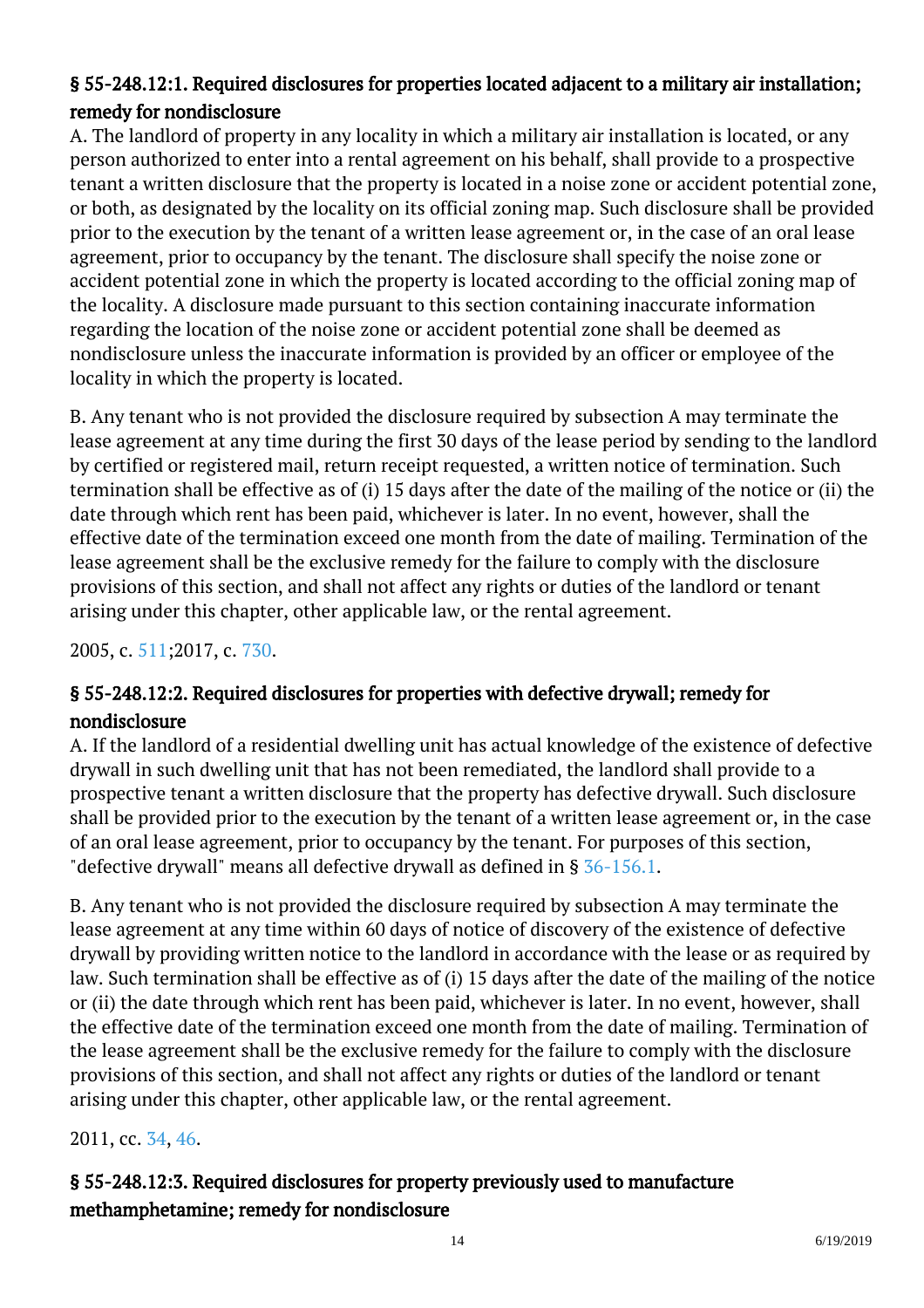# § 55-248.12:1. Required disclosures for properties located adjacent to a military air installation; remedy for nondisclosure

A. The landlord of property in any locality in which a military air installation is located, or any person authorized to enter into a rental agreement on his behalf, shall provide to a prospective tenant a written disclosure that the property is located in a noise zone or accident potential zone, or both, as designated by the locality on its official zoning map. Such disclosure shall be provided prior to the execution by the tenant of a written lease agreement or, in the case of an oral lease agreement, prior to occupancy by the tenant. The disclosure shall specify the noise zone or accident potential zone in which the property is located according to the official zoning map of the locality. A disclosure made pursuant to this section containing inaccurate information regarding the location of the noise zone or accident potential zone shall be deemed as nondisclosure unless the inaccurate information is provided by an officer or employee of the locality in which the property is located.

B. Any tenant who is not provided the disclosure required by subsection A may terminate the lease agreement at any time during the first 30 days of the lease period by sending to the landlord by certified or registered mail, return receipt requested, a written notice of termination. Such termination shall be effective as of (i) 15 days after the date of the mailing of the notice or (ii) the date through which rent has been paid, whichever is later. In no event, however, shall the effective date of the termination exceed one month from the date of mailing. Termination of the lease agreement shall be the exclusive remedy for the failure to comply with the disclosure provisions of this section, and shall not affect any rights or duties of the landlord or tenant arising under this chapter, other applicable law, or the rental agreement.

2005, c. [511;2](http://lis.virginia.gov/cgi-bin/legp604.exe?051+ful+CHAP0511)017, c. [730.](http://lis.virginia.gov/cgi-bin/legp604.exe?171+ful+CHAP0730)

# § 55-248.12:2. Required disclosures for properties with defective drywall; remedy for nondisclosure

A. If the landlord of a residential dwelling unit has actual knowledge of the existence of defective drywall in such dwelling unit that has not been remediated, the landlord shall provide to a prospective tenant a written disclosure that the property has defective drywall. Such disclosure shall be provided prior to the execution by the tenant of a written lease agreement or, in the case of an oral lease agreement, prior to occupancy by the tenant. For purposes of this section, "defective drywall" means all defective drywall as defined in § [36-156.1.](http://law.lis.virginia.gov/vacode/36-156.1/)

B. Any tenant who is not provided the disclosure required by subsection A may terminate the lease agreement at any time within 60 days of notice of discovery of the existence of defective drywall by providing written notice to the landlord in accordance with the lease or as required by law. Such termination shall be effective as of (i) 15 days after the date of the mailing of the notice or (ii) the date through which rent has been paid, whichever is later. In no event, however, shall the effective date of the termination exceed one month from the date of mailing. Termination of the lease agreement shall be the exclusive remedy for the failure to comply with the disclosure provisions of this section, and shall not affect any rights or duties of the landlord or tenant arising under this chapter, other applicable law, or the rental agreement. Ĩ

2011, cc. [34](http://lis.virginia.gov/cgi-bin/legp604.exe?111+ful+CHAP0034), [46](http://lis.virginia.gov/cgi-bin/legp604.exe?111+ful+CHAP0046).

# § 55-248.12:3. Required disclosures for property previously used to manufacture methamphetamine; remedy for nondisclosure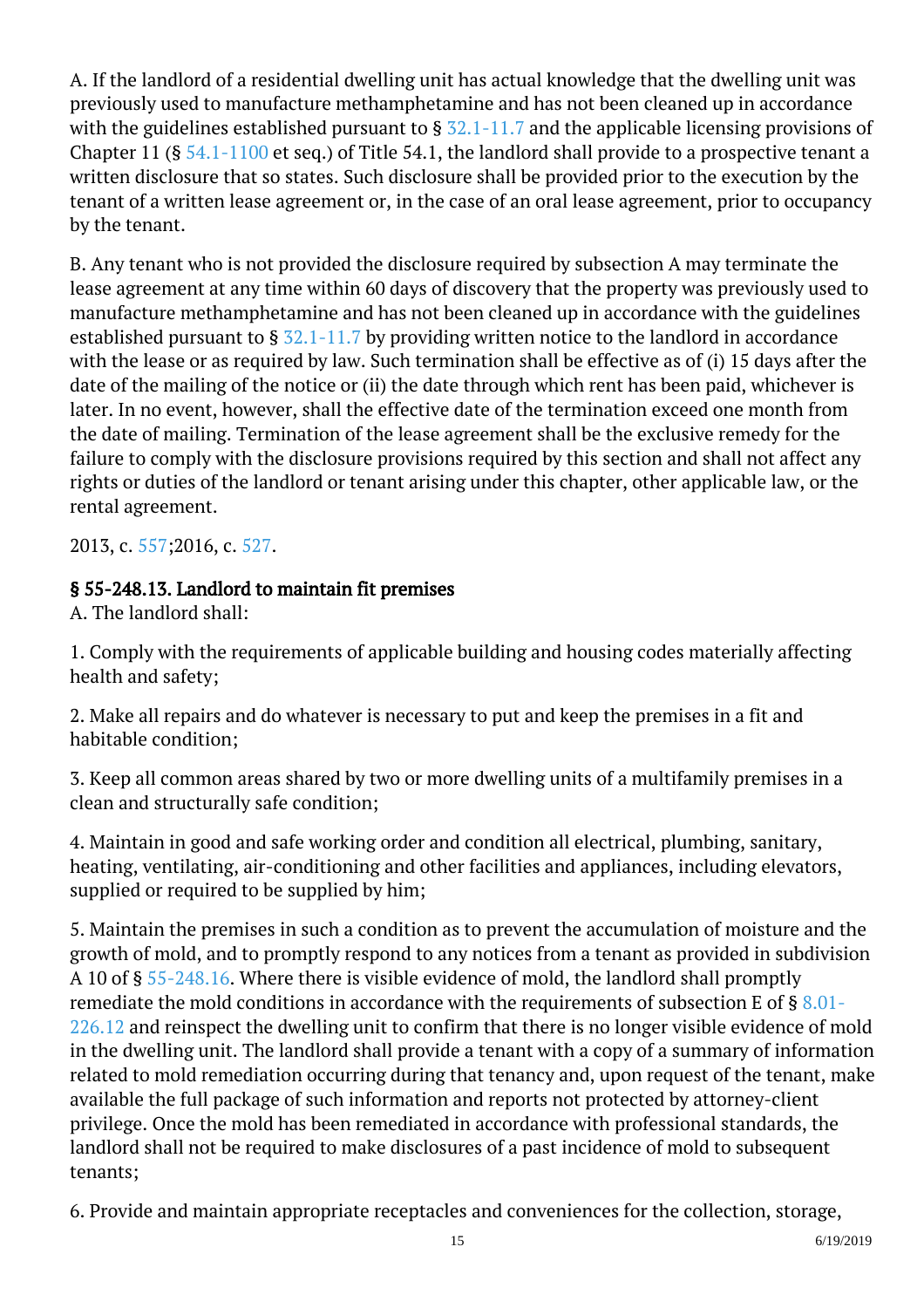A. If the landlord of a residential dwelling unit has actual knowledge that the dwelling unit was previously used to manufacture methamphetamine and has not been cleaned up in accordance with the guidelines established pursuant to § [32.1-11.7](http://law.lis.virginia.gov/vacode/32.1-11.7/) and the applicable licensing provisions of Chapter 11 (§ [54.1-1100](http://law.lis.virginia.gov/vacode/54.1-1100/) et seq.) of Title 54.1, the landlord shall provide to a prospective tenant a written disclosure that so states. Such disclosure shall be provided prior to the execution by the tenant of a written lease agreement or, in the case of an oral lease agreement, prior to occupancy by the tenant.

B. Any tenant who is not provided the disclosure required by subsection A may terminate the lease agreement at any time within 60 days of discovery that the property was previously used to manufacture methamphetamine and has not been cleaned up in accordance with the guidelines established pursuant to  $\S$   $\frac{32.1-11.7}{2}$  by providing written notice to the landlord in accordance with the lease or as required by law. Such termination shall be effective as of (i) 15 days after the date of the mailing of the notice or (ii) the date through which rent has been paid, whichever is later. In no event, however, shall the effective date of the termination exceed one month from the date of mailing. Termination of the lease agreement shall be the exclusive remedy for the failure to comply with the disclosure provisions required by this section and shall not affect any rights or duties of the landlord or tenant arising under this chapter, other applicable law, or the rental agreement.

2013, c. [557;2](http://lis.virginia.gov/cgi-bin/legp604.exe?131+ful+CHAP0557)016, c. [527.](http://lis.virginia.gov/cgi-bin/legp604.exe?161+ful+CHAP0527)

#### § 55-248.13. Landlord to maintain fit premises

A. The landlord shall:

1. Comply with the requirements of applicable building and housing codes materially affecting health and safety;

2. Make all repairs and do whatever is necessary to put and keep the premises in a fit and habitable condition;

3. Keep all common areas shared by two or more dwelling units of a multifamily premises in a clean and structurally safe condition;

4. Maintain in good and safe working order and condition all electrical, plumbing, sanitary, heating, ventilating, air-conditioning and other facilities and appliances, including elevators, supplied or required to be supplied by him;

5. Maintain the premises in such a condition as to prevent the accumulation of moisture and the growth of mold, and to promptly respond to any notices from a tenant as provided in subdivision A 10 of § [55-248.16.](/vacode/55-248.16/) Where there is visible evidence of mold, the landlord shall promptly remediate the mold conditions in accordance with the requirements of subsection E of  $\S 8.01$ [226.12](/vacode/8.01-226.12/) and reinspect the dwelling unit to confirm that there is no longer visible evidence of mold in the dwelling unit. The landlord shall provide a tenant with a copy of a summary of information related to mold remediation occurring during that tenancy and, upon request of the tenant, make available the full package of such information and reports not protected by attorney-client privilege. Once the mold has been remediated in accordance with professional standards, the landlord shall not be required to make disclosures of a past incidence of mold to subsequent tenants;

6. Provide and maintain appropriate receptacles and conveniences for the collection, storage,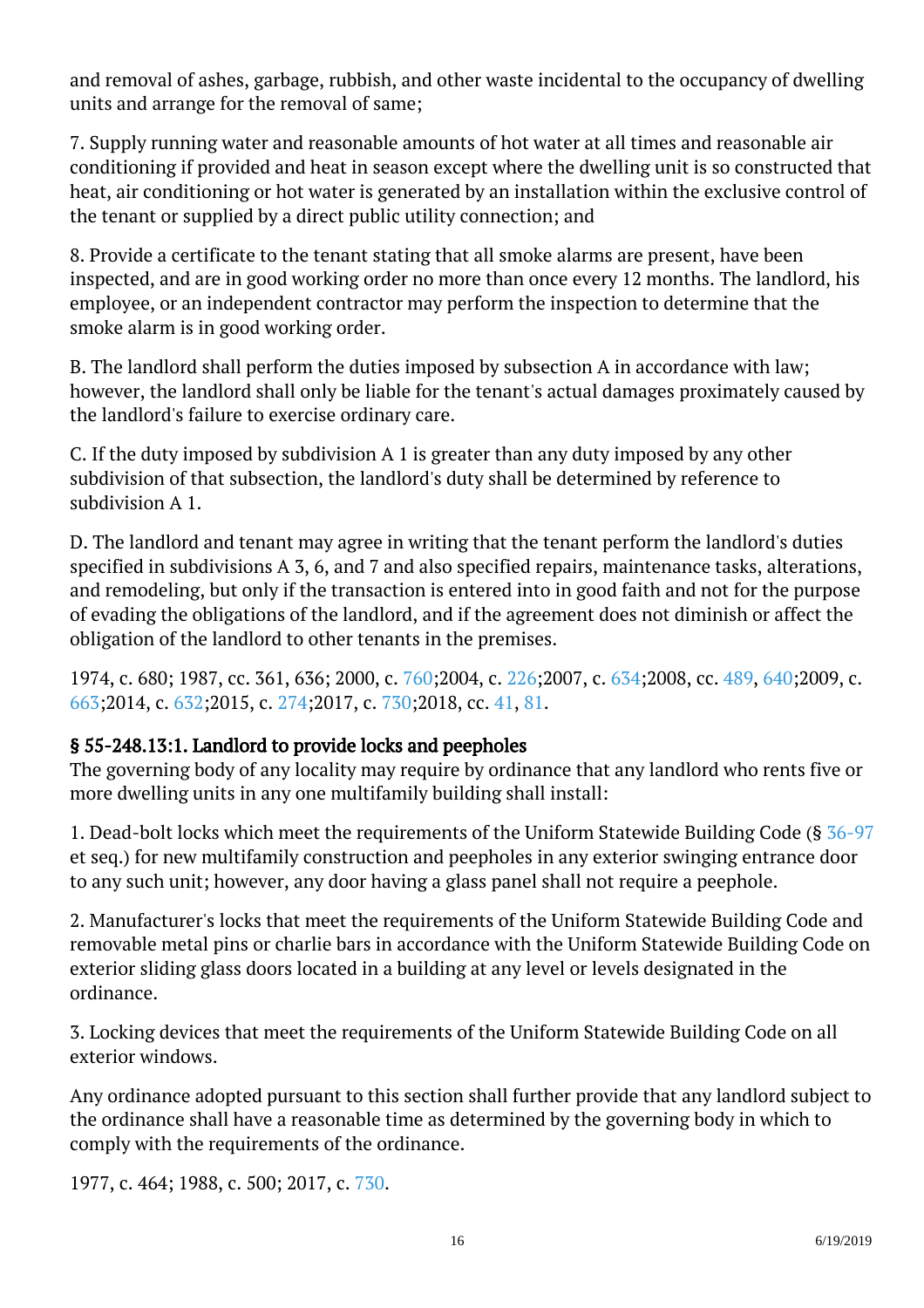and removal of ashes, garbage, rubbish, and other waste incidental to the occupancy of dwelling units and arrange for the removal of same;

7. Supply running water and reasonable amounts of hot water at all times and reasonable air conditioning if provided and heat in season except where the dwelling unit is so constructed that heat, air conditioning or hot water is generated by an installation within the exclusive control of the tenant or supplied by a direct public utility connection; and

8. Provide a certificate to the tenant stating that all smoke alarms are present, have been inspected, and are in good working order no more than once every 12 months. The landlord, his employee, or an independent contractor may perform the inspection to determine that the smoke alarm is in good working order. Ĩ

B. The landlord shall perform the duties imposed by subsection A in accordance with law; however, the landlord shall only be liable for the tenant's actual damages proximately caused by the landlord's failure to exercise ordinary care.

C. If the duty imposed by subdivision A 1 is greater than any duty imposed by any other subdivision of that subsection, the landlord's duty shall be determined by reference to subdivision A 1.

D. The landlord and tenant may agree in writing that the tenant perform the landlord's duties specified in subdivisions A 3, 6, and 7 and also specified repairs, maintenance tasks, alterations, and remodeling, but only if the transaction is entered into in good faith and not for the purpose of evading the obligations of the landlord, and if the agreement does not diminish or affect the obligation of the landlord to other tenants in the premises.

1974, c. 680; 1987, cc. 361, 636; 2000, c. [760;2](http://lis.virginia.gov/cgi-bin/legp604.exe?001+ful+CHAP0760)004, c. [226;2](http://lis.virginia.gov/cgi-bin/legp604.exe?041+ful+CHAP0226)007, c. [634;2](http://lis.virginia.gov/cgi-bin/legp604.exe?071+ful+CHAP0634)008, cc. [489](http://lis.virginia.gov/cgi-bin/legp604.exe?081+ful+CHAP0489), [640;2](http://lis.virginia.gov/cgi-bin/legp604.exe?081+ful+CHAP0640)009, c. [663;](http://lis.virginia.gov/cgi-bin/legp604.exe?091+ful+CHAP0663)2014, c. [632;](http://lis.virginia.gov/cgi-bin/legp604.exe?141+ful+CHAP0632)2015, c. [274;](http://lis.virginia.gov/cgi-bin/legp604.exe?151+ful+CHAP0274)2017, c. [730;2](http://lis.virginia.gov/cgi-bin/legp604.exe?171+ful+CHAP0730)018, cc. [41](http://lis.virginia.gov/cgi-bin/legp604.exe?181+ful+CHAP0041), [81](http://lis.virginia.gov/cgi-bin/legp604.exe?181+ful+CHAP0081).

## § 55-248.13:1. Landlord to provide locks and peepholes

The governing body of any locality may require by ordinance that any landlord who rents five or more dwelling units in any one multifamily building shall install:

1. Dead-bolt locks which meet the requirements of the Uniform Statewide Building Code (§ [36-97](http://law.lis.virginia.gov/vacode/36-97/) et seq.) for new multifamily construction and peepholes in any exterior swinging entrance door to any such unit; however, any door having a glass panel shall not require a peephole.

2. Manufacturer's locks that meet the requirements of the Uniform Statewide Building Code and removable metal pins or charlie bars in accordance with the Uniform Statewide Building Code on exterior sliding glass doors located in a building at any level or levels designated in the ordinance.

3. Locking devices that meet the requirements of the Uniform Statewide Building Code on all exterior windows.

Any ordinance adopted pursuant to this section shall further provide that any landlord subject to the ordinance shall have a reasonable time as determined by the governing body in which to comply with the requirements of the ordinance.

1977, c. 464; 1988, c. 500; 2017, c. [730.](http://lis.virginia.gov/cgi-bin/legp604.exe?171+ful+CHAP0730)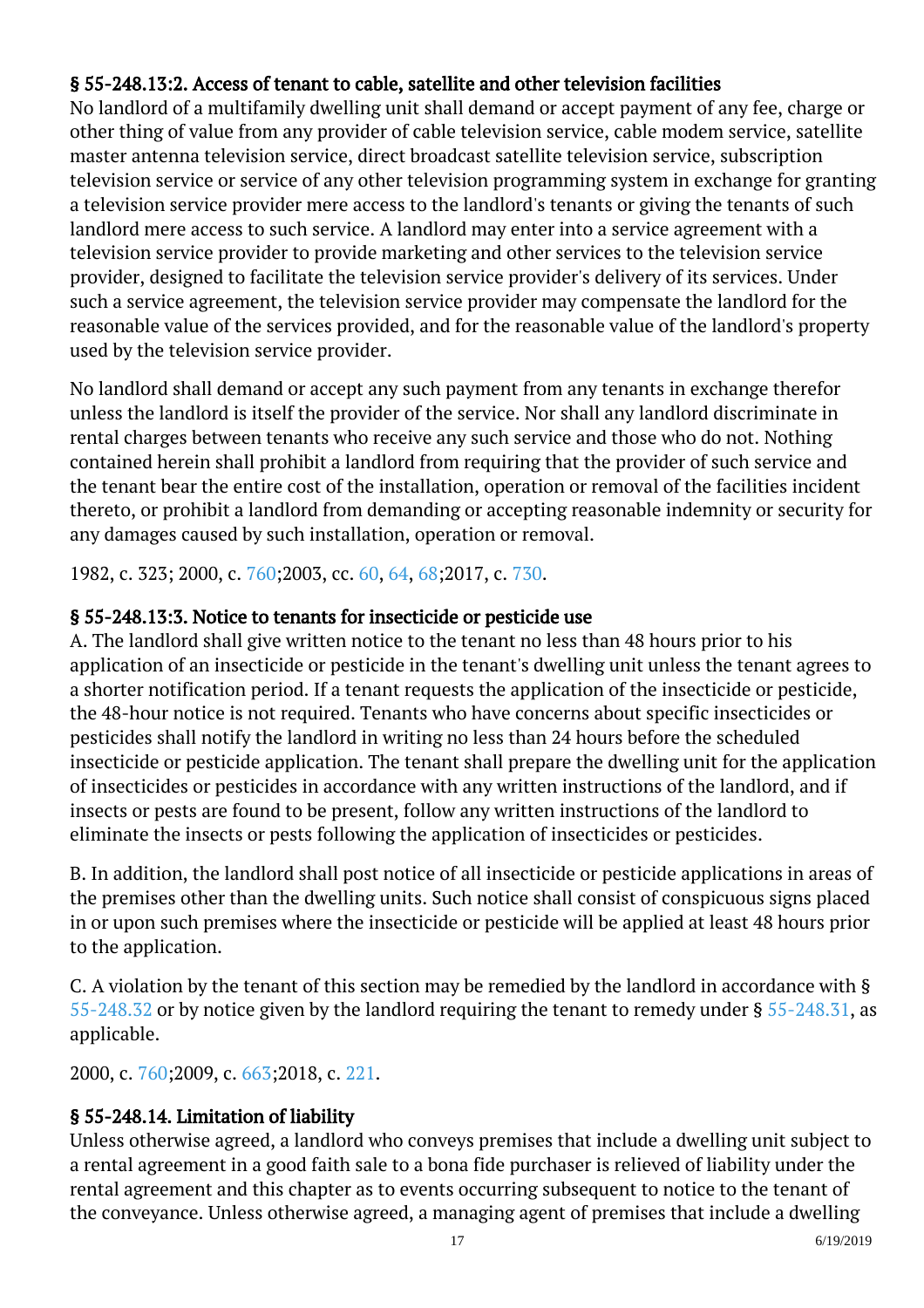## § 55-248.13:2. Access of tenant to cable, satellite and other television facilities

No landlord of a multifamily dwelling unit shall demand or accept payment of any fee, charge or other thing of value from any provider of cable television service, cable modem service, satellite master antenna television service, direct broadcast satellite television service, subscription television service or service of any other television programming system in exchange for granting a television service provider mere access to the landlord's tenants or giving the tenants of such landlord mere access to such service. A landlord may enter into a service agreement with a television service provider to provide marketing and other services to the television service provider, designed to facilitate the television service provider's delivery of its services. Under such a service agreement, the television service provider may compensate the landlord for the reasonable value of the services provided, and for the reasonable value of the landlord's property used by the television service provider.

No landlord shall demand or accept any such payment from any tenants in exchange therefor unless the landlord is itself the provider of the service. Nor shall any landlord discriminate in rental charges between tenants who receive any such service and those who do not. Nothing contained herein shall prohibit a landlord from requiring that the provider of such service and the tenant bear the entire cost of the installation, operation or removal of the facilities incident thereto, or prohibit a landlord from demanding or accepting reasonable indemnity or security for any damages caused by such installation, operation or removal. Ĩ

1982, c. 323; 2000, c. [760;2](http://lis.virginia.gov/cgi-bin/legp604.exe?001+ful+CHAP0760)003, cc. [60,](http://lis.virginia.gov/cgi-bin/legp604.exe?031+ful+CHAP0060) [64](http://lis.virginia.gov/cgi-bin/legp604.exe?031+ful+CHAP0064), [68;](http://lis.virginia.gov/cgi-bin/legp604.exe?031+ful+CHAP0068)2017, c. [730](http://lis.virginia.gov/cgi-bin/legp604.exe?171+ful+CHAP0730).

#### § 55-248.13:3. Notice to tenants for insecticide or pesticide use

A. The landlord shall give written notice to the tenant no less than 48 hours prior to his application of an insecticide or pesticide in the tenant's dwelling unit unless the tenant agrees to a shorter notification period. If a tenant requests the application of the insecticide or pesticide, the 48-hour notice is not required. Tenants who have concerns about specific insecticides or pesticides shall notify the landlord in writing no less than 24 hours before the scheduled insecticide or pesticide application. The tenant shall prepare the dwelling unit for the application of insecticides or pesticides in accordance with any written instructions of the landlord, and if insects or pests are found to be present, follow any written instructions of the landlord to eliminate the insects or pests following the application of insecticides or pesticides.

B. In addition, the landlord shall post notice of all insecticide or pesticide applications in areas of the premises other than the dwelling units. Such notice shall consist of conspicuous signs placed in or upon such premises where the insecticide or pesticide will be applied at least 48 hours prior to the application.

C. A violation by the tenant of this section may be remedied by the landlord in accordance with § [55-248.32](/vacode/55-248.32/) or by notice given by the landlord requiring the tenant to remedy under § [55-248.31](/vacode/55-248.31/), as applicable. Ĩ

2000, c. [760;2](http://lis.virginia.gov/cgi-bin/legp604.exe?001+ful+CHAP0760)009, c. [663;2](http://lis.virginia.gov/cgi-bin/legp604.exe?091+ful+CHAP0663)018, c. [221.](http://lis.virginia.gov/cgi-bin/legp604.exe?181+ful+CHAP0221)

## § 55-248.14. Limitation of liability

Unless otherwise agreed, a landlord who conveys premises that include a dwelling unit subject to a rental agreement in a good faith sale to a bona fide purchaser is relieved of liability under the rental agreement and this chapter as to events occurring subsequent to notice to the tenant of the conveyance. Unless otherwise agreed, a managing agent of premises that include a dwelling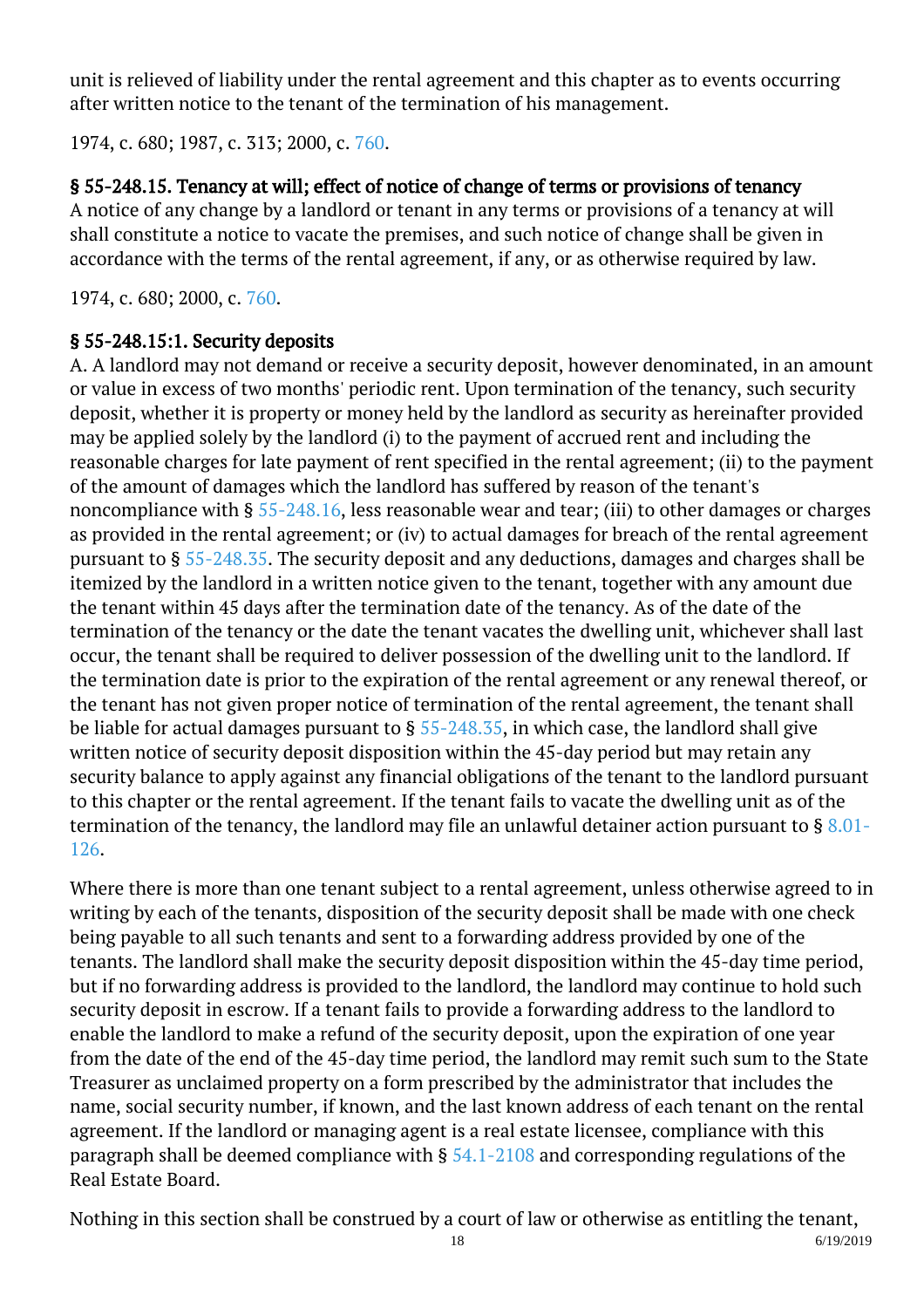unit is relieved of liability under the rental agreement and this chapter as to events occurring after written notice to the tenant of the termination of his management. Ĩ

1974, c. 680; 1987, c. 313; 2000, c. [760.](http://lis.virginia.gov/cgi-bin/legp604.exe?001+ful+CHAP0760)

## § 55-248.15. Tenancy at will; effect of notice of change of terms or provisions of tenancy

A notice of any change by a landlord or tenant in any terms or provisions of a tenancy at will shall constitute a notice to vacate the premises, and such notice of change shall be given in accordance with the terms of the rental agreement, if any, or as otherwise required by law. Ĩ

1974, c. 680; 2000, c. [760.](http://lis.virginia.gov/cgi-bin/legp604.exe?001+ful+CHAP0760)

#### § 55-248.15:1. Security deposits

A. A landlord may not demand or receive a security deposit, however denominated, in an amount or value in excess of two months' periodic rent. Upon termination of the tenancy, such security deposit, whether it is property or money held by the landlord as security as hereinafter provided may be applied solely by the landlord (i) to the payment of accrued rent and including the reasonable charges for late payment of rent specified in the rental agreement; (ii) to the payment of the amount of damages which the landlord has suffered by reason of the tenant's noncompliance with § [55-248.16](/vacode/55-248.16/), less reasonable wear and tear; (iii) to other damages or charges as provided in the rental agreement; or (iv) to actual damages for breach of the rental agreement pursuant to § [55-248.35](/vacode/55-248.35/). The security deposit and any deductions, damages and charges shall be itemized by the landlord in a written notice given to the tenant, together with any amount due the tenant within 45 days after the termination date of the tenancy. As of the date of the termination of the tenancy or the date the tenant vacates the dwelling unit, whichever shall last occur, the tenant shall be required to deliver possession of the dwelling unit to the landlord. If the termination date is prior to the expiration of the rental agreement or any renewal thereof, or the tenant has not given proper notice of termination of the rental agreement, the tenant shall be liable for actual damages pursuant to  $\S$  [55-248.35,](/vacode/55-248.35/) in which case, the landlord shall give written notice of security deposit disposition within the 45-day period but may retain any security balance to apply against any financial obligations of the tenant to the landlord pursuant to this chapter or the rental agreement. If the tenant fails to vacate the dwelling unit as of the termination of the tenancy, the landlord may file an unlawful detainer action pursuant to § [8.01-](/vacode/8.01-126/) [126](/vacode/8.01-126/).

Where there is more than one tenant subject to a rental agreement, unless otherwise agreed to in writing by each of the tenants, disposition of the security deposit shall be made with one check being payable to all such tenants and sent to a forwarding address provided by one of the tenants. The landlord shall make the security deposit disposition within the 45-day time period, but if no forwarding address is provided to the landlord, the landlord may continue to hold such security deposit in escrow. If a tenant fails to provide a forwarding address to the landlord to enable the landlord to make a refund of the security deposit, upon the expiration of one year from the date of the end of the 45-day time period, the landlord may remit such sum to the State Treasurer as unclaimed property on a form prescribed by the administrator that includes the name, social security number, if known, and the last known address of each tenant on the rental agreement. If the landlord or managing agent is a real estate licensee, compliance with this paragraph shall be deemed compliance with § [54.1-2108](/vacode/54.1-2108/) and corresponding regulations of the Real Estate Board.

Nothing in this section shall be construed by a court of law or otherwise as entitling the tenant,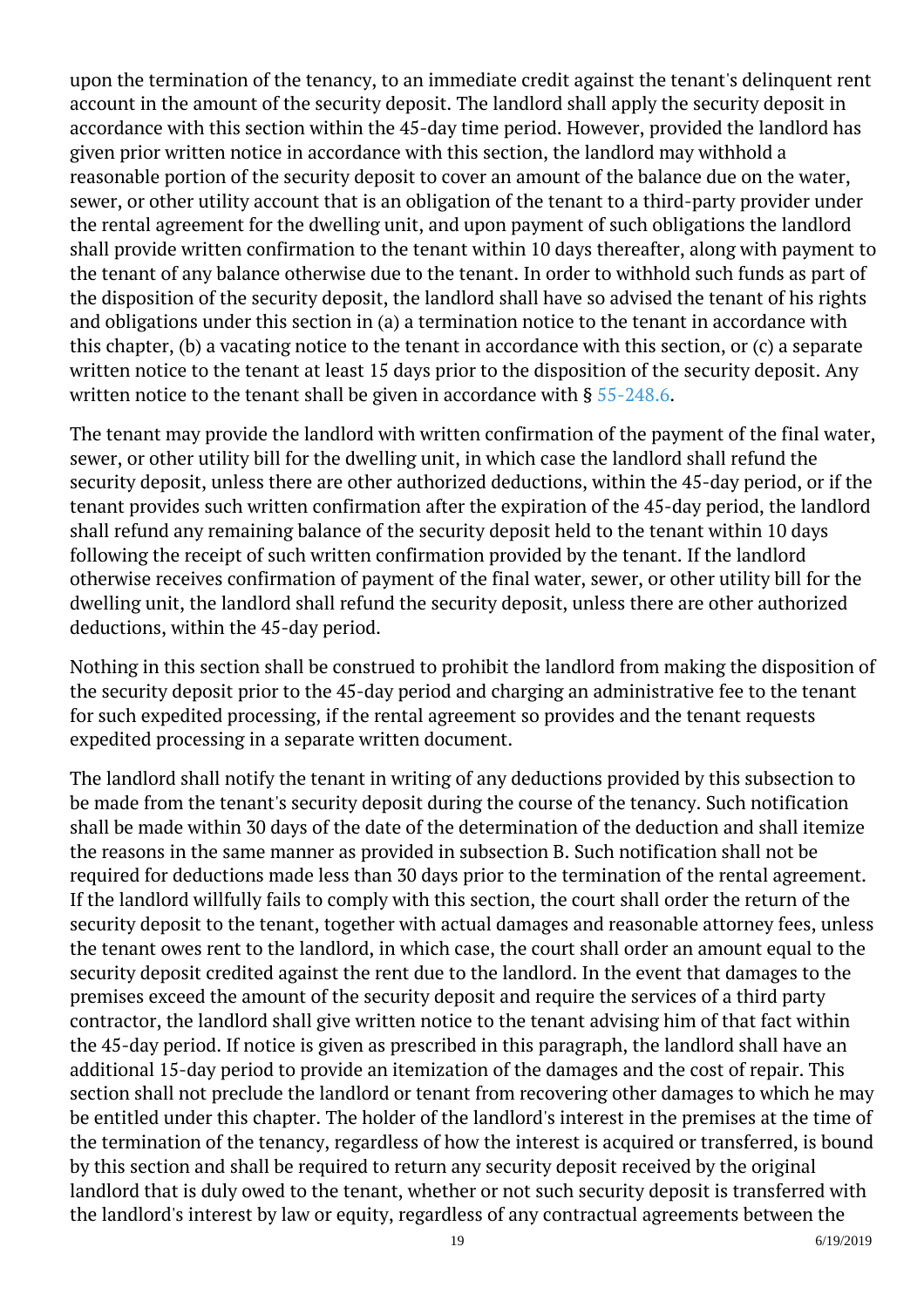upon the termination of the tenancy, to an immediate credit against the tenant's delinquent rent account in the amount of the security deposit. The landlord shall apply the security deposit in accordance with this section within the 45-day time period. However, provided the landlord has given prior written notice in accordance with this section, the landlord may withhold a reasonable portion of the security deposit to cover an amount of the balance due on the water, sewer, or other utility account that is an obligation of the tenant to a third-party provider under the rental agreement for the dwelling unit, and upon payment of such obligations the landlord shall provide written confirmation to the tenant within 10 days thereafter, along with payment to the tenant of any balance otherwise due to the tenant. In order to withhold such funds as part of the disposition of the security deposit, the landlord shall have so advised the tenant of his rights and obligations under this section in (a) a termination notice to the tenant in accordance with this chapter, (b) a vacating notice to the tenant in accordance with this section, or (c) a separate written notice to the tenant at least 15 days prior to the disposition of the security deposit. Any written notice to the tenant shall be given in accordance with §  $55$ -248.6.  $\,$ 

The tenant may provide the landlord with written confirmation of the payment of the final water, sewer, or other utility bill for the dwelling unit, in which case the landlord shall refund the security deposit, unless there are other authorized deductions, within the 45-day period, or if the tenant provides such written confirmation after the expiration of the 45-day period, the landlord shall refund any remaining balance of the security deposit held to the tenant within 10 days following the receipt of such written confirmation provided by the tenant. If the landlord otherwise receives confirmation of payment of the final water, sewer, or other utility bill for the dwelling unit, the landlord shall refund the security deposit, unless there are other authorized deductions, within the 45-day period.

Nothing in this section shall be construed to prohibit the landlord from making the disposition of the security deposit prior to the 45-day period and charging an administrative fee to the tenant for such expedited processing, if the rental agreement so provides and the tenant requests expedited processing in a separate written document.

The landlord shall notify the tenant in writing of any deductions provided by this subsection to be made from the tenant's security deposit during the course of the tenancy. Such notification shall be made within 30 days of the date of the determination of the deduction and shall itemize the reasons in the same manner as provided in subsection B. Such notification shall not be required for deductions made less than 30 days prior to the termination of the rental agreement. If the landlord willfully fails to comply with this section, the court shall order the return of the security deposit to the tenant, together with actual damages and reasonable attorney fees, unless the tenant owes rent to the landlord, in which case, the court shall order an amount equal to the security deposit credited against the rent due to the landlord. In the event that damages to the premises exceed the amount of the security deposit and require the services of a third party contractor, the landlord shall give written notice to the tenant advising him of that fact within the 45-day period. If notice is given as prescribed in this paragraph, the landlord shall have an additional 15-day period to provide an itemization of the damages and the cost of repair. This section shall not preclude the landlord or tenant from recovering other damages to which he may be entitled under this chapter. The holder of the landlord's interest in the premises at the time of the termination of the tenancy, regardless of how the interest is acquired or transferred, is bound by this section and shall be required to return any security deposit received by the original landlord that is duly owed to the tenant, whether or not such security deposit is transferred with the landlord's interest by law or equity, regardless of any contractual agreements between the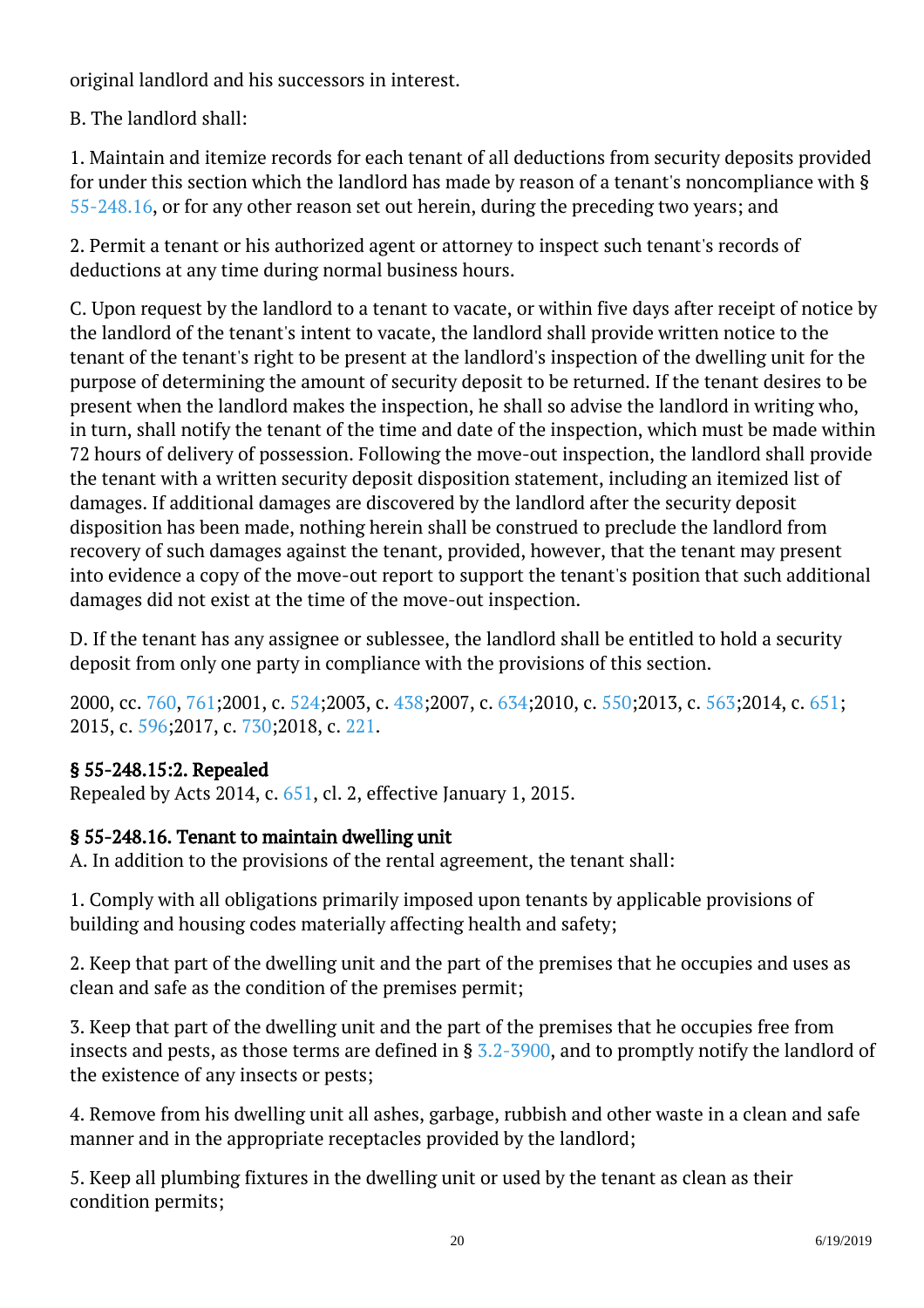original landlord and his successors in interest.

B. The landlord shall:

1. Maintain and itemize records for each tenant of all deductions from security deposits provided for under this section which the landlord has made by reason of a tenant's noncompliance with § [55-248.16](/vacode/55-248.16/), or for any other reason set out herein, during the preceding two years; and

2. Permit a tenant or his authorized agent or attorney to inspect such tenant's records of deductions at any time during normal business hours.

C. Upon request by the landlord to a tenant to vacate, or within five days after receipt of notice by the landlord of the tenant's intent to vacate, the landlord shall provide written notice to the tenant of the tenant's right to be present at the landlord's inspection of the dwelling unit for the purpose of determining the amount of security deposit to be returned. If the tenant desires to be present when the landlord makes the inspection, he shall so advise the landlord in writing who, in turn, shall notify the tenant of the time and date of the inspection, which must be made within 72 hours of delivery of possession. Following the move-out inspection, the landlord shall provide the tenant with a written security deposit disposition statement, including an itemized list of damages. If additional damages are discovered by the landlord after the security deposit disposition has been made, nothing herein shall be construed to preclude the landlord from recovery of such damages against the tenant, provided, however, that the tenant may present into evidence a copy of the move-out report to support the tenant's position that such additional damages did not exist at the time of the move-out inspection.

D. If the tenant has any assignee or sublessee, the landlord shall be entitled to hold a security deposit from only one party in compliance with the provisions of this section.

2000, cc. [760,](http://lis.virginia.gov/cgi-bin/legp604.exe?001+ful+CHAP0760) [761;](http://lis.virginia.gov/cgi-bin/legp604.exe?001+ful+CHAP0761)2001, c. [524;2](http://lis.virginia.gov/cgi-bin/legp604.exe?011+ful+CHAP0524)003, c. [438;2](http://lis.virginia.gov/cgi-bin/legp604.exe?031+ful+CHAP0438)007, c. [634;2](http://lis.virginia.gov/cgi-bin/legp604.exe?071+ful+CHAP0634)010, c. [550;2](http://lis.virginia.gov/cgi-bin/legp604.exe?101+ful+CHAP0550)013, c. [563;2](http://lis.virginia.gov/cgi-bin/legp604.exe?131+ful+CHAP0563)014, c. [651;](http://lis.virginia.gov/cgi-bin/legp604.exe?141+ful+CHAP0651) 2015, c. [596;2](http://lis.virginia.gov/cgi-bin/legp604.exe?151+ful+CHAP0596)017, c. [730;2](http://lis.virginia.gov/cgi-bin/legp604.exe?171+ful+CHAP0730)018, c. [221.](http://lis.virginia.gov/cgi-bin/legp604.exe?181+ful+CHAP0221)

## § 55-248.15:2. Repealed

Repealed by Acts 2014, c. [651,](http://lis.virginia.gov/cgi-bin/legp604.exe?141+ful+CHAP0651) cl. 2, effective January 1, 2015.

## § 55-248.16. Tenant to maintain dwelling unit

A. In addition to the provisions of the rental agreement, the tenant shall:

1. Comply with all obligations primarily imposed upon tenants by applicable provisions of building and housing codes materially affecting health and safety;

2. Keep that part of the dwelling unit and the part of the premises that he occupies and uses as clean and safe as the condition of the premises permit;

3. Keep that part of the dwelling unit and the part of the premises that he occupies free from insects and pests, as those terms are defined in § [3.2-3900](/vacode/3.2-3900/), and to promptly notify the landlord of the existence of any insects or pests;

4. Remove from his dwelling unit all ashes, garbage, rubbish and other waste in a clean and safe manner and in the appropriate receptacles provided by the landlord;

5. Keep all plumbing fixtures in the dwelling unit or used by the tenant as clean as their condition permits;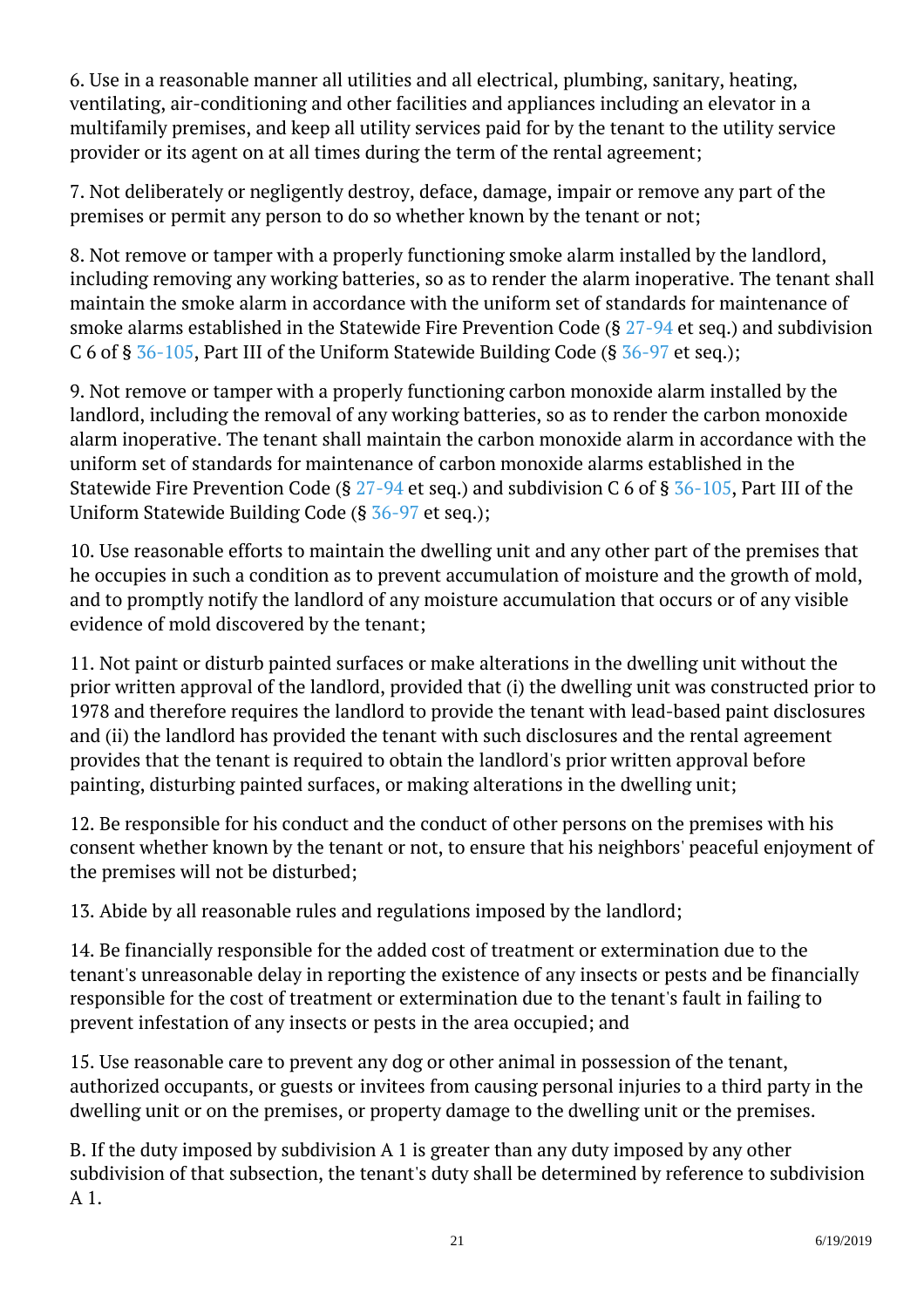6. Use in a reasonable manner all utilities and all electrical, plumbing, sanitary, heating, ventilating, air-conditioning and other facilities and appliances including an elevator in a multifamily premises, and keep all utility services paid for by the tenant to the utility service provider or its agent on at all times during the term of the rental agreement; <sup>"</sup>

7. Not deliberately or negligently destroy, deface, damage, impair or remove any part of the premises or permit any person to do so whether known by the tenant or not; <sup>"</sup>

8. Not remove or tamper with a properly functioning smoke alarm installed by the landlord, including removing any working batteries, so as to render the alarm inoperative. The tenant shall maintain the smoke alarm in accordance with the uniform set of standards for maintenance of smoke alarms established in the Statewide Fire Prevention Code (§ [27-94](/vacode/27-94/) et seq.) and subdivision C 6 of § [36-105,](/vacode/36-105/) Part III of the Uniform Statewide Building Code (§ [36-97](/vacode/36-97/) et seq.);

9. Not remove or tamper with a properly functioning carbon monoxide alarm installed by the landlord, including the removal of any working batteries, so as to render the carbon monoxide alarm inoperative. The tenant shall maintain the carbon monoxide alarm in accordance with the uniform set of standards for maintenance of carbon monoxide alarms established in the Statewide Fire Prevention Code (§  $27-94$  et seq.) and subdivision C 6 of §  $36-105$ , Part III of the Uniform Statewide Building Code (§ [36-97](/vacode/36-97/) et seq.);

10. Use reasonable efforts to maintain the dwelling unit and any other part of the premises that he occupies in such a condition as to prevent accumulation of moisture and the growth of mold, and to promptly notify the landlord of any moisture accumulation that occurs or of any visible evidence of mold discovered by the tenant;

11. Not paint or disturb painted surfaces or make alterations in the dwelling unit without the prior written approval of the landlord, provided that (i) the dwelling unit was constructed prior to 1978 and therefore requires the landlord to provide the tenant with lead-based paint disclosures and (ii) the landlord has provided the tenant with such disclosures and the rental agreement provides that the tenant is required to obtain the landlord's prior written approval before painting, disturbing painted surfaces, or making alterations in the dwelling unit; <sup>"</sup>

12. Be responsible for his conduct and the conduct of other persons on the premises with his consent whether known by the tenant or not, to ensure that his neighbors' peaceful enjoyment of the premises will not be disturbed;

13. Abide by all reasonable rules and regulations imposed by the landlord;

14. Be financially responsible for the added cost of treatment or extermination due to the tenant's unreasonable delay in reporting the existence of any insects or pests and be financially responsible for the cost of treatment or extermination due to the tenant's fault in failing to prevent infestation of any insects or pests in the area occupied; and <sup>"</sup>

15. Use reasonable care to prevent any dog or other animal in possession of the tenant, authorized occupants, or guests or invitees from causing personal injuries to a third party in the dwelling unit or on the premises, or property damage to the dwelling unit or the premises.

B. If the duty imposed by subdivision A 1 is greater than any duty imposed by any other subdivision of that subsection, the tenant's duty shall be determined by reference to subdivision A 1.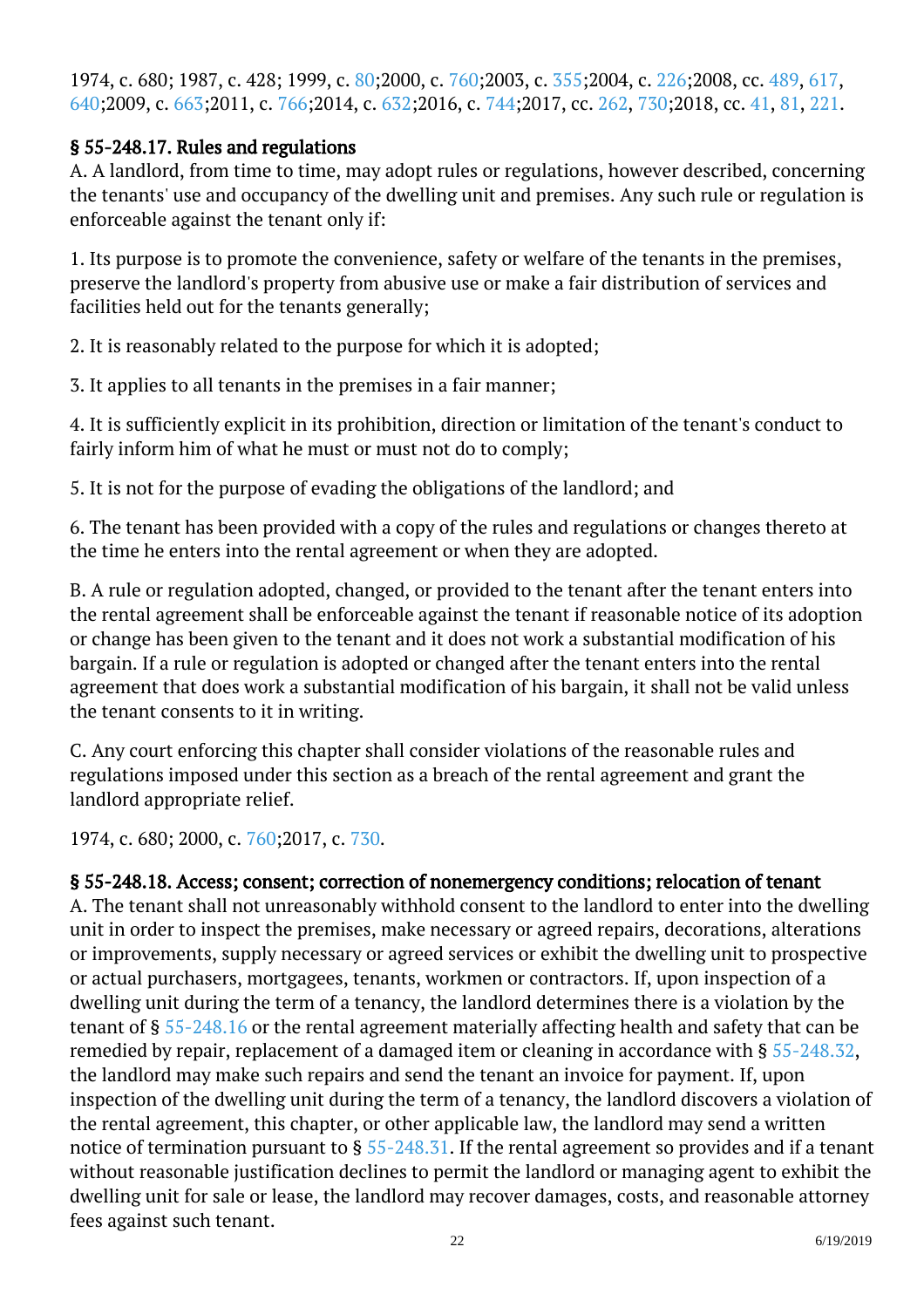1974, c. 680; 1987, c. 428; 1999, c. [80;](http://lis.virginia.gov/cgi-bin/legp604.exe?991+ful+CHAP0080)2000, c. [760;](http://lis.virginia.gov/cgi-bin/legp604.exe?001+ful+CHAP0760)2003, c. [355;](http://lis.virginia.gov/cgi-bin/legp604.exe?031+ful+CHAP0355)2004, c. [226;2](http://lis.virginia.gov/cgi-bin/legp604.exe?041+ful+CHAP0226)008, cc. [489,](http://lis.virginia.gov/cgi-bin/legp604.exe?081+ful+CHAP0489) [617](http://lis.virginia.gov/cgi-bin/legp604.exe?081+ful+CHAP0617), [640;](http://lis.virginia.gov/cgi-bin/legp604.exe?081+ful+CHAP0640)2009, c. [663;](http://lis.virginia.gov/cgi-bin/legp604.exe?091+ful+CHAP0663)2011, c. [766;](http://lis.virginia.gov/cgi-bin/legp604.exe?111+ful+CHAP0766)2014, c. [632;2](http://lis.virginia.gov/cgi-bin/legp604.exe?141+ful+CHAP0632)016, c. [744;2](http://lis.virginia.gov/cgi-bin/legp604.exe?161+ful+CHAP0744)017, cc. [262](http://lis.virginia.gov/cgi-bin/legp604.exe?171+ful+CHAP0262), [730;2](http://lis.virginia.gov/cgi-bin/legp604.exe?171+ful+CHAP0730)018, cc. [41](http://lis.virginia.gov/cgi-bin/legp604.exe?181+ful+CHAP0041), [81](http://lis.virginia.gov/cgi-bin/legp604.exe?181+ful+CHAP0081), [221.](http://lis.virginia.gov/cgi-bin/legp604.exe?181+ful+CHAP0221)

#### § 55-248.17. Rules and regulations

A. A landlord, from time to time, may adopt rules or regulations, however described, concerning the tenants' use and occupancy of the dwelling unit and premises. Any such rule or regulation is enforceable against the tenant only if:

1. Its purpose is to promote the convenience, safety or welfare of the tenants in the premises, preserve the landlord's property from abusive use or make a fair distribution of services and facilities held out for the tenants generally;

2. It is reasonably related to the purpose for which it is adopted;

3. It applies to all tenants in the premises in a fair manner;

4. It is sufficiently explicit in its prohibition, direction or limitation of the tenant's conduct to fairly inform him of what he must or must not do to comply;

5. It is not for the purpose of evading the obligations of the landlord; and I

6. The tenant has been provided with a copy of the rules and regulations or changes thereto at the time he enters into the rental agreement or when they are adopted.

B. A rule or regulation adopted, changed, or provided to the tenant after the tenant enters into the rental agreement shall be enforceable against the tenant if reasonable notice of its adoption or change has been given to the tenant and it does not work a substantial modification of his bargain. If a rule or regulation is adopted or changed after the tenant enters into the rental agreement that does work a substantial modification of his bargain, it shall not be valid unless the tenant consents to it in writing.

C. Any court enforcing this chapter shall consider violations of the reasonable rules and regulations imposed under this section as a breach of the rental agreement and grant the landlord appropriate relief.

1974, c. 680; 2000, c. [760;2](http://lis.virginia.gov/cgi-bin/legp604.exe?001+ful+CHAP0760)017, c. [730.](http://lis.virginia.gov/cgi-bin/legp604.exe?171+ful+CHAP0730)

#### § 55-248.18. Access; consent; correction of nonemergency conditions; relocation of tenant

A. The tenant shall not unreasonably withhold consent to the landlord to enter into the dwelling unit in order to inspect the premises, make necessary or agreed repairs, decorations, alterations or improvements, supply necessary or agreed services or exhibit the dwelling unit to prospective or actual purchasers, mortgagees, tenants, workmen or contractors. If, upon inspection of a dwelling unit during the term of a tenancy, the landlord determines there is a violation by the tenant of § [55-248.16](/vacode/55-248.16/) or the rental agreement materially affecting health and safety that can be remedied by repair, replacement of a damaged item or cleaning in accordance with § [55-248.32](/vacode/55-248.32/), the landlord may make such repairs and send the tenant an invoice for payment. If, upon inspection of the dwelling unit during the term of a tenancy, the landlord discovers a violation of the rental agreement, this chapter, or other applicable law, the landlord may send a written notice of termination pursuant to § [55-248.31](/vacode/55-248.31/). If the rental agreement so provides and if a tenant without reasonable justification declines to permit the landlord or managing agent to exhibit the dwelling unit for sale or lease, the landlord may recover damages, costs, and reasonable attorney fees against such tenant.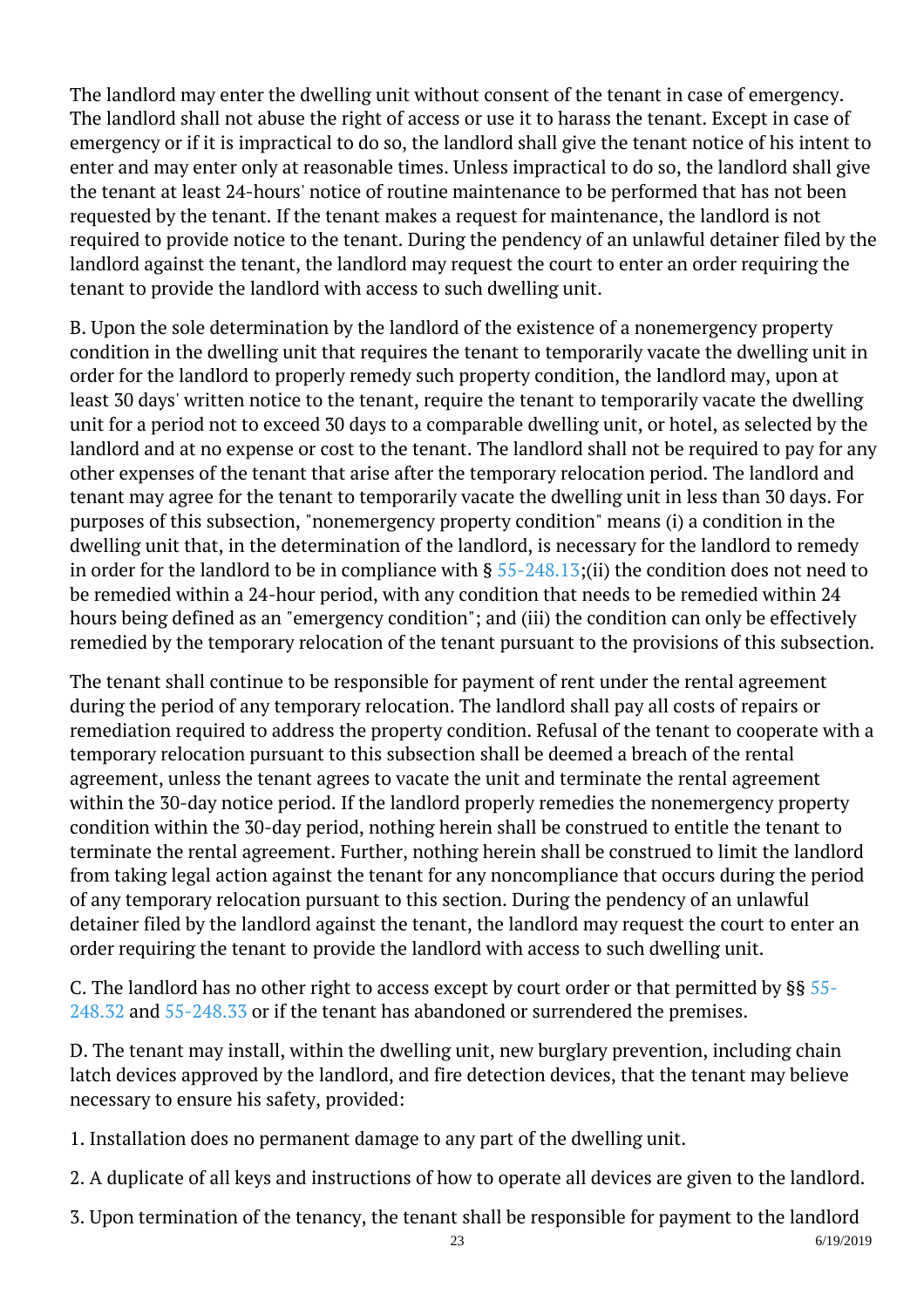The landlord may enter the dwelling unit without consent of the tenant in case of emergency. The landlord shall not abuse the right of access or use it to harass the tenant. Except in case of emergency or if it is impractical to do so, the landlord shall give the tenant notice of his intent to enter and may enter only at reasonable times. Unless impractical to do so, the landlord shall give the tenant at least 24-hours' notice of routine maintenance to be performed that has not been requested by the tenant. If the tenant makes a request for maintenance, the landlord is not required to provide notice to the tenant. During the pendency of an unlawful detainer filed by the landlord against the tenant, the landlord may request the court to enter an order requiring the tenant to provide the landlord with access to such dwelling unit.

B. Upon the sole determination by the landlord of the existence of a nonemergency property condition in the dwelling unit that requires the tenant to temporarily vacate the dwelling unit in order for the landlord to properly remedy such property condition, the landlord may, upon at least 30 days' written notice to the tenant, require the tenant to temporarily vacate the dwelling unit for a period not to exceed 30 days to a comparable dwelling unit, or hotel, as selected by the landlord and at no expense or cost to the tenant. The landlord shall not be required to pay for any other expenses of the tenant that arise after the temporary relocation period. The landlord and tenant may agree for the tenant to temporarily vacate the dwelling unit in less than 30 days. For purposes of this subsection, "nonemergency property condition" means (i) a condition in the dwelling unit that, in the determination of the landlord, is necessary for the landlord to remedy in order for the landlord to be in compliance with § [55-248.13;](/vacode/55-248.13/)(ii) the condition does not need to be remedied within a 24-hour period, with any condition that needs to be remedied within 24 hours being defined as an "emergency condition"; and (iii) the condition can only be effectively remedied by the temporary relocation of the tenant pursuant to the provisions of this subsection.

The tenant shall continue to be responsible for payment of rent under the rental agreement during the period of any temporary relocation. The landlord shall pay all costs of repairs or remediation required to address the property condition. Refusal of the tenant to cooperate with a temporary relocation pursuant to this subsection shall be deemed a breach of the rental agreement, unless the tenant agrees to vacate the unit and terminate the rental agreement within the 30-day notice period. If the landlord properly remedies the nonemergency property condition within the 30-day period, nothing herein shall be construed to entitle the tenant to terminate the rental agreement. Further, nothing herein shall be construed to limit the landlord from taking legal action against the tenant for any noncompliance that occurs during the period of any temporary relocation pursuant to this section. During the pendency of an unlawful detainer filed by the landlord against the tenant, the landlord may request the court to enter an order requiring the tenant to provide the landlord with access to such dwelling unit.

C. The landlord has no other right to access except by court order or that permitted by §§ [55-](/vacode/55-248.32/) [248.32](/vacode/55-248.32/) and [55-248.33](/vacode/55-248.33/) or if the tenant has abandoned or surrendered the premises.

D. The tenant may install, within the dwelling unit, new burglary prevention, including chain latch devices approved by the landlord, and fire detection devices, that the tenant may believe necessary to ensure his safety, provided:

- 1. Installation does no permanent damage to any part of the dwelling unit.
- 2. A duplicate of all keys and instructions of how to operate all devices are given to the landlord.
- 3. Upon termination of the tenancy, the tenant shall be responsible for payment to the landlord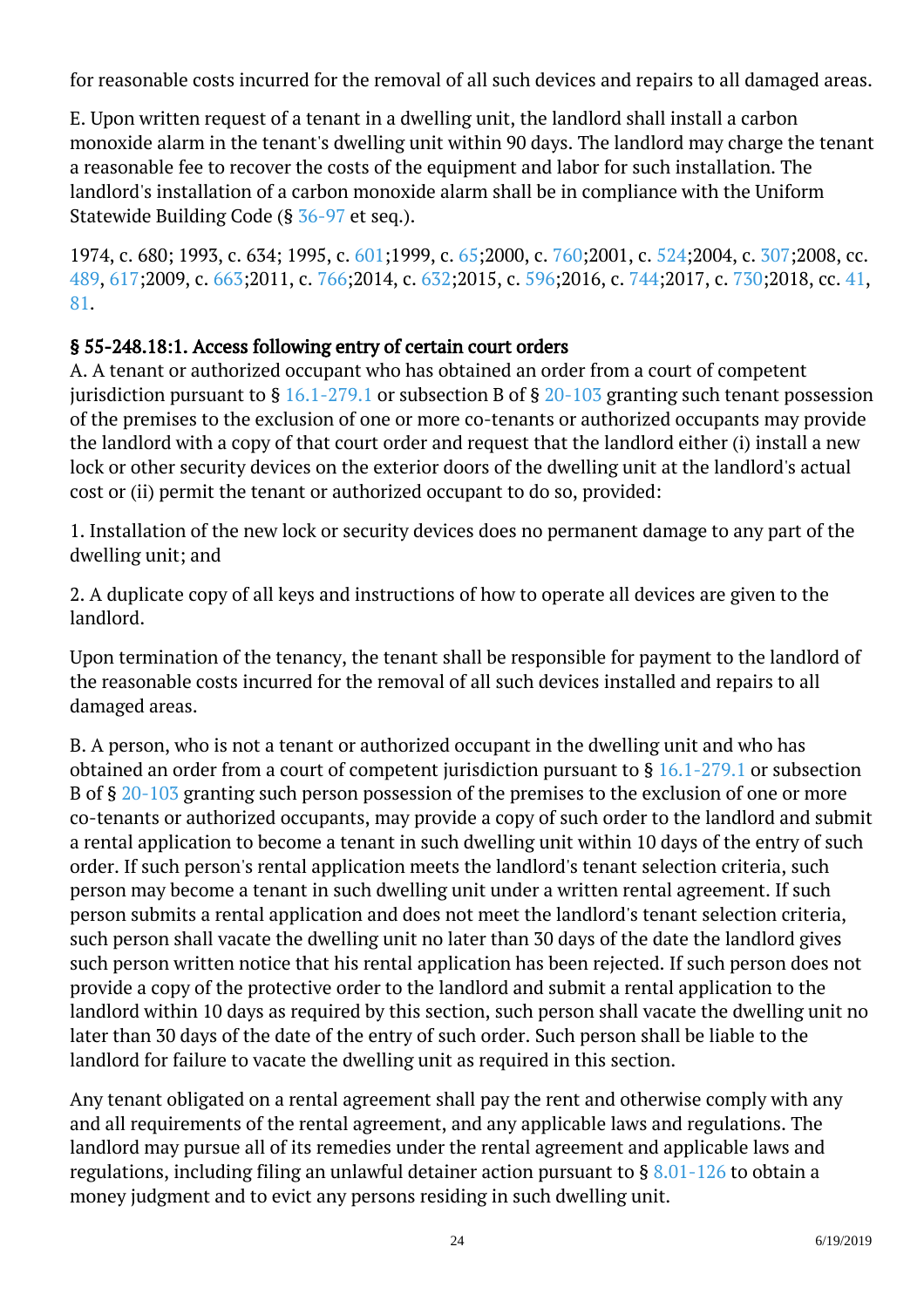for reasonable costs incurred for the removal of all such devices and repairs to all damaged areas.

E. Upon written request of a tenant in a dwelling unit, the landlord shall install a carbon monoxide alarm in the tenant's dwelling unit within 90 days. The landlord may charge the tenant a reasonable fee to recover the costs of the equipment and labor for such installation. The landlord's installation of a carbon monoxide alarm shall be in compliance with the Uniform Statewide Building Code (§ [36-97](/vacode/36-97/) et seq.). I

1974, c. 680; 1993, c. 634; 1995, c. [601;1](http://lis.virginia.gov/cgi-bin/legp604.exe?951+ful+CHAP0601)999, c. [65;](http://lis.virginia.gov/cgi-bin/legp604.exe?991+ful+CHAP0065)2000, c. [760;](http://lis.virginia.gov/cgi-bin/legp604.exe?001+ful+CHAP0760)2001, c. [524;2](http://lis.virginia.gov/cgi-bin/legp604.exe?011+ful+CHAP0524)004, c. [307;2](http://lis.virginia.gov/cgi-bin/legp604.exe?041+ful+CHAP0307)008, cc. [489](http://lis.virginia.gov/cgi-bin/legp604.exe?081+ful+CHAP0489), [617;2](http://lis.virginia.gov/cgi-bin/legp604.exe?081+ful+CHAP0617)009, c. [663;2](http://lis.virginia.gov/cgi-bin/legp604.exe?091+ful+CHAP0663)011, c. [766;2](http://lis.virginia.gov/cgi-bin/legp604.exe?111+ful+CHAP0766)014, c. [632;](http://lis.virginia.gov/cgi-bin/legp604.exe?141+ful+CHAP0632)2015, c. [596;](http://lis.virginia.gov/cgi-bin/legp604.exe?151+ful+CHAP0596)2016, c. [744;](http://lis.virginia.gov/cgi-bin/legp604.exe?161+ful+CHAP0744)2017, c. [730;](http://lis.virginia.gov/cgi-bin/legp604.exe?171+ful+CHAP0730)2018, cc. [41](http://lis.virginia.gov/cgi-bin/legp604.exe?181+ful+CHAP0041), [81.](http://lis.virginia.gov/cgi-bin/legp604.exe?181+ful+CHAP0081)

#### § 55-248.18:1. Access following entry of certain court orders

A. A tenant or authorized occupant who has obtained an order from a court of competent jurisdiction pursuant to  $\S 16.1-279.1$  $\S 16.1-279.1$  or subsection B of  $\S 20-103$  granting such tenant possession of the premises to the exclusion of one or more co-tenants or authorized occupants may provide the landlord with a copy of that court order and request that the landlord either (i) install a new lock or other security devices on the exterior doors of the dwelling unit at the landlord's actual cost or (ii) permit the tenant or authorized occupant to do so, provided:

1. Installation of the new lock or security devices does no permanent damage to any part of the dwelling unit; and

2. A duplicate copy of all keys and instructions of how to operate all devices are given to the landlord.

Upon termination of the tenancy, the tenant shall be responsible for payment to the landlord of the reasonable costs incurred for the removal of all such devices installed and repairs to all damaged areas.

B. A person, who is not a tenant or authorized occupant in the dwelling unit and who has obtained an order from a court of competent jurisdiction pursuant to § [16.1-279.1](http://law.lis.virginia.gov/vacode/16.1-279.1/) or subsection B of § [20-103](http://law.lis.virginia.gov/vacode/20-103/) granting such person possession of the premises to the exclusion of one or more co-tenants or authorized occupants, may provide a copy of such order to the landlord and submit a rental application to become a tenant in such dwelling unit within 10 days of the entry of such order. If such person's rental application meets the landlord's tenant selection criteria, such person may become a tenant in such dwelling unit under a written rental agreement. If such person submits a rental application and does not meet the landlord's tenant selection criteria, such person shall vacate the dwelling unit no later than 30 days of the date the landlord gives such person written notice that his rental application has been rejected. If such person does not provide a copy of the protective order to the landlord and submit a rental application to the landlord within 10 days as required by this section, such person shall vacate the dwelling unit no later than 30 days of the date of the entry of such order. Such person shall be liable to the landlord for failure to vacate the dwelling unit as required in this section.

Any tenant obligated on a rental agreement shall pay the rent and otherwise comply with any and all requirements of the rental agreement, and any applicable laws and regulations. The landlord may pursue all of its remedies under the rental agreement and applicable laws and regulations, including filing an unlawful detainer action pursuant to § [8.01-126](http://law.lis.virginia.gov/vacode/8.01-126/) to obtain a money judgment and to evict any persons residing in such dwelling unit.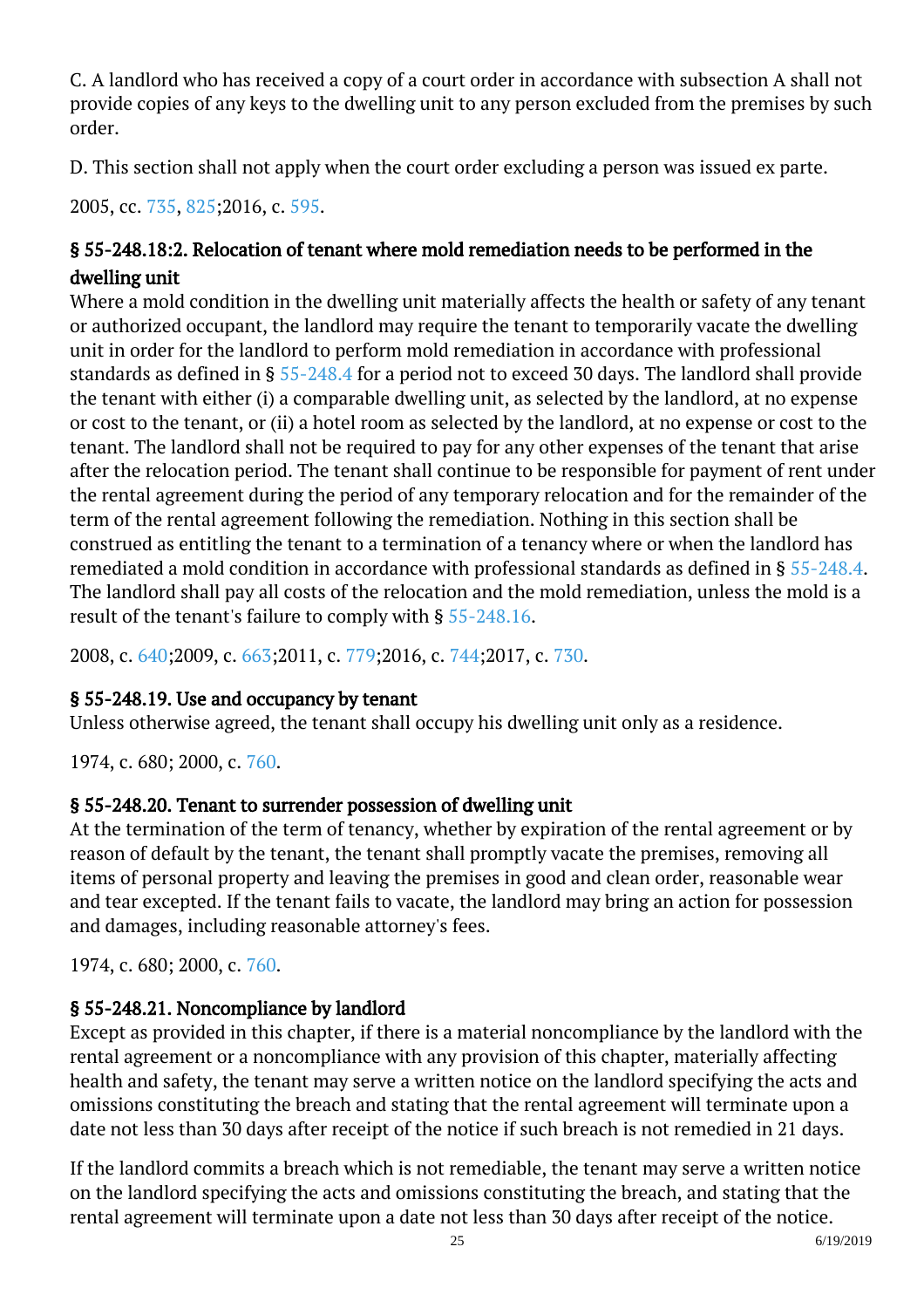C. A landlord who has received a copy of a court order in accordance with subsection A shall not provide copies of any keys to the dwelling unit to any person excluded from the premises by such order.

D. This section shall not apply when the court order excluding a person was issued ex parte.

2005, cc. [735,](http://lis.virginia.gov/cgi-bin/legp604.exe?051+ful+CHAP0735) [825;](http://lis.virginia.gov/cgi-bin/legp604.exe?051+ful+CHAP0825)2016, c. [595.](http://lis.virginia.gov/cgi-bin/legp604.exe?161+ful+CHAP0595)

# § 55-248.18:2. Relocation of tenant where mold remediation needs to be performed in the dwelling unit

Where a mold condition in the dwelling unit materially affects the health or safety of any tenant or authorized occupant, the landlord may require the tenant to temporarily vacate the dwelling unit in order for the landlord to perform mold remediation in accordance with professional standards as defined in § [55-248.4](http://law.lis.virginia.gov/vacode/55-248.4/) for a period not to exceed 30 days. The landlord shall provide the tenant with either (i) a comparable dwelling unit, as selected by the landlord, at no expense or cost to the tenant, or (ii) a hotel room as selected by the landlord, at no expense or cost to the tenant. The landlord shall not be required to pay for any other expenses of the tenant that arise after the relocation period. The tenant shall continue to be responsible for payment of rent under the rental agreement during the period of any temporary relocation and for the remainder of the term of the rental agreement following the remediation. Nothing in this section shall be construed as entitling the tenant to a termination of a tenancy where or when the landlord has remediated a mold condition in accordance with professional standards as defined in § [55-248.4.](http://law.lis.virginia.gov/vacode/55-248.4/) The landlord shall pay all costs of the relocation and the mold remediation, unless the mold is a result of the tenant's failure to comply with § [55-248.16.](http://law.lis.virginia.gov/vacode/55-248.16/)

2008, c. [640;2](http://lis.virginia.gov/cgi-bin/legp604.exe?081+ful+CHAP0640)009, c. [663;2](http://lis.virginia.gov/cgi-bin/legp604.exe?091+ful+CHAP0663)011, c. [779;2](http://lis.virginia.gov/cgi-bin/legp604.exe?111+ful+CHAP0779)016, c. [744;2](http://lis.virginia.gov/cgi-bin/legp604.exe?161+ful+CHAP0744)017, c. [730.](http://lis.virginia.gov/cgi-bin/legp604.exe?171+ful+CHAP0730)

## § 55-248.19. Use and occupancy by tenant

Unless otherwise agreed, the tenant shall occupy his dwelling unit only as a residence.

1974, c. 680; 2000, c. [760.](http://lis.virginia.gov/cgi-bin/legp604.exe?001+ful+CHAP0760)

# § 55-248.20. Tenant to surrender possession of dwelling unit

At the termination of the term of tenancy, whether by expiration of the rental agreement or by reason of default by the tenant, the tenant shall promptly vacate the premises, removing all items of personal property and leaving the premises in good and clean order, reasonable wear and tear excepted. If the tenant fails to vacate, the landlord may bring an action for possession and damages, including reasonable attorney's fees. Ĩ

1974, c. 680; 2000, c. [760.](http://lis.virginia.gov/cgi-bin/legp604.exe?001+ful+CHAP0760)

# § 55-248.21. Noncompliance by landlord

Except as provided in this chapter, if there is a material noncompliance by the landlord with the rental agreement or a noncompliance with any provision of this chapter, materially affecting health and safety, the tenant may serve a written notice on the landlord specifying the acts and omissions constituting the breach and stating that the rental agreement will terminate upon a date not less than 30 days after receipt of the notice if such breach is not remedied in 21 days.

If the landlord commits a breach which is not remediable, the tenant may serve a written notice on the landlord specifying the acts and omissions constituting the breach, and stating that the rental agreement will terminate upon a date not less than 30 days after receipt of the notice.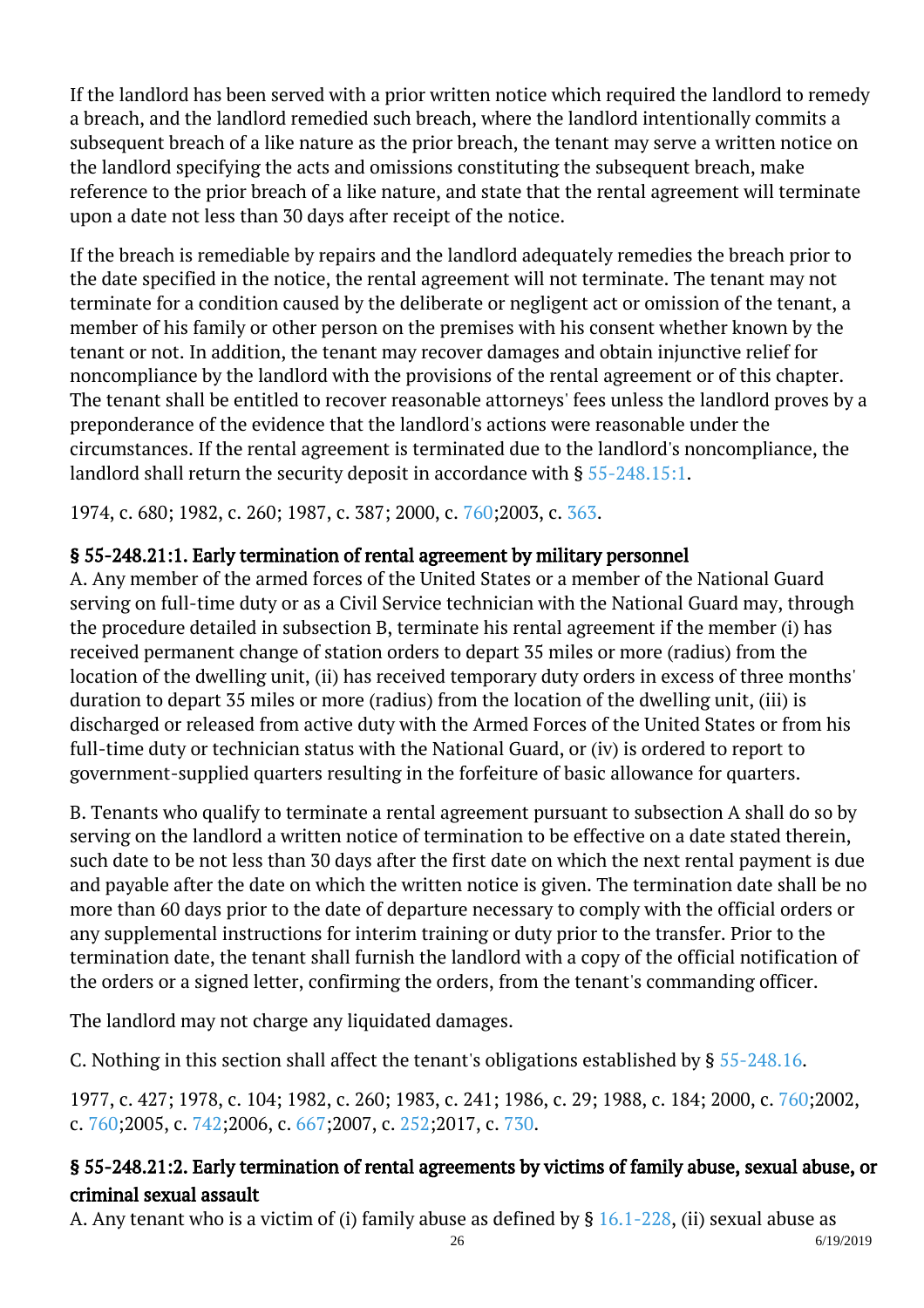If the landlord has been served with a prior written notice which required the landlord to remedy a breach, and the landlord remedied such breach, where the landlord intentionally commits a subsequent breach of a like nature as the prior breach, the tenant may serve a written notice on the landlord specifying the acts and omissions constituting the subsequent breach, make reference to the prior breach of a like nature, and state that the rental agreement will terminate upon a date not less than 30 days after receipt of the notice.

If the breach is remediable by repairs and the landlord adequately remedies the breach prior to the date specified in the notice, the rental agreement will not terminate. The tenant may not terminate for a condition caused by the deliberate or negligent act or omission of the tenant, a member of his family or other person on the premises with his consent whether known by the tenant or not. In addition, the tenant may recover damages and obtain injunctive relief for noncompliance by the landlord with the provisions of the rental agreement or of this chapter. The tenant shall be entitled to recover reasonable attorneys' fees unless the landlord proves by a preponderance of the evidence that the landlord's actions were reasonable under the circumstances. If the rental agreement is terminated due to the landlord's noncompliance, the landlord shall return the security deposit in accordance with § [55-248.15:1](http://law.lis.virginia.gov/vacode/55-248.15:1/).

1974, c. 680; 1982, c. 260; 1987, c. 387; 2000, c. [760;](http://lis.virginia.gov/cgi-bin/legp604.exe?001+ful+CHAP0760)2003, c. [363](http://lis.virginia.gov/cgi-bin/legp604.exe?031+ful+CHAP0363).

# § 55-248.21:1. Early termination of rental agreement by military personnel

A. Any member of the armed forces of the United States or a member of the National Guard serving on full-time duty or as a Civil Service technician with the National Guard may, through the procedure detailed in subsection B, terminate his rental agreement if the member (i) has received permanent change of station orders to depart 35 miles or more (radius) from the location of the dwelling unit, (ii) has received temporary duty orders in excess of three months' duration to depart 35 miles or more (radius) from the location of the dwelling unit, (iii) is discharged or released from active duty with the Armed Forces of the United States or from his full-time duty or technician status with the National Guard, or (iv) is ordered to report to government-supplied quarters resulting in the forfeiture of basic allowance for quarters. ĺ

B. Tenants who qualify to terminate a rental agreement pursuant to subsection A shall do so by serving on the landlord a written notice of termination to be effective on a date stated therein, such date to be not less than 30 days after the first date on which the next rental payment is due and payable after the date on which the written notice is given. The termination date shall be no more than 60 days prior to the date of departure necessary to comply with the official orders or any supplemental instructions for interim training or duty prior to the transfer. Prior to the termination date, the tenant shall furnish the landlord with a copy of the official notification of the orders or a signed letter, confirming the orders, from the tenant's commanding officer.

The landlord may not charge any liquidated damages.

C. Nothing in this section shall affect the tenant's obligations established by  $\S 55$ -248.16.

1977, c. 427; 1978, c. 104; 1982, c. 260; 1983, c. 241; 1986, c. 29; 1988, c. 184; 2000, c. [760;2](http://lis.virginia.gov/cgi-bin/legp604.exe?001+ful+CHAP0760)002, c. [760;](http://lis.virginia.gov/cgi-bin/legp604.exe?021+ful+CHAP0760)2005, c. [742;2](http://lis.virginia.gov/cgi-bin/legp604.exe?051+ful+CHAP0742)006, c. [667;2](http://lis.virginia.gov/cgi-bin/legp604.exe?061+ful+CHAP0667)007, c. [252;2](http://lis.virginia.gov/cgi-bin/legp604.exe?071+ful+CHAP0252)017, c. [730.](http://lis.virginia.gov/cgi-bin/legp604.exe?171+ful+CHAP0730)

# § 55-248.21:2. Early termination of rental agreements by victims of family abuse, sexual abuse, or criminal sexual assault

A. Any tenant who is a victim of (i) family abuse as defined by § [16.1-228](http://law.lis.virginia.gov/vacode/16.1-228/), (ii) sexual abuse as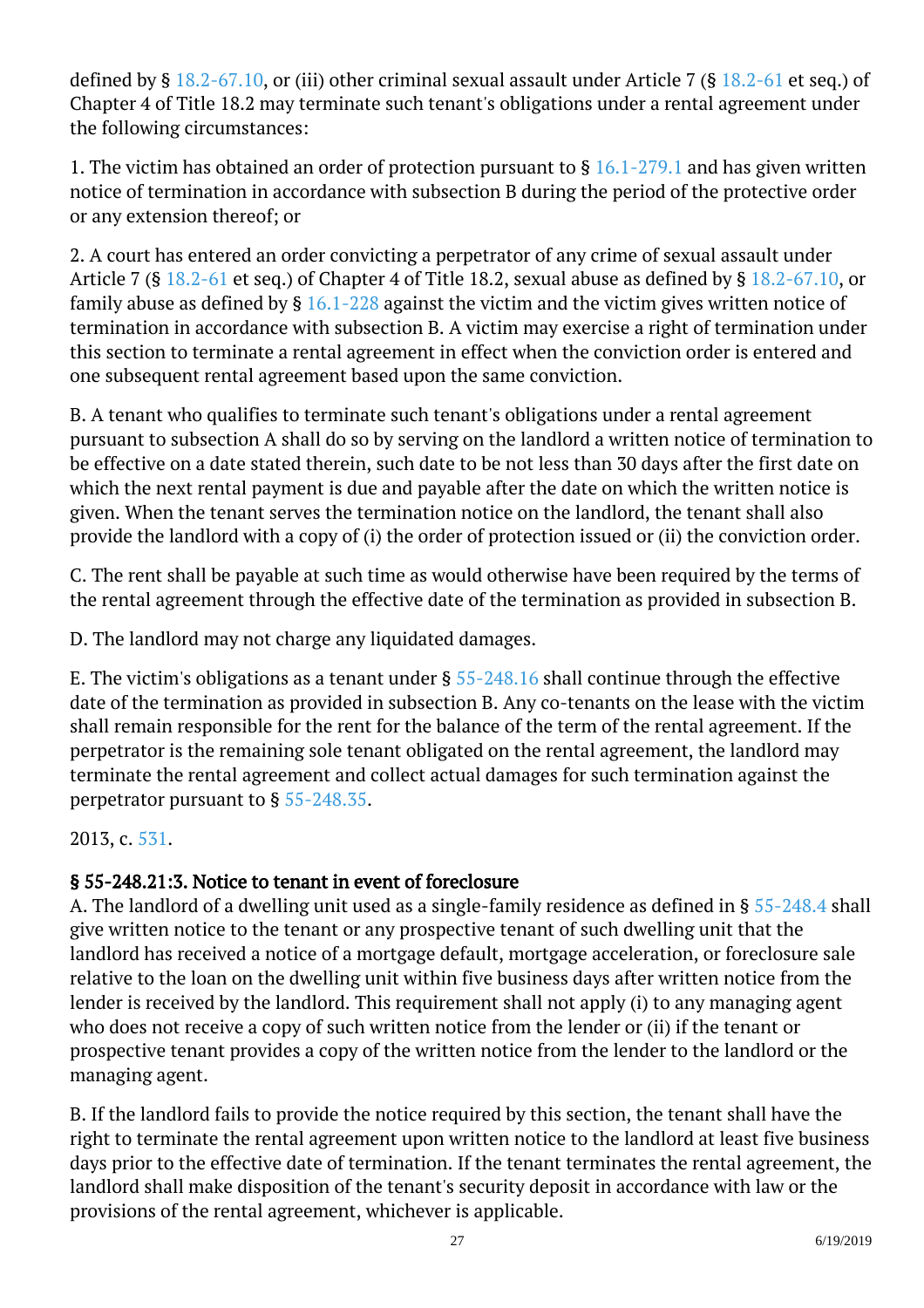defined by §  $18.2-67.10$ , or (iii) other criminal sexual assault under Article 7 (§  $18.2-61$  et seq.) of Chapter 4 of Title 18.2 may terminate such tenant's obligations under a rental agreement under the following circumstances:

1. The victim has obtained an order of protection pursuant to  $\S$  [16.1-279.1](http://law.lis.virginia.gov/vacode/16.1-279.1/) and has given written notice of termination in accordance with subsection B during the period of the protective order or any extension thereof; or

2. A court has entered an order convicting a perpetrator of any crime of sexual assault under Article 7 (§ [18.2-61](http://law.lis.virginia.gov/vacode/18.2-61/) et seq.) of Chapter 4 of Title 18.2, sexual abuse as defined by § [18.2-67.10](http://law.lis.virginia.gov/vacode/18.2-67.10/), or family abuse as defined by  $\S$  [16.1-228](http://law.lis.virginia.gov/vacode/16.1-228/) against the victim and the victim gives written notice of termination in accordance with subsection B. A victim may exercise a right of termination under this section to terminate a rental agreement in effect when the conviction order is entered and one subsequent rental agreement based upon the same conviction.

B. A tenant who qualifies to terminate such tenant's obligations under a rental agreement pursuant to subsection A shall do so by serving on the landlord a written notice of termination to be effective on a date stated therein, such date to be not less than 30 days after the first date on which the next rental payment is due and payable after the date on which the written notice is given. When the tenant serves the termination notice on the landlord, the tenant shall also provide the landlord with a copy of (i) the order of protection issued or (ii) the conviction order. <sup>"</sup>

C. The rent shall be payable at such time as would otherwise have been required by the terms of the rental agreement through the effective date of the termination as provided in subsection B.

D. The landlord may not charge any liquidated damages.

E. The victim's obligations as a tenant under § [55-248.16](http://law.lis.virginia.gov/vacode/55-248.16/) shall continue through the effective date of the termination as provided in subsection B. Any co-tenants on the lease with the victim shall remain responsible for the rent for the balance of the term of the rental agreement. If the perpetrator is the remaining sole tenant obligated on the rental agreement, the landlord may terminate the rental agreement and collect actual damages for such termination against the perpetrator pursuant to  $\S 55$ -248.35. <sup>"</sup>

2013, c. [531.](http://lis.virginia.gov/cgi-bin/legp604.exe?131+ful+CHAP0531)

## § 55-248.21:3. Notice to tenant in event of foreclosure

A. The landlord of a dwelling unit used as a single-family residence as defined in § [55-248.4](/vacode/55-248.4/) shall give written notice to the tenant or any prospective tenant of such dwelling unit that the landlord has received a notice of a mortgage default, mortgage acceleration, or foreclosure sale relative to the loan on the dwelling unit within five business days after written notice from the lender is received by the landlord. This requirement shall not apply (i) to any managing agent who does not receive a copy of such written notice from the lender or (ii) if the tenant or prospective tenant provides a copy of the written notice from the lender to the landlord or the managing agent.

B. If the landlord fails to provide the notice required by this section, the tenant shall have the right to terminate the rental agreement upon written notice to the landlord at least five business days prior to the effective date of termination. If the tenant terminates the rental agreement, the landlord shall make disposition of the tenant's security deposit in accordance with law or the provisions of the rental agreement, whichever is applicable.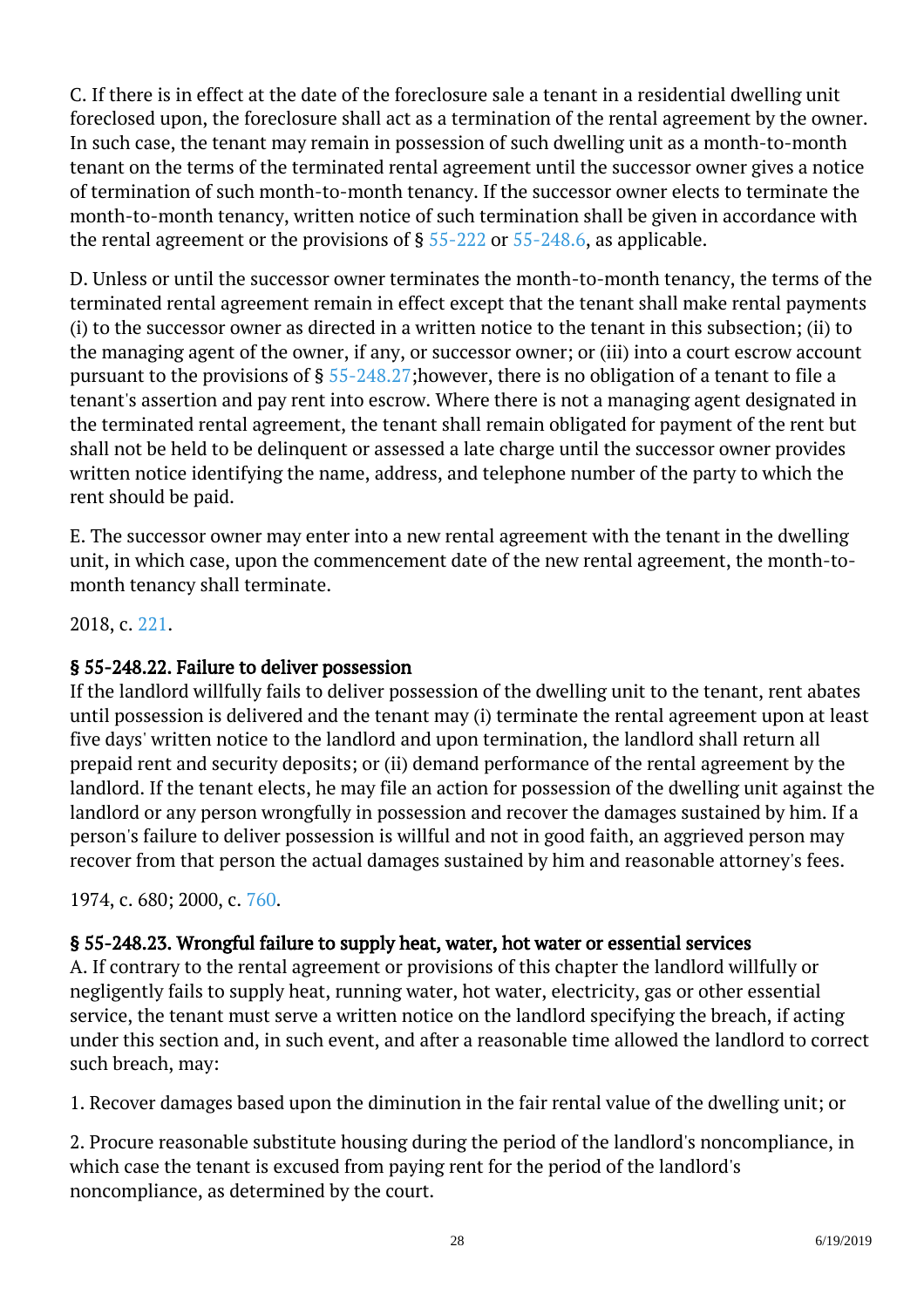C. If there is in effect at the date of the foreclosure sale a tenant in a residential dwelling unit foreclosed upon, the foreclosure shall act as a termination of the rental agreement by the owner. In such case, the tenant may remain in possession of such dwelling unit as a month-to-month tenant on the terms of the terminated rental agreement until the successor owner gives a notice of termination of such month-to-month tenancy. If the successor owner elects to terminate the month-to-month tenancy, written notice of such termination shall be given in accordance with the rental agreement or the provisions of  $\S 55-222$  $\S 55-222$  or  $55-248.6$ , as applicable.

D. Unless or until the successor owner terminates the month-to-month tenancy, the terms of the terminated rental agreement remain in effect except that the tenant shall make rental payments (i) to the successor owner as directed in a written notice to the tenant in this subsection; (ii) to the managing agent of the owner, if any, or successor owner; or (iii) into a court escrow account pursuant to the provisions of § [55-248.27;h](/vacode/55-248.27/)owever, there is no obligation of a tenant to file a tenant's assertion and pay rent into escrow. Where there is not a managing agent designated in the terminated rental agreement, the tenant shall remain obligated for payment of the rent but shall not be held to be delinquent or assessed a late charge until the successor owner provides written notice identifying the name, address, and telephone number of the party to which the rent should be paid.

E. The successor owner may enter into a new rental agreement with the tenant in the dwelling unit, in which case, upon the commencement date of the new rental agreement, the month-tomonth tenancy shall terminate.

2018, c. [221.](http://lis.virginia.gov/cgi-bin/legp604.exe?181+ful+CHAP0221)

## § 55-248.22. Failure to deliver possession

If the landlord willfully fails to deliver possession of the dwelling unit to the tenant, rent abates until possession is delivered and the tenant may (i) terminate the rental agreement upon at least five days' written notice to the landlord and upon termination, the landlord shall return all prepaid rent and security deposits; or (ii) demand performance of the rental agreement by the landlord. If the tenant elects, he may file an action for possession of the dwelling unit against the landlord or any person wrongfully in possession and recover the damages sustained by him. If a person's failure to deliver possession is willful and not in good faith, an aggrieved person may recover from that person the actual damages sustained by him and reasonable attorney's fees.

1974, c. 680; 2000, c. [760.](http://lis.virginia.gov/cgi-bin/legp604.exe?001+ful+CHAP0760)

# § 55-248.23. Wrongful failure to supply heat, water, hot water or essential services

A. If contrary to the rental agreement or provisions of this chapter the landlord willfully or negligently fails to supply heat, running water, hot water, electricity, gas or other essential service, the tenant must serve a written notice on the landlord specifying the breach, if acting under this section and, in such event, and after a reasonable time allowed the landlord to correct such breach, may: Ĩ

1. Recover damages based upon the diminution in the fair rental value of the dwelling unit; or

2. Procure reasonable substitute housing during the period of the landlord's noncompliance, in which case the tenant is excused from paying rent for the period of the landlord's noncompliance, as determined by the court.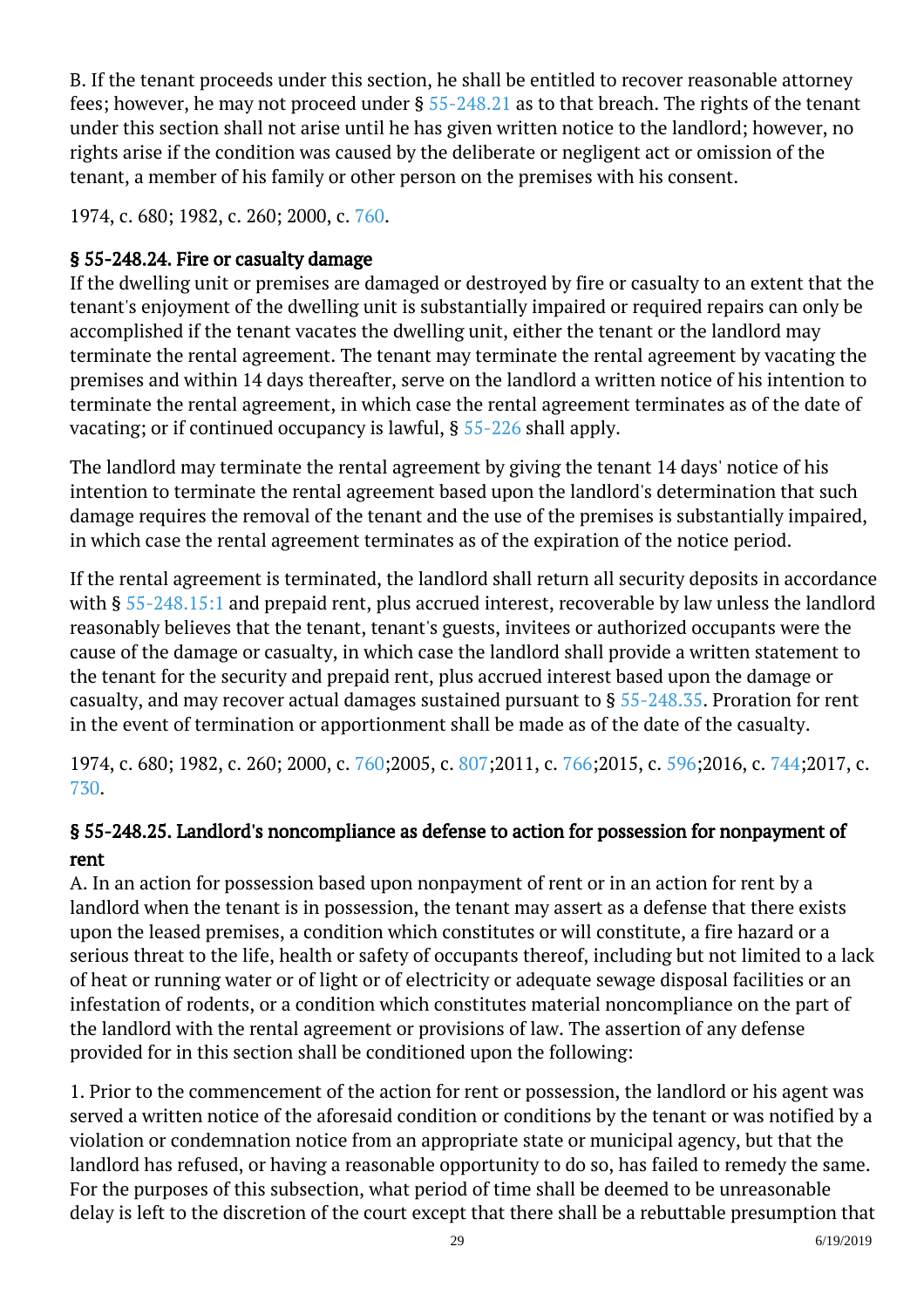B. If the tenant proceeds under this section, he shall be entitled to recover reasonable attorney fees; however, he may not proceed under § [55-248.21](http://law.lis.virginia.gov/vacode/55-248.21/) as to that breach. The rights of the tenant under this section shall not arise until he has given written notice to the landlord; however, no rights arise if the condition was caused by the deliberate or negligent act or omission of the tenant, a member of his family or other person on the premises with his consent.

1974, c. 680; 1982, c. 260; 2000, c. [760.](http://lis.virginia.gov/cgi-bin/legp604.exe?001+ful+CHAP0760)

# § 55-248.24. Fire or casualty damage

If the dwelling unit or premises are damaged or destroyed by fire or casualty to an extent that the tenant's enjoyment of the dwelling unit is substantially impaired or required repairs can only be accomplished if the tenant vacates the dwelling unit, either the tenant or the landlord may terminate the rental agreement. The tenant may terminate the rental agreement by vacating the premises and within 14 days thereafter, serve on the landlord a written notice of his intention to terminate the rental agreement, in which case the rental agreement terminates as of the date of vacating; or if continued occupancy is lawful, § [55-226](http://law.lis.virginia.gov/vacode/55-226/) shall apply.

The landlord may terminate the rental agreement by giving the tenant 14 days' notice of his intention to terminate the rental agreement based upon the landlord's determination that such damage requires the removal of the tenant and the use of the premises is substantially impaired, in which case the rental agreement terminates as of the expiration of the notice period.

If the rental agreement is terminated, the landlord shall return all security deposits in accordance with § [55-248.15:1](http://law.lis.virginia.gov/vacode/55-248.15:1/) and prepaid rent, plus accrued interest, recoverable by law unless the landlord reasonably believes that the tenant, tenant's guests, invitees or authorized occupants were the cause of the damage or casualty, in which case the landlord shall provide a written statement to the tenant for the security and prepaid rent, plus accrued interest based upon the damage or casualty, and may recover actual damages sustained pursuant to  $\S 55$ -248.35. Proration for rent in the event of termination or apportionment shall be made as of the date of the casualty.

1974, c. 680; 1982, c. 260; 2000, c. [760;2](http://lis.virginia.gov/cgi-bin/legp604.exe?001+ful+CHAP0760)005, c. [807;2](http://lis.virginia.gov/cgi-bin/legp604.exe?051+ful+CHAP0807)011, c. [766;](http://lis.virginia.gov/cgi-bin/legp604.exe?111+ful+CHAP0766)2015, c. [596;](http://lis.virginia.gov/cgi-bin/legp604.exe?151+ful+CHAP0596)2016, c. [744;](http://lis.virginia.gov/cgi-bin/legp604.exe?161+ful+CHAP0744)2017, c. [730](http://lis.virginia.gov/cgi-bin/legp604.exe?171+ful+CHAP0730).

# § 55-248.25. Landlord's noncompliance as defense to action for possession for nonpayment of rent

A. In an action for possession based upon nonpayment of rent or in an action for rent by a landlord when the tenant is in possession, the tenant may assert as a defense that there exists upon the leased premises, a condition which constitutes or will constitute, a fire hazard or a serious threat to the life, health or safety of occupants thereof, including but not limited to a lack of heat or running water or of light or of electricity or adequate sewage disposal facilities or an infestation of rodents, or a condition which constitutes material noncompliance on the part of the landlord with the rental agreement or provisions of law. The assertion of any defense provided for in this section shall be conditioned upon the following: <sup>"</sup>

1. Prior to the commencement of the action for rent or possession, the landlord or his agent was served a written notice of the aforesaid condition or conditions by the tenant or was notified by a violation or condemnation notice from an appropriate state or municipal agency, but that the landlord has refused, or having a reasonable opportunity to do so, has failed to remedy the same. For the purposes of this subsection, what period of time shall be deemed to be unreasonable delay is left to the discretion of the court except that there shall be a rebuttable presumption that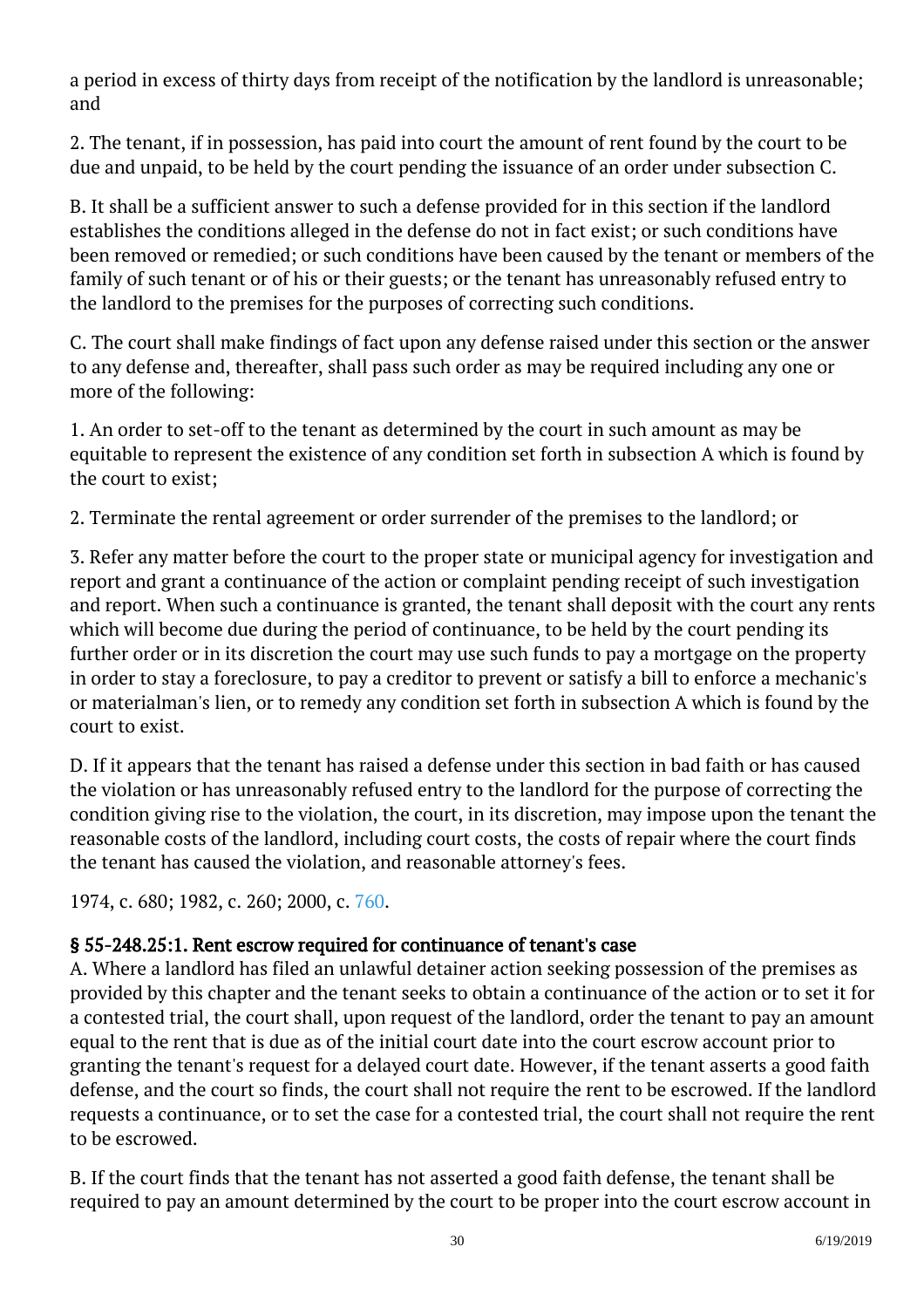a period in excess of thirty days from receipt of the notification by the landlord is unreasonable; and Ĩ

2. The tenant, if in possession, has paid into court the amount of rent found by the court to be due and unpaid, to be held by the court pending the issuance of an order under subsection C.

B. It shall be a sufficient answer to such a defense provided for in this section if the landlord establishes the conditions alleged in the defense do not in fact exist; or such conditions have been removed or remedied; or such conditions have been caused by the tenant or members of the family of such tenant or of his or their guests; or the tenant has unreasonably refused entry to the landlord to the premises for the purposes of correcting such conditions.

C. The court shall make findings of fact upon any defense raised under this section or the answer to any defense and, thereafter, shall pass such order as may be required including any one or more of the following:

1. An order to set-off to the tenant as determined by the court in such amount as may be equitable to represent the existence of any condition set forth in subsection A which is found by the court to exist;

2. Terminate the rental agreement or order surrender of the premises to the landlord; or

3. Refer any matter before the court to the proper state or municipal agency for investigation and report and grant a continuance of the action or complaint pending receipt of such investigation and report. When such a continuance is granted, the tenant shall deposit with the court any rents which will become due during the period of continuance, to be held by the court pending its further order or in its discretion the court may use such funds to pay a mortgage on the property in order to stay a foreclosure, to pay a creditor to prevent or satisfy a bill to enforce a mechanic's or materialman's lien, or to remedy any condition set forth in subsection A which is found by the court to exist.

D. If it appears that the tenant has raised a defense under this section in bad faith or has caused the violation or has unreasonably refused entry to the landlord for the purpose of correcting the condition giving rise to the violation, the court, in its discretion, may impose upon the tenant the reasonable costs of the landlord, including court costs, the costs of repair where the court finds the tenant has caused the violation, and reasonable attorney's fees.

1974, c. 680; 1982, c. 260; 2000, c. [760.](http://lis.virginia.gov/cgi-bin/legp604.exe?001+ful+CHAP0760)

## § 55-248.25:1. Rent escrow required for continuance of tenant's case

A. Where a landlord has filed an unlawful detainer action seeking possession of the premises as provided by this chapter and the tenant seeks to obtain a continuance of the action or to set it for a contested trial, the court shall, upon request of the landlord, order the tenant to pay an amount equal to the rent that is due as of the initial court date into the court escrow account prior to granting the tenant's request for a delayed court date. However, if the tenant asserts a good faith defense, and the court so finds, the court shall not require the rent to be escrowed. If the landlord requests a continuance, or to set the case for a contested trial, the court shall not require the rent to be escrowed.

B. If the court finds that the tenant has not asserted a good faith defense, the tenant shall be required to pay an amount determined by the court to be proper into the court escrow account in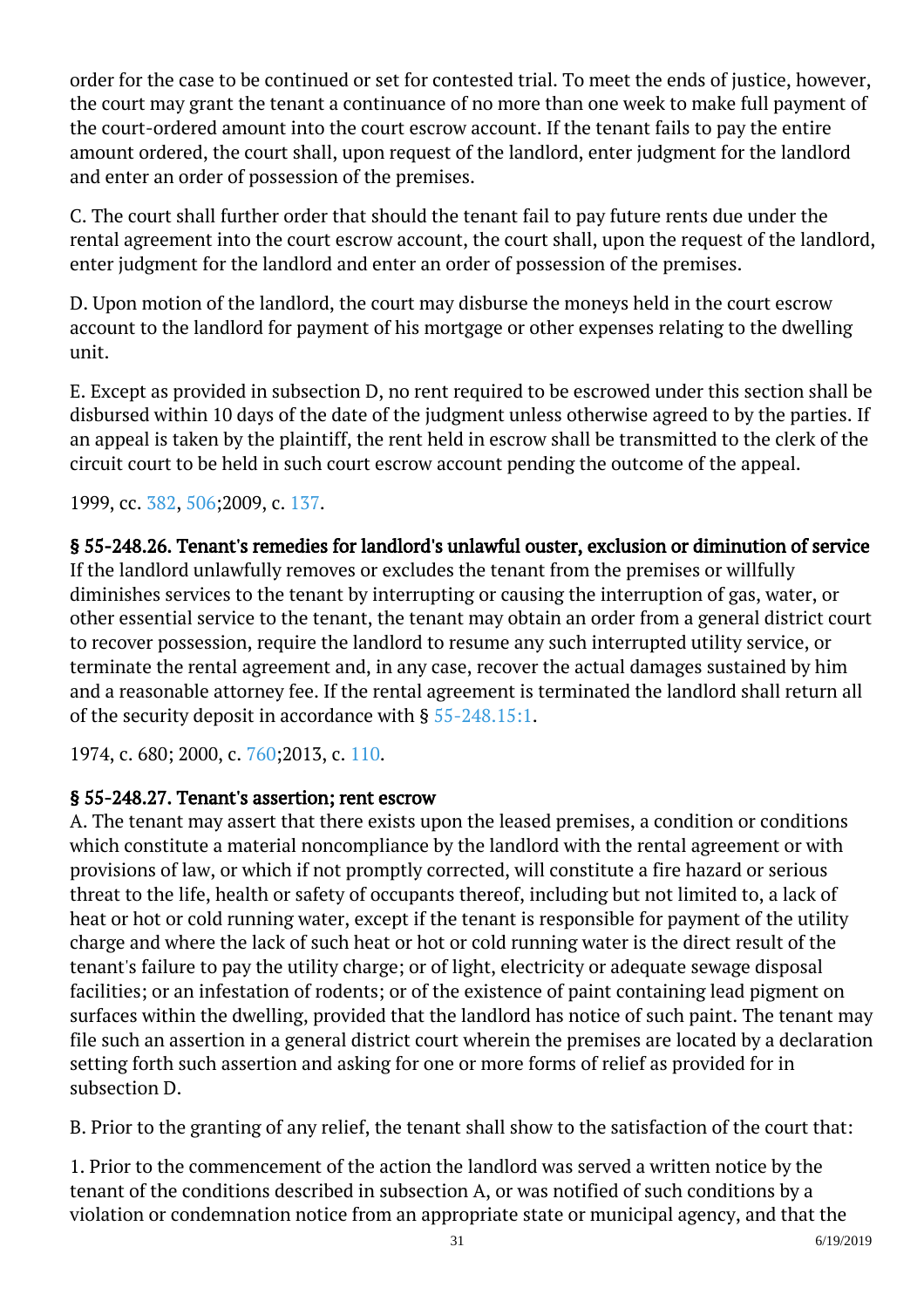order for the case to be continued or set for contested trial. To meet the ends of justice, however, the court may grant the tenant a continuance of no more than one week to make full payment of the court-ordered amount into the court escrow account. If the tenant fails to pay the entire amount ordered, the court shall, upon request of the landlord, enter judgment for the landlord and enter an order of possession of the premises.

C. The court shall further order that should the tenant fail to pay future rents due under the rental agreement into the court escrow account, the court shall, upon the request of the landlord, enter judgment for the landlord and enter an order of possession of the premises.

D. Upon motion of the landlord, the court may disburse the moneys held in the court escrow account to the landlord for payment of his mortgage or other expenses relating to the dwelling unit.

E. Except as provided in subsection D, no rent required to be escrowed under this section shall be disbursed within 10 days of the date of the judgment unless otherwise agreed to by the parties. If an appeal is taken by the plaintiff, the rent held in escrow shall be transmitted to the clerk of the circuit court to be held in such court escrow account pending the outcome of the appeal.

1999, cc. [382,](http://lis.virginia.gov/cgi-bin/legp604.exe?991+ful+CHAP0382) [506;](http://lis.virginia.gov/cgi-bin/legp604.exe?991+ful+CHAP0506)2009, c. [137.](http://lis.virginia.gov/cgi-bin/legp604.exe?091+ful+CHAP0137)

#### § 55-248.26. Tenant's remedies for landlord's unlawful ouster, exclusion or diminution of service If the landlord unlawfully removes or excludes the tenant from the premises or willfully diminishes services to the tenant by interrupting or causing the interruption of gas, water, or other essential service to the tenant, the tenant may obtain an order from a general district court to recover possession, require the landlord to resume any such interrupted utility service, or terminate the rental agreement and, in any case, recover the actual damages sustained by him and a reasonable attorney fee. If the rental agreement is terminated the landlord shall return all of the security deposit in accordance with § [55-248.15:1.](http://law.lis.virginia.gov/vacode/55-248.15:1/)

1974, c. 680; 2000, c. [760;2](http://lis.virginia.gov/cgi-bin/legp604.exe?001+ful+CHAP0760)013, c. [110.](http://lis.virginia.gov/cgi-bin/legp604.exe?131+ful+CHAP0110)

# § 55-248.27. Tenant's assertion; rent escrow

A. The tenant may assert that there exists upon the leased premises, a condition or conditions which constitute a material noncompliance by the landlord with the rental agreement or with provisions of law, or which if not promptly corrected, will constitute a fire hazard or serious threat to the life, health or safety of occupants thereof, including but not limited to, a lack of heat or hot or cold running water, except if the tenant is responsible for payment of the utility charge and where the lack of such heat or hot or cold running water is the direct result of the tenant's failure to pay the utility charge; or of light, electricity or adequate sewage disposal facilities; or an infestation of rodents; or of the existence of paint containing lead pigment on surfaces within the dwelling, provided that the landlord has notice of such paint. The tenant may file such an assertion in a general district court wherein the premises are located by a declaration setting forth such assertion and asking for one or more forms of relief as provided for in subsection D. Ĩ

B. Prior to the granting of any relief, the tenant shall show to the satisfaction of the court that:

1. Prior to the commencement of the action the landlord was served a written notice by the tenant of the conditions described in subsection A, or was notified of such conditions by a violation or condemnation notice from an appropriate state or municipal agency, and that the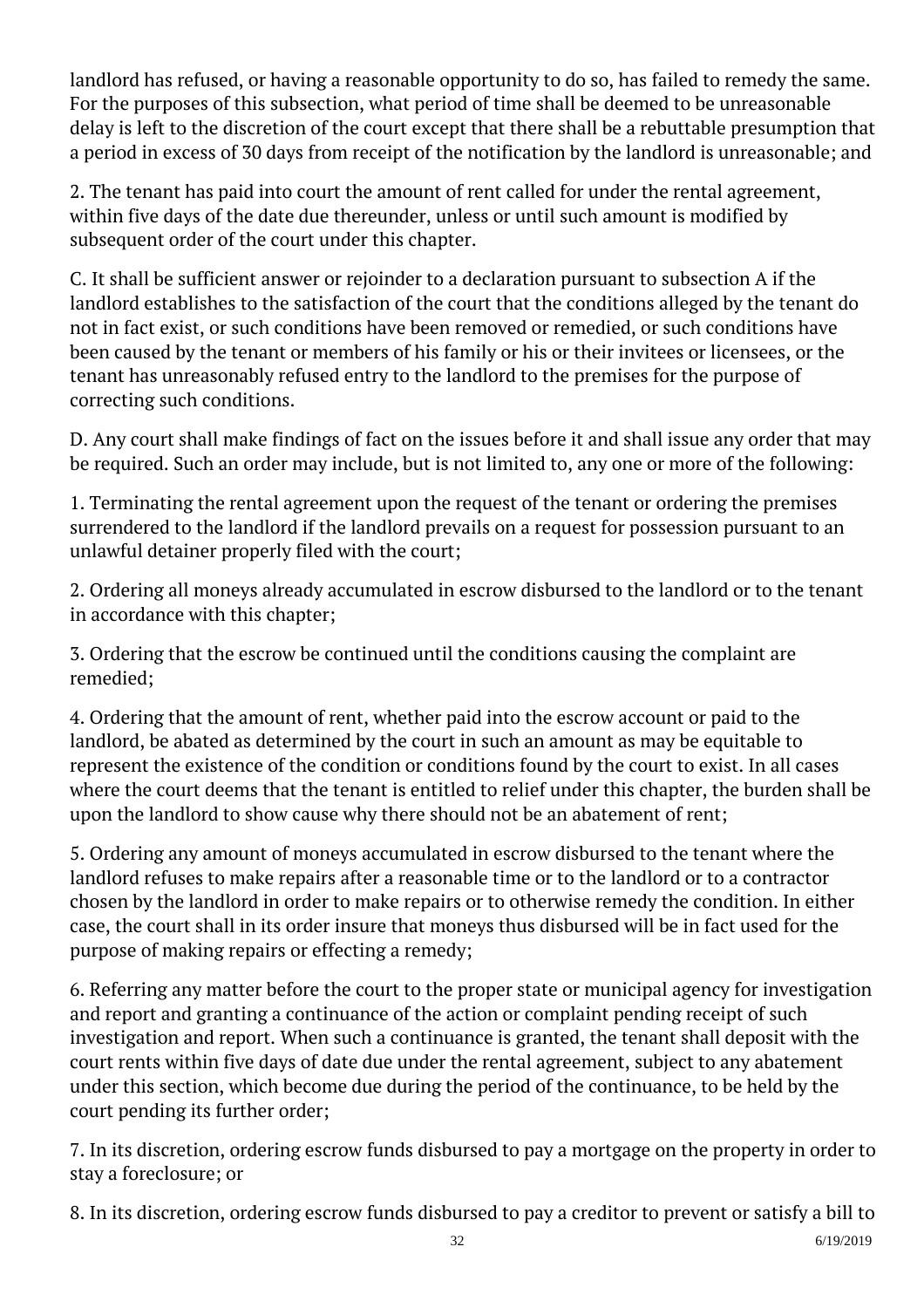landlord has refused, or having a reasonable opportunity to do so, has failed to remedy the same. For the purposes of this subsection, what period of time shall be deemed to be unreasonable delay is left to the discretion of the court except that there shall be a rebuttable presumption that a period in excess of 30 days from receipt of the notification by the landlord is unreasonable; and Ĩ

2. The tenant has paid into court the amount of rent called for under the rental agreement, within five days of the date due thereunder, unless or until such amount is modified by subsequent order of the court under this chapter. Ĩ

C. It shall be sufficient answer or rejoinder to a declaration pursuant to subsection A if the landlord establishes to the satisfaction of the court that the conditions alleged by the tenant do not in fact exist, or such conditions have been removed or remedied, or such conditions have been caused by the tenant or members of his family or his or their invitees or licensees, or the tenant has unreasonably refused entry to the landlord to the premises for the purpose of correcting such conditions.

D. Any court shall make findings of fact on the issues before it and shall issue any order that may be required. Such an order may include, but is not limited to, any one or more of the following:

1. Terminating the rental agreement upon the request of the tenant or ordering the premises surrendered to the landlord if the landlord prevails on a request for possession pursuant to an unlawful detainer properly filed with the court;

2. Ordering all moneys already accumulated in escrow disbursed to the landlord or to the tenant in accordance with this chapter;

3. Ordering that the escrow be continued until the conditions causing the complaint are remedied;

4. Ordering that the amount of rent, whether paid into the escrow account or paid to the landlord, be abated as determined by the court in such an amount as may be equitable to represent the existence of the condition or conditions found by the court to exist. In all cases where the court deems that the tenant is entitled to relief under this chapter, the burden shall be upon the landlord to show cause why there should not be an abatement of rent;

5. Ordering any amount of moneys accumulated in escrow disbursed to the tenant where the landlord refuses to make repairs after a reasonable time or to the landlord or to a contractor chosen by the landlord in order to make repairs or to otherwise remedy the condition. In either case, the court shall in its order insure that moneys thus disbursed will be in fact used for the purpose of making repairs or effecting a remedy; <sup>"</sup>

6. Referring any matter before the court to the proper state or municipal agency for investigation and report and granting a continuance of the action or complaint pending receipt of such investigation and report. When such a continuance is granted, the tenant shall deposit with the court rents within five days of date due under the rental agreement, subject to any abatement under this section, which become due during the period of the continuance, to be held by the court pending its further order;

7. In its discretion, ordering escrow funds disbursed to pay a mortgage on the property in order to stay a foreclosure; or Ĩ

8. In its discretion, ordering escrow funds disbursed to pay a creditor to prevent or satisfy a bill to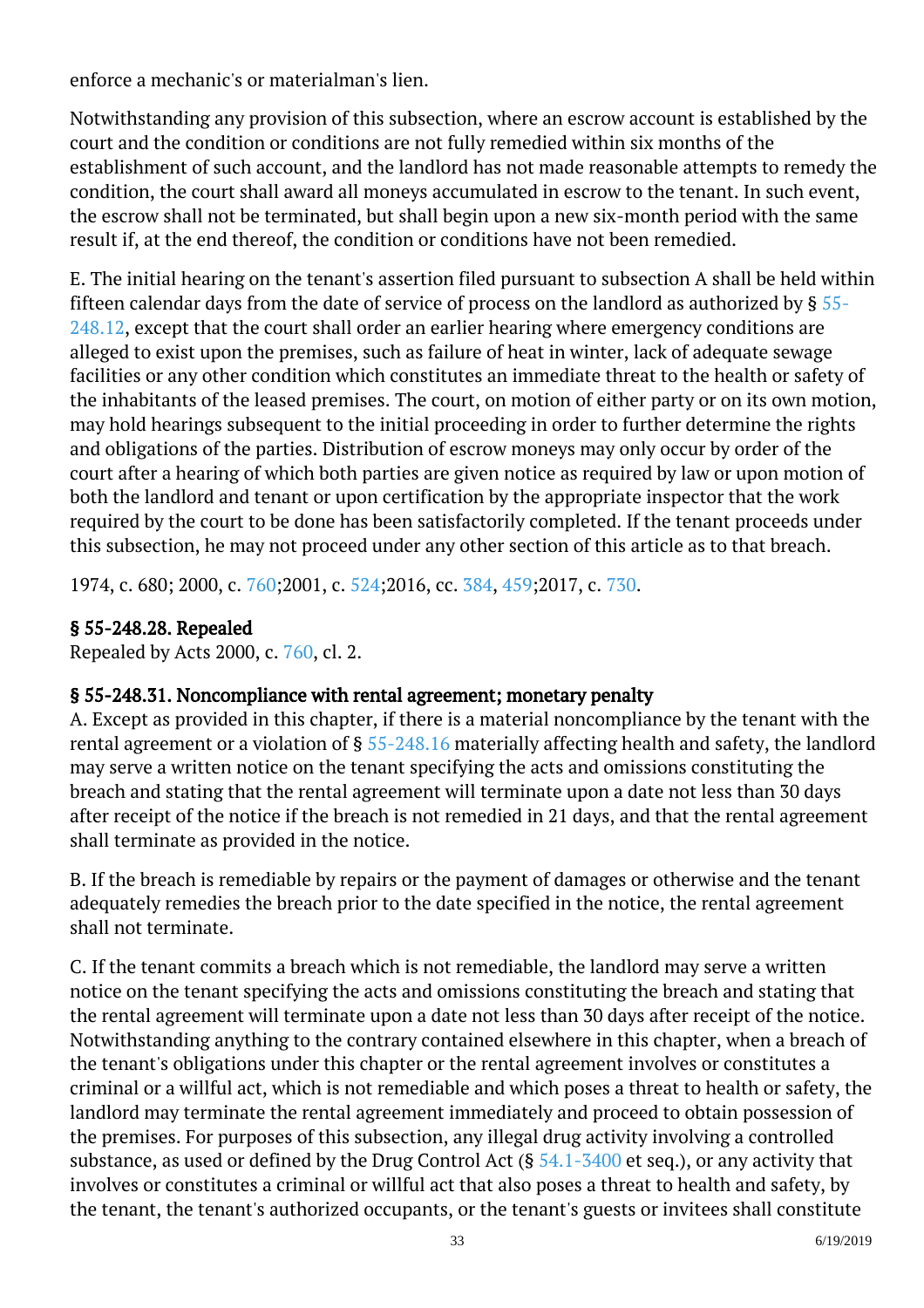enforce a mechanic's or materialman's lien.

Notwithstanding any provision of this subsection, where an escrow account is established by the court and the condition or conditions are not fully remedied within six months of the establishment of such account, and the landlord has not made reasonable attempts to remedy the condition, the court shall award all moneys accumulated in escrow to the tenant. In such event, the escrow shall not be terminated, but shall begin upon a new six-month period with the same result if, at the end thereof, the condition or conditions have not been remedied.

E. The initial hearing on the tenant's assertion filed pursuant to subsection A shall be held within fifteen calendar days from the date of service of process on the landlord as authorized by § [55-](http://law.lis.virginia.gov/vacode/55-248.12/) [248.12](http://law.lis.virginia.gov/vacode/55-248.12/), except that the court shall order an earlier hearing where emergency conditions are alleged to exist upon the premises, such as failure of heat in winter, lack of adequate sewage facilities or any other condition which constitutes an immediate threat to the health or safety of the inhabitants of the leased premises. The court, on motion of either party or on its own motion, may hold hearings subsequent to the initial proceeding in order to further determine the rights and obligations of the parties. Distribution of escrow moneys may only occur by order of the court after a hearing of which both parties are given notice as required by law or upon motion of both the landlord and tenant or upon certification by the appropriate inspector that the work required by the court to be done has been satisfactorily completed. If the tenant proceeds under this subsection, he may not proceed under any other section of this article as to that breach.

1974, c. 680; 2000, c. [760;2](http://lis.virginia.gov/cgi-bin/legp604.exe?001+ful+CHAP0760)001, c. [524;2](http://lis.virginia.gov/cgi-bin/legp604.exe?011+ful+CHAP0524)016, cc. [384](http://lis.virginia.gov/cgi-bin/legp604.exe?161+ful+CHAP0384), [459;2](http://lis.virginia.gov/cgi-bin/legp604.exe?161+ful+CHAP0459)017, c. [730.](http://lis.virginia.gov/cgi-bin/legp604.exe?171+ful+CHAP0730)

# § 55-248.28. Repealed

Repealed by Acts 2000, c. [760,](http://lis.virginia.gov/cgi-bin/legp604.exe?001+ful+CHAP0760) cl. 2.

## § 55-248.31. Noncompliance with rental agreement; monetary penalty

A. Except as provided in this chapter, if there is a material noncompliance by the tenant with the rental agreement or a violation of § [55-248.16](http://law.lis.virginia.gov/vacode/55-248.16/) materially affecting health and safety, the landlord may serve a written notice on the tenant specifying the acts and omissions constituting the breach and stating that the rental agreement will terminate upon a date not less than 30 days after receipt of the notice if the breach is not remedied in 21 days, and that the rental agreement shall terminate as provided in the notice. Ĩ

B. If the breach is remediable by repairs or the payment of damages or otherwise and the tenant adequately remedies the breach prior to the date specified in the notice, the rental agreement shall not terminate.

C. If the tenant commits a breach which is not remediable, the landlord may serve a written notice on the tenant specifying the acts and omissions constituting the breach and stating that the rental agreement will terminate upon a date not less than 30 days after receipt of the notice. Notwithstanding anything to the contrary contained elsewhere in this chapter, when a breach of the tenant's obligations under this chapter or the rental agreement involves or constitutes a criminal or a willful act, which is not remediable and which poses a threat to health or safety, the landlord may terminate the rental agreement immediately and proceed to obtain possession of the premises. For purposes of this subsection, any illegal drug activity involving a controlled substance, as used or defined by the Drug Control Act  $(§ 54.1-3400$  $(§ 54.1-3400$  et seq.), or any activity that involves or constitutes a criminal or willful act that also poses a threat to health and safety, by the tenant, the tenant's authorized occupants, or the tenant's guests or invitees shall constitute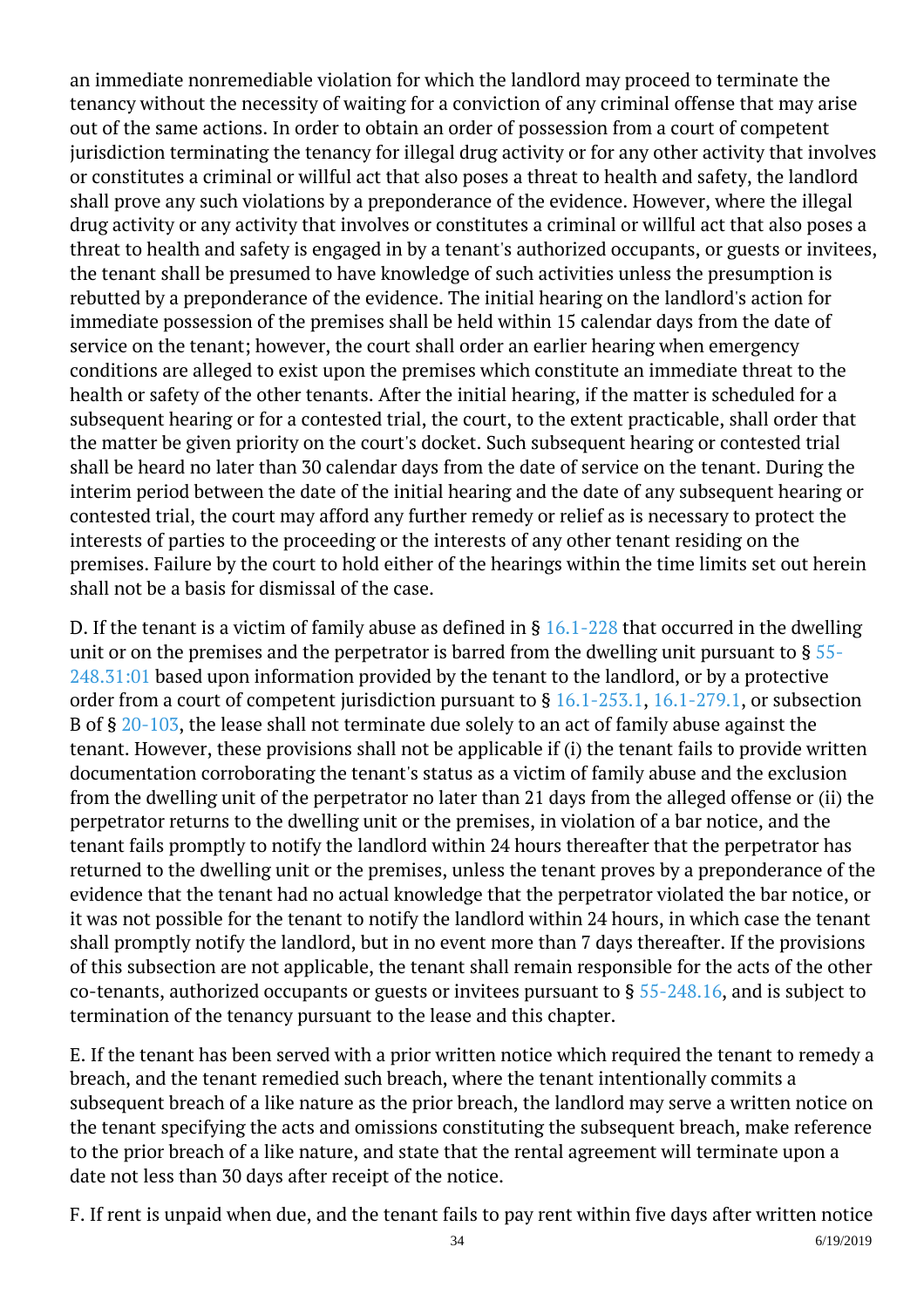an immediate nonremediable violation for which the landlord may proceed to terminate the tenancy without the necessity of waiting for a conviction of any criminal offense that may arise out of the same actions. In order to obtain an order of possession from a court of competent jurisdiction terminating the tenancy for illegal drug activity or for any other activity that involves or constitutes a criminal or willful act that also poses a threat to health and safety, the landlord shall prove any such violations by a preponderance of the evidence. However, where the illegal drug activity or any activity that involves or constitutes a criminal or willful act that also poses a threat to health and safety is engaged in by a tenant's authorized occupants, or guests or invitees, the tenant shall be presumed to have knowledge of such activities unless the presumption is rebutted by a preponderance of the evidence. The initial hearing on the landlord's action for immediate possession of the premises shall be held within 15 calendar days from the date of service on the tenant; however, the court shall order an earlier hearing when emergency conditions are alleged to exist upon the premises which constitute an immediate threat to the health or safety of the other tenants. After the initial hearing, if the matter is scheduled for a subsequent hearing or for a contested trial, the court, to the extent practicable, shall order that the matter be given priority on the court's docket. Such subsequent hearing or contested trial shall be heard no later than 30 calendar days from the date of service on the tenant. During the interim period between the date of the initial hearing and the date of any subsequent hearing or contested trial, the court may afford any further remedy or relief as is necessary to protect the interests of parties to the proceeding or the interests of any other tenant residing on the premises. Failure by the court to hold either of the hearings within the time limits set out herein shall not be a basis for dismissal of the case. Ĩ

D. If the tenant is a victim of family abuse as defined in  $\S$  [16.1-228](http://law.lis.virginia.gov/vacode/16.1-228/) that occurred in the dwelling unit or on the premises and the perpetrator is barred from the dwelling unit pursuant to  $\S$  [55-](http://law.lis.virginia.gov/vacode/55-248.31:01/) [248.31:01](http://law.lis.virginia.gov/vacode/55-248.31:01/) based upon information provided by the tenant to the landlord, or by a protective order from a court of competent jurisdiction pursuant to § [16.1-253.1](http://law.lis.virginia.gov/vacode/16.1-253.1/), [16.1-279.1](http://law.lis.virginia.gov/vacode/16.1-279.1/), or subsection B of § [20-103](http://law.lis.virginia.gov/vacode/20-103/), the lease shall not terminate due solely to an act of family abuse against the tenant. However, these provisions shall not be applicable if (i) the tenant fails to provide written documentation corroborating the tenant's status as a victim of family abuse and the exclusion from the dwelling unit of the perpetrator no later than 21 days from the alleged offense or (ii) the perpetrator returns to the dwelling unit or the premises, in violation of a bar notice, and the tenant fails promptly to notify the landlord within 24 hours thereafter that the perpetrator has returned to the dwelling unit or the premises, unless the tenant proves by a preponderance of the evidence that the tenant had no actual knowledge that the perpetrator violated the bar notice, or it was not possible for the tenant to notify the landlord within 24 hours, in which case the tenant shall promptly notify the landlord, but in no event more than 7 days thereafter. If the provisions of this subsection are not applicable, the tenant shall remain responsible for the acts of the other co-tenants, authorized occupants or guests or invitees pursuant to § [55-248.16,](http://law.lis.virginia.gov/vacode/55-248.16/) and is subject to termination of the tenancy pursuant to the lease and this chapter.

E. If the tenant has been served with a prior written notice which required the tenant to remedy a breach, and the tenant remedied such breach, where the tenant intentionally commits a subsequent breach of a like nature as the prior breach, the landlord may serve a written notice on the tenant specifying the acts and omissions constituting the subsequent breach, make reference to the prior breach of a like nature, and state that the rental agreement will terminate upon a date not less than 30 days after receipt of the notice.

F. If rent is unpaid when due, and the tenant fails to pay rent within five days after written notice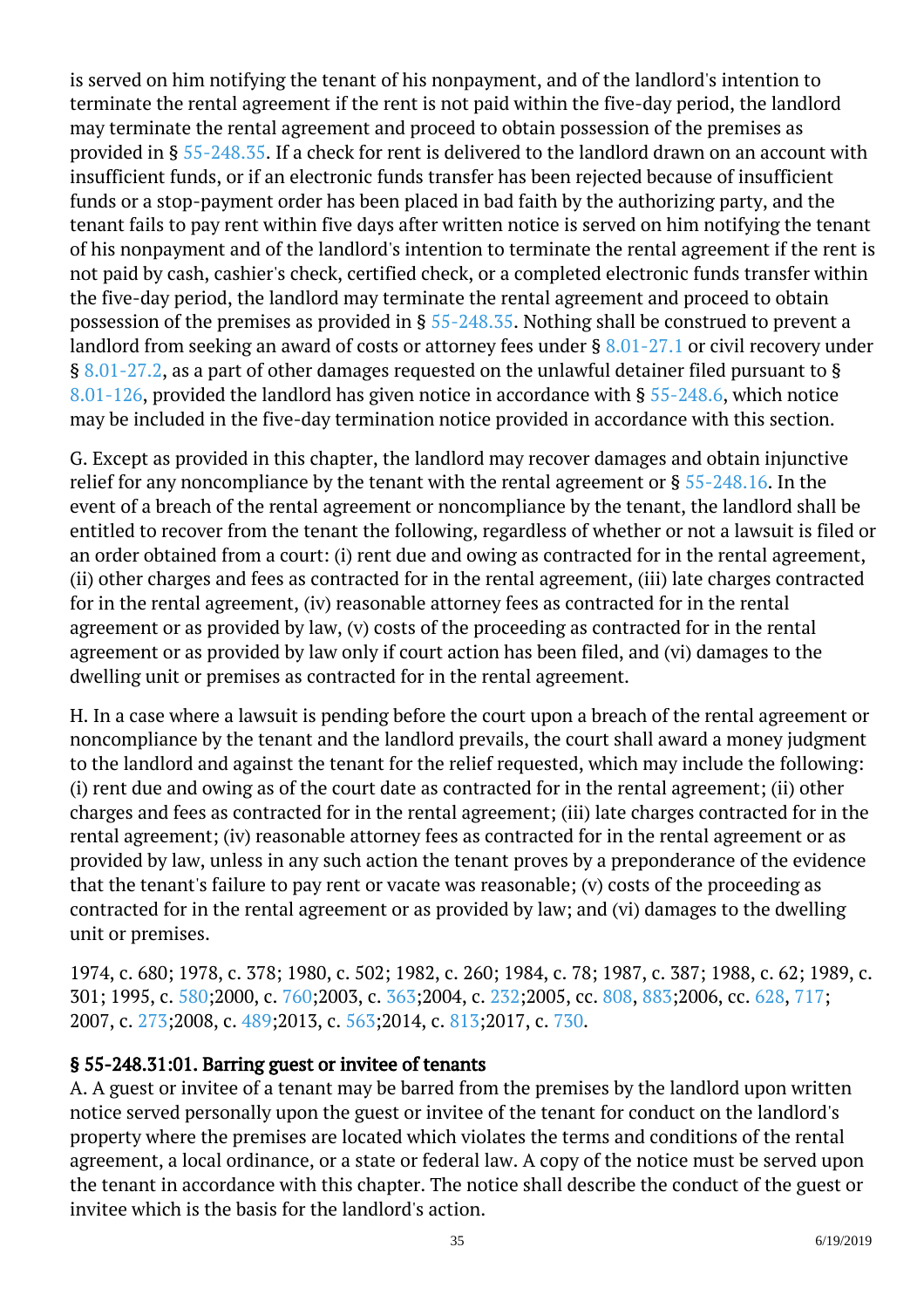is served on him notifying the tenant of his nonpayment, and of the landlord's intention to terminate the rental agreement if the rent is not paid within the five-day period, the landlord may terminate the rental agreement and proceed to obtain possession of the premises as provided in § [55-248.35](http://law.lis.virginia.gov/vacode/55-248.35/). If a check for rent is delivered to the landlord drawn on an account with insufficient funds, or if an electronic funds transfer has been rejected because of insufficient funds or a stop-payment order has been placed in bad faith by the authorizing party, and the tenant fails to pay rent within five days after written notice is served on him notifying the tenant of his nonpayment and of the landlord's intention to terminate the rental agreement if the rent is not paid by cash, cashier's check, certified check, or a completed electronic funds transfer within the five-day period, the landlord may terminate the rental agreement and proceed to obtain possession of the premises as provided in § [55-248.35.](http://law.lis.virginia.gov/vacode/55-248.35/) Nothing shall be construed to prevent a landlord from seeking an award of costs or attorney fees under § [8.01-27.1](http://law.lis.virginia.gov/vacode/8.01-27.1/) or civil recovery under § [8.01-27.2](http://law.lis.virginia.gov/vacode/8.01-27.2/), as a part of other damages requested on the unlawful detainer filed pursuant to § [8.01-126,](http://law.lis.virginia.gov/vacode/8.01-126/) provided the landlord has given notice in accordance with § [55-248.6,](http://law.lis.virginia.gov/vacode/55-248.6/) which notice may be included in the five-day termination notice provided in accordance with this section.

G. Except as provided in this chapter, the landlord may recover damages and obtain injunctive relief for any noncompliance by the tenant with the rental agreement or § [55-248.16](http://law.lis.virginia.gov/vacode/55-248.16/). In the event of a breach of the rental agreement or noncompliance by the tenant, the landlord shall be entitled to recover from the tenant the following, regardless of whether or not a lawsuit is filed or an order obtained from a court: (i) rent due and owing as contracted for in the rental agreement, (ii) other charges and fees as contracted for in the rental agreement, (iii) late charges contracted for in the rental agreement, (iv) reasonable attorney fees as contracted for in the rental agreement or as provided by law, (v) costs of the proceeding as contracted for in the rental agreement or as provided by law only if court action has been filed, and (vi) damages to the dwelling unit or premises as contracted for in the rental agreement.

H. In a case where a lawsuit is pending before the court upon a breach of the rental agreement or noncompliance by the tenant and the landlord prevails, the court shall award a money judgment to the landlord and against the tenant for the relief requested, which may include the following: (i) rent due and owing as of the court date as contracted for in the rental agreement; (ii) other charges and fees as contracted for in the rental agreement; (iii) late charges contracted for in the rental agreement; (iv) reasonable attorney fees as contracted for in the rental agreement or as provided by law, unless in any such action the tenant proves by a preponderance of the evidence that the tenant's failure to pay rent or vacate was reasonable; (v) costs of the proceeding as contracted for in the rental agreement or as provided by law; and (vi) damages to the dwelling unit or premises.

1974, c. 680; 1978, c. 378; 1980, c. 502; 1982, c. 260; 1984, c. 78; 1987, c. 387; 1988, c. 62; 1989, c. 301; 1995, c. [580;](http://lis.virginia.gov/cgi-bin/legp604.exe?951+ful+CHAP0580)2000, c. [760;2](http://lis.virginia.gov/cgi-bin/legp604.exe?001+ful+CHAP0760)003, c. [363;2](http://lis.virginia.gov/cgi-bin/legp604.exe?031+ful+CHAP0363)004, c. [232;2](http://lis.virginia.gov/cgi-bin/legp604.exe?041+ful+CHAP0232)005, cc. [808](http://lis.virginia.gov/cgi-bin/legp604.exe?051+ful+CHAP0808), [883;2](http://lis.virginia.gov/cgi-bin/legp604.exe?051+ful+CHAP0883)006, cc. [628](http://lis.virginia.gov/cgi-bin/legp604.exe?061+ful+CHAP0628), [717;](http://lis.virginia.gov/cgi-bin/legp604.exe?061+ful+CHAP0717) 2007, c. [273;2](http://lis.virginia.gov/cgi-bin/legp604.exe?071+ful+CHAP0273)008, c. [489;2](http://lis.virginia.gov/cgi-bin/legp604.exe?081+ful+CHAP0489)013, c. [563;2](http://lis.virginia.gov/cgi-bin/legp604.exe?131+ful+CHAP0563)014, c. [813;2](http://lis.virginia.gov/cgi-bin/legp604.exe?141+ful+CHAP0813)017, c. [730.](http://lis.virginia.gov/cgi-bin/legp604.exe?171+ful+CHAP0730)

#### § 55-248.31:01. Barring guest or invitee of tenants

A. A guest or invitee of a tenant may be barred from the premises by the landlord upon written notice served personally upon the guest or invitee of the tenant for conduct on the landlord's property where the premises are located which violates the terms and conditions of the rental agreement, a local ordinance, or a state or federal law. A copy of the notice must be served upon the tenant in accordance with this chapter. The notice shall describe the conduct of the guest or invitee which is the basis for the landlord's action.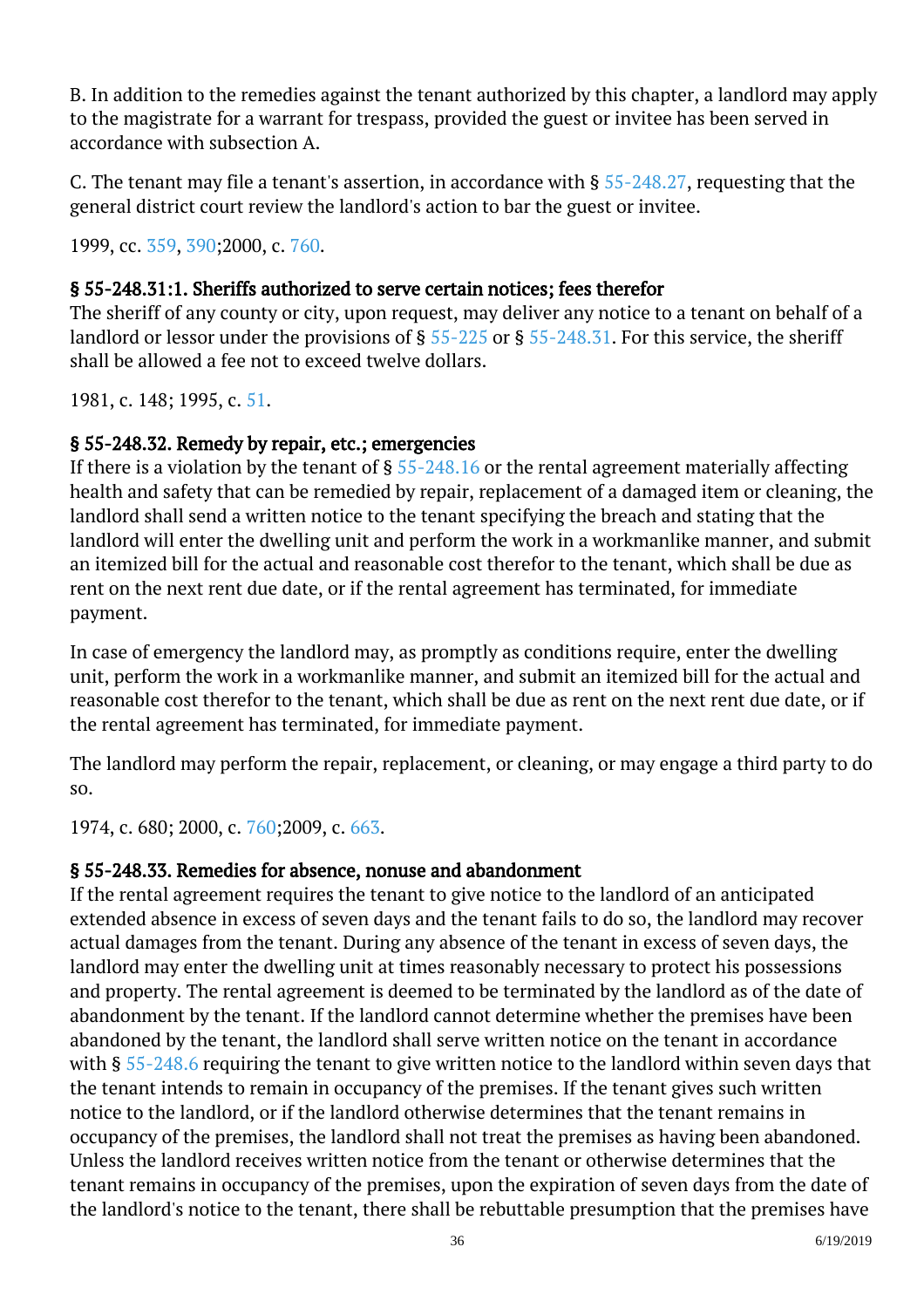B. In addition to the remedies against the tenant authorized by this chapter, a landlord may apply to the magistrate for a warrant for trespass, provided the guest or invitee has been served in accordance with subsection A. Ĩ

C. The tenant may file a tenant's assertion, in accordance with § [55-248.27](http://law.lis.virginia.gov/vacode/55-248.27/), requesting that the general district court review the landlord's action to bar the guest or invitee. ĺ

1999, cc. [359,](http://lis.virginia.gov/cgi-bin/legp604.exe?991+ful+CHAP0359) [390;](http://lis.virginia.gov/cgi-bin/legp604.exe?991+ful+CHAP0390)2000, c. [760.](http://lis.virginia.gov/cgi-bin/legp604.exe?001+ful+CHAP0760)

#### § 55-248.31:1. Sheriffs authorized to serve certain notices; fees therefor

The sheriff of any county or city, upon request, may deliver any notice to a tenant on behalf of a landlord or lessor under the provisions of § [55-225](http://law.lis.virginia.gov/vacode/55-225/) or § [55-248.31.](http://law.lis.virginia.gov/vacode/55-248.31/) For this service, the sheriff shall be allowed a fee not to exceed twelve dollars. Ĩ

1981, c. 148; 1995, c. [51](http://lis.virginia.gov/cgi-bin/legp604.exe?951+ful+CHAP0051).

#### § 55-248.32. Remedy by repair, etc.; emergencies

If there is a violation by the tenant of  $\S 55$ -248.16 or the rental agreement materially affecting health and safety that can be remedied by repair, replacement of a damaged item or cleaning, the landlord shall send a written notice to the tenant specifying the breach and stating that the landlord will enter the dwelling unit and perform the work in a workmanlike manner, and submit an itemized bill for the actual and reasonable cost therefor to the tenant, which shall be due as rent on the next rent due date, or if the rental agreement has terminated, for immediate payment. <sup>"</sup>

In case of emergency the landlord may, as promptly as conditions require, enter the dwelling unit, perform the work in a workmanlike manner, and submit an itemized bill for the actual and reasonable cost therefor to the tenant, which shall be due as rent on the next rent due date, or if the rental agreement has terminated, for immediate payment.

The landlord may perform the repair, replacement, or cleaning, or may engage a third party to do so.

1974, c. 680; 2000, c. [760;2](http://lis.virginia.gov/cgi-bin/legp604.exe?001+ful+CHAP0760)009, c. [663.](http://lis.virginia.gov/cgi-bin/legp604.exe?091+ful+CHAP0663)

## § 55-248.33. Remedies for absence, nonuse and abandonment

If the rental agreement requires the tenant to give notice to the landlord of an anticipated extended absence in excess of seven days and the tenant fails to do so, the landlord may recover actual damages from the tenant. During any absence of the tenant in excess of seven days, the landlord may enter the dwelling unit at times reasonably necessary to protect his possessions and property. The rental agreement is deemed to be terminated by the landlord as of the date of abandonment by the tenant. If the landlord cannot determine whether the premises have been abandoned by the tenant, the landlord shall serve written notice on the tenant in accordance with § [55-248.6](http://law.lis.virginia.gov/vacode/55-248.6/) requiring the tenant to give written notice to the landlord within seven days that the tenant intends to remain in occupancy of the premises. If the tenant gives such written notice to the landlord, or if the landlord otherwise determines that the tenant remains in occupancy of the premises, the landlord shall not treat the premises as having been abandoned. Unless the landlord receives written notice from the tenant or otherwise determines that the tenant remains in occupancy of the premises, upon the expiration of seven days from the date of the landlord's notice to the tenant, there shall be rebuttable presumption that the premises have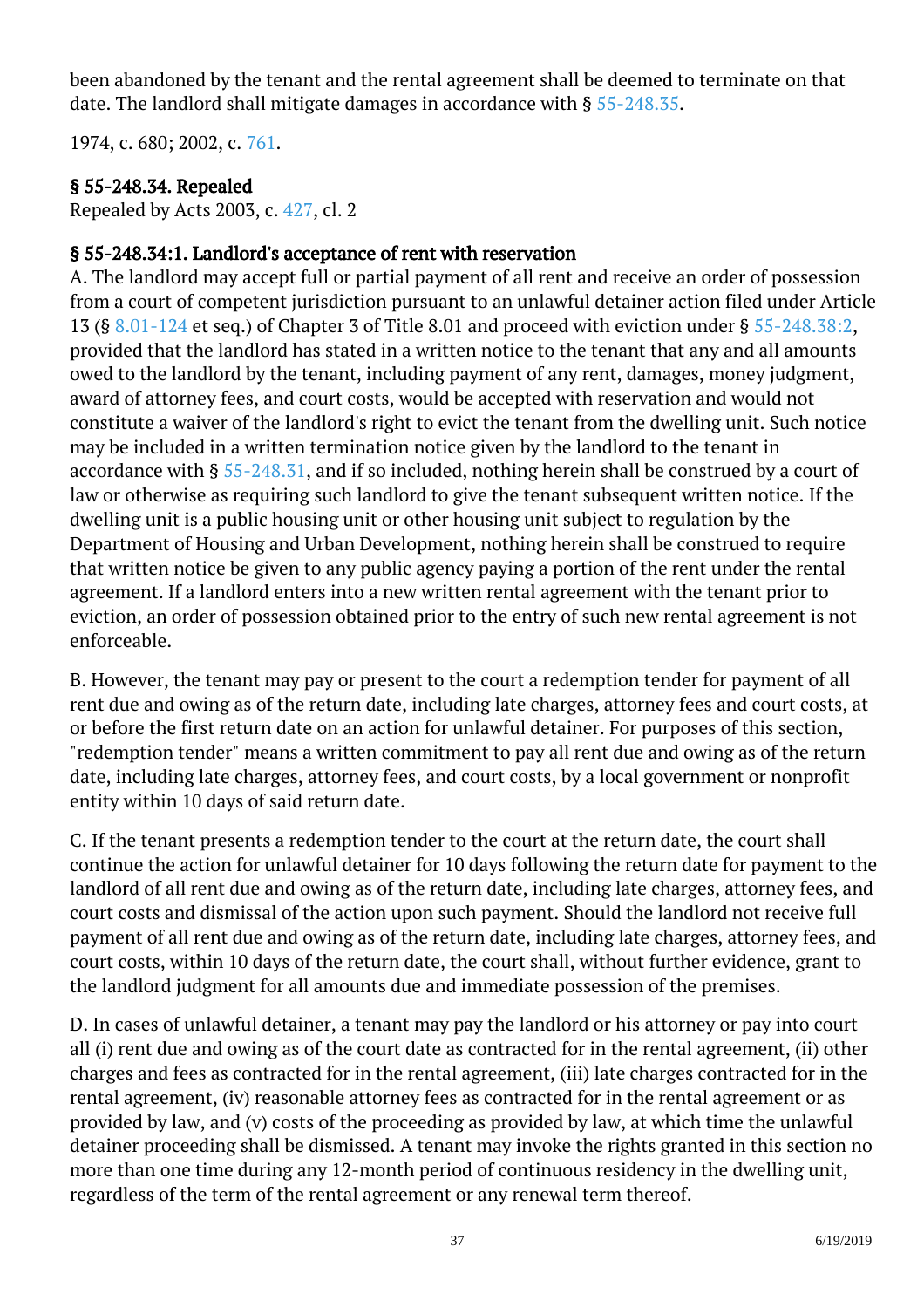been abandoned by the tenant and the rental agreement shall be deemed to terminate on that date. The landlord shall mitigate damages in accordance with §  $55$ -248.35.

1974, c. 680; 2002, c. [761.](http://lis.virginia.gov/cgi-bin/legp604.exe?021+ful+CHAP0761)

#### § 55-248.34. Repealed

Repealed by Acts 2003, c. [427,](http://lis.virginia.gov/cgi-bin/legp604.exe?031+ful+CHAP0427) cl. 2

#### § 55-248.34:1. Landlord's acceptance of rent with reservation

A. The landlord may accept full or partial payment of all rent and receive an order of possession from a court of competent jurisdiction pursuant to an unlawful detainer action filed under Article 13 (§ [8.01-124](/vacode/8.01-124/) et seq.) of Chapter 3 of Title 8.01 and proceed with eviction under § [55-248.38:2](/vacode/55-248.38:2/), provided that the landlord has stated in a written notice to the tenant that any and all amounts owed to the landlord by the tenant, including payment of any rent, damages, money judgment, award of attorney fees, and court costs, would be accepted with reservation and would not constitute a waiver of the landlord's right to evict the tenant from the dwelling unit. Such notice may be included in a written termination notice given by the landlord to the tenant in accordance with § [55-248.31](/vacode/55-248.31/), and if so included, nothing herein shall be construed by a court of law or otherwise as requiring such landlord to give the tenant subsequent written notice. If the dwelling unit is a public housing unit or other housing unit subject to regulation by the Department of Housing and Urban Development, nothing herein shall be construed to require that written notice be given to any public agency paying a portion of the rent under the rental agreement. If a landlord enters into a new written rental agreement with the tenant prior to eviction, an order of possession obtained prior to the entry of such new rental agreement is not enforceable.

B. However, the tenant may pay or present to the court a redemption tender for payment of all rent due and owing as of the return date, including late charges, attorney fees and court costs, at or before the first return date on an action for unlawful detainer. For purposes of this section, "redemption tender" means a written commitment to pay all rent due and owing as of the return date, including late charges, attorney fees, and court costs, by a local government or nonprofit entity within 10 days of said return date.

C. If the tenant presents a redemption tender to the court at the return date, the court shall continue the action for unlawful detainer for 10 days following the return date for payment to the landlord of all rent due and owing as of the return date, including late charges, attorney fees, and court costs and dismissal of the action upon such payment. Should the landlord not receive full payment of all rent due and owing as of the return date, including late charges, attorney fees, and court costs, within 10 days of the return date, the court shall, without further evidence, grant to the landlord judgment for all amounts due and immediate possession of the premises.

D. In cases of unlawful detainer, a tenant may pay the landlord or his attorney or pay into court all (i) rent due and owing as of the court date as contracted for in the rental agreement, (ii) other charges and fees as contracted for in the rental agreement, (iii) late charges contracted for in the rental agreement, (iv) reasonable attorney fees as contracted for in the rental agreement or as provided by law, and (v) costs of the proceeding as provided by law, at which time the unlawful detainer proceeding shall be dismissed. A tenant may invoke the rights granted in this section no more than one time during any 12-month period of continuous residency in the dwelling unit, regardless of the term of the rental agreement or any renewal term thereof.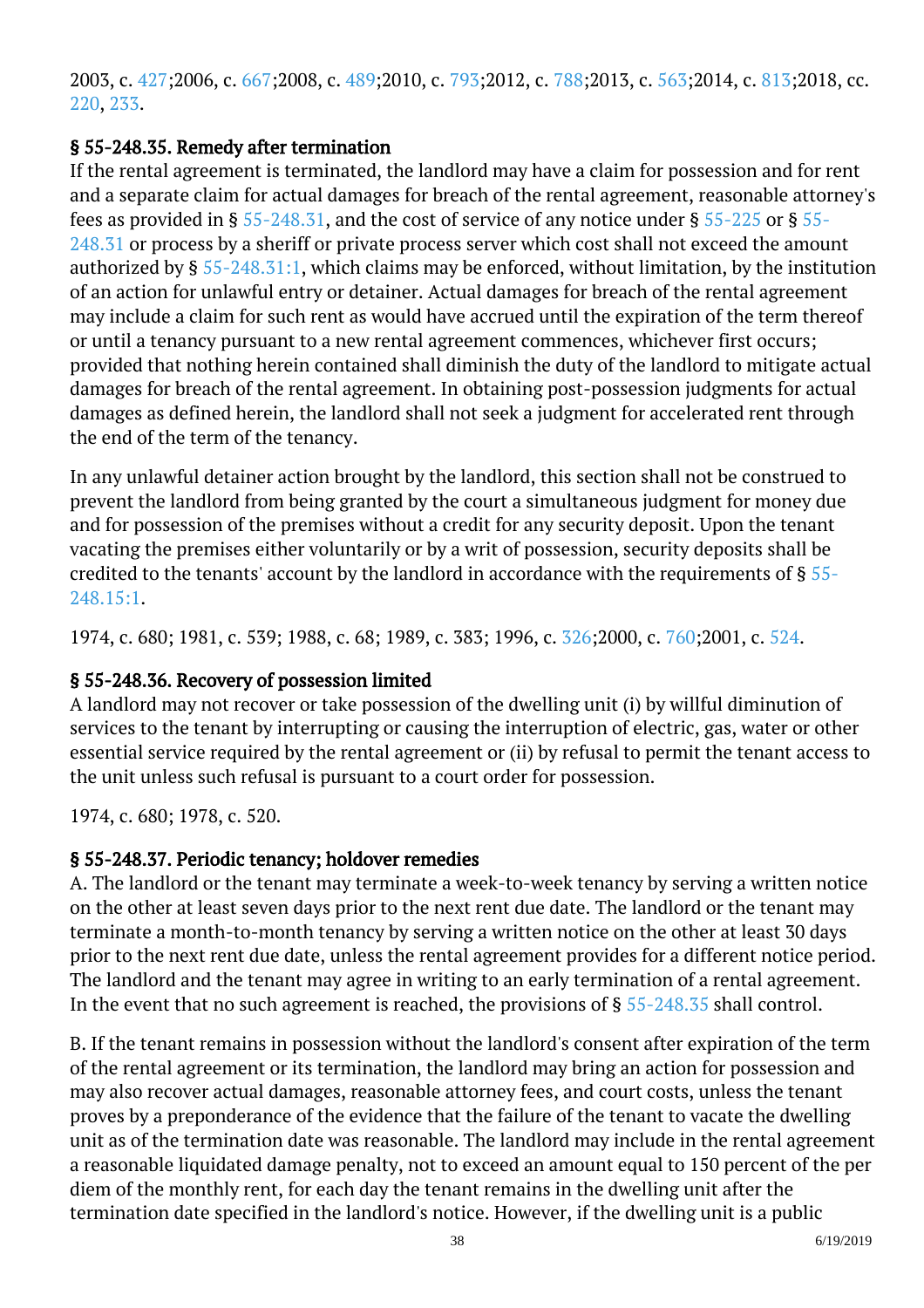2003, c. [427;2](http://lis.virginia.gov/cgi-bin/legp604.exe?031+ful+CHAP0427)006, c. [667;2](http://lis.virginia.gov/cgi-bin/legp604.exe?061+ful+CHAP0667)008, c. [489;2](http://lis.virginia.gov/cgi-bin/legp604.exe?081+ful+CHAP0489)010, c. [793;2](http://lis.virginia.gov/cgi-bin/legp604.exe?101+ful+CHAP0793)012, c. [788;2](http://lis.virginia.gov/cgi-bin/legp604.exe?121+ful+CHAP0788)013, c. [563;2](http://lis.virginia.gov/cgi-bin/legp604.exe?131+ful+CHAP0563)014, c. [813;](http://lis.virginia.gov/cgi-bin/legp604.exe?141+ful+CHAP0813)2018, cc. [220](http://lis.virginia.gov/cgi-bin/legp604.exe?181+ful+CHAP0220), [233.](http://lis.virginia.gov/cgi-bin/legp604.exe?181+ful+CHAP0233)

#### § 55-248.35. Remedy after termination

If the rental agreement is terminated, the landlord may have a claim for possession and for rent and a separate claim for actual damages for breach of the rental agreement, reasonable attorney's fees as provided in §  $55$ -248.31, and the cost of service of any notice under §  $55$ -225 or §  $55$ -[248.31](http://law.lis.virginia.gov/vacode/55-248.31/) or process by a sheriff or private process server which cost shall not exceed the amount authorized by § [55-248.31:1](http://law.lis.virginia.gov/vacode/55-248.31:1/), which claims may be enforced, without limitation, by the institution of an action for unlawful entry or detainer. Actual damages for breach of the rental agreement may include a claim for such rent as would have accrued until the expiration of the term thereof or until a tenancy pursuant to a new rental agreement commences, whichever first occurs; provided that nothing herein contained shall diminish the duty of the landlord to mitigate actual damages for breach of the rental agreement. In obtaining post-possession judgments for actual damages as defined herein, the landlord shall not seek a judgment for accelerated rent through the end of the term of the tenancy.

In any unlawful detainer action brought by the landlord, this section shall not be construed to prevent the landlord from being granted by the court a simultaneous judgment for money due and for possession of the premises without a credit for any security deposit. Upon the tenant vacating the premises either voluntarily or by a writ of possession, security deposits shall be credited to the tenants' account by the landlord in accordance with the requirements of § [55-](http://law.lis.virginia.gov/vacode/55-248.15:1/) [248.15:1.](http://law.lis.virginia.gov/vacode/55-248.15:1/)

1974, c. 680; 1981, c. 539; 1988, c. 68; 1989, c. 383; 1996, c. [326;2](http://lis.virginia.gov/cgi-bin/legp604.exe?961+ful+CHAP0326)000, c. [760;2](http://lis.virginia.gov/cgi-bin/legp604.exe?001+ful+CHAP0760)001, c. [524.](http://lis.virginia.gov/cgi-bin/legp604.exe?011+ful+CHAP0524)

## § 55-248.36. Recovery of possession limited

A landlord may not recover or take possession of the dwelling unit (i) by willful diminution of services to the tenant by interrupting or causing the interruption of electric, gas, water or other essential service required by the rental agreement or (ii) by refusal to permit the tenant access to the unit unless such refusal is pursuant to a court order for possession.

1974, c. 680; 1978, c. 520.

## § 55-248.37. Periodic tenancy; holdover remedies

A. The landlord or the tenant may terminate a week-to-week tenancy by serving a written notice on the other at least seven days prior to the next rent due date. The landlord or the tenant may terminate a month-to-month tenancy by serving a written notice on the other at least 30 days prior to the next rent due date, unless the rental agreement provides for a different notice period. The landlord and the tenant may agree in writing to an early termination of a rental agreement. In the event that no such agreement is reached, the provisions of  $\S 55$ -248.35 shall control.

B. If the tenant remains in possession without the landlord's consent after expiration of the term of the rental agreement or its termination, the landlord may bring an action for possession and may also recover actual damages, reasonable attorney fees, and court costs, unless the tenant proves by a preponderance of the evidence that the failure of the tenant to vacate the dwelling unit as of the termination date was reasonable. The landlord may include in the rental agreement a reasonable liquidated damage penalty, not to exceed an amount equal to 150 percent of the per diem of the monthly rent, for each day the tenant remains in the dwelling unit after the termination date specified in the landlord's notice. However, if the dwelling unit is a public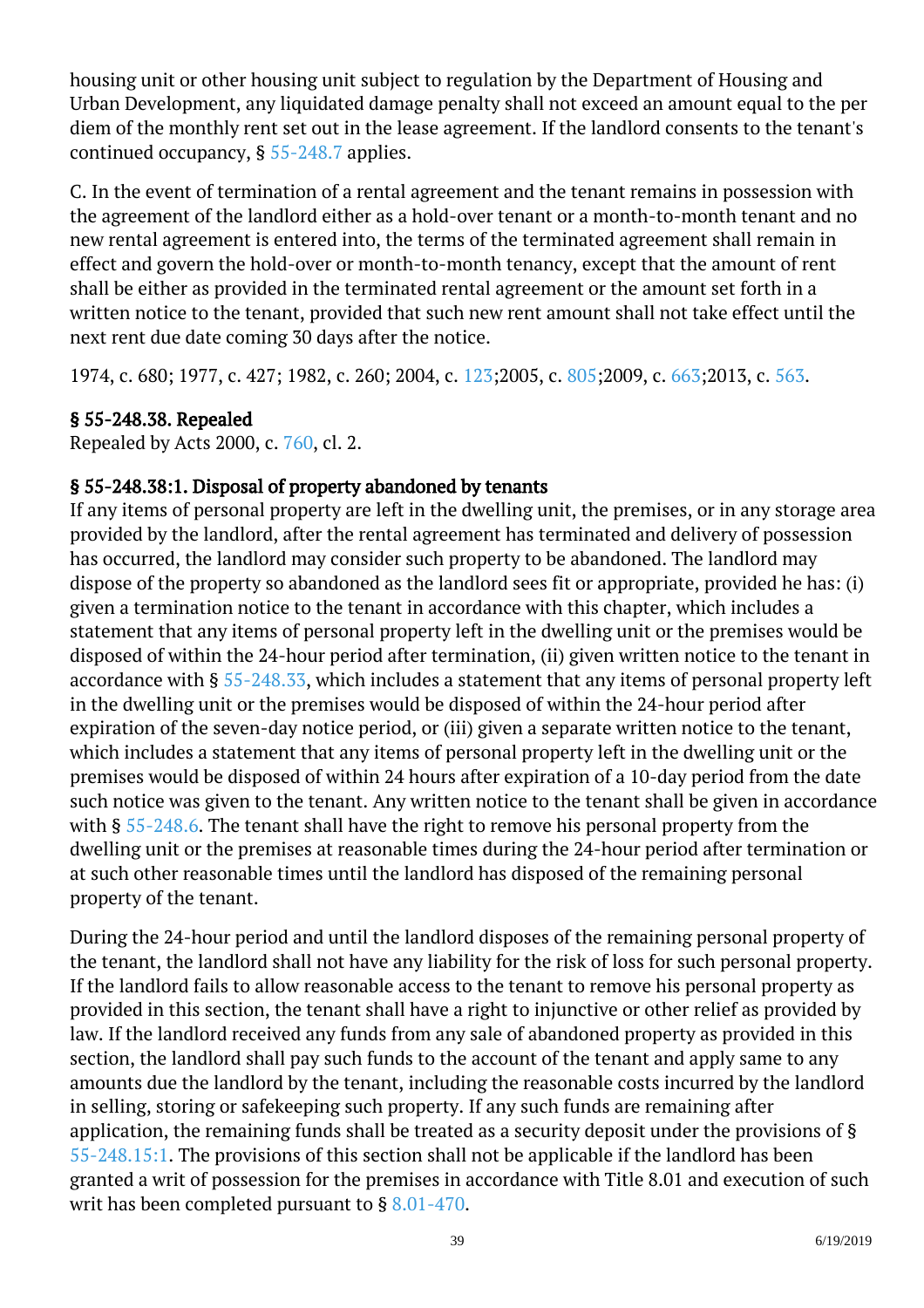housing unit or other housing unit subject to regulation by the Department of Housing and Urban Development, any liquidated damage penalty shall not exceed an amount equal to the per diem of the monthly rent set out in the lease agreement. If the landlord consents to the tenant's continued occupancy, § [55-248.7](http://law.lis.virginia.gov/vacode/55-248.7/) applies.

C. In the event of termination of a rental agreement and the tenant remains in possession with the agreement of the landlord either as a hold-over tenant or a month-to-month tenant and no new rental agreement is entered into, the terms of the terminated agreement shall remain in effect and govern the hold-over or month-to-month tenancy, except that the amount of rent shall be either as provided in the terminated rental agreement or the amount set forth in a written notice to the tenant, provided that such new rent amount shall not take effect until the next rent due date coming 30 days after the notice.

1974, c. 680; 1977, c. 427; 1982, c. 260; 2004, c. [123;](http://lis.virginia.gov/cgi-bin/legp604.exe?041+ful+CHAP0123)2005, c. [805;](http://lis.virginia.gov/cgi-bin/legp604.exe?051+ful+CHAP0805)2009, c. [663;](http://lis.virginia.gov/cgi-bin/legp604.exe?091+ful+CHAP0663)2013, c. [563](http://lis.virginia.gov/cgi-bin/legp604.exe?131+ful+CHAP0563).

## § 55-248.38. Repealed

Repealed by Acts 2000, c. [760,](http://lis.virginia.gov/cgi-bin/legp604.exe?001+ful+CHAP0760) cl. 2.

# § 55-248.38:1. Disposal of property abandoned by tenants

If any items of personal property are left in the dwelling unit, the premises, or in any storage area provided by the landlord, after the rental agreement has terminated and delivery of possession has occurred, the landlord may consider such property to be abandoned. The landlord may dispose of the property so abandoned as the landlord sees fit or appropriate, provided he has: (i) given a termination notice to the tenant in accordance with this chapter, which includes a statement that any items of personal property left in the dwelling unit or the premises would be disposed of within the 24-hour period after termination, (ii) given written notice to the tenant in accordance with § [55-248.33](http://law.lis.virginia.gov/vacode/55-248.33/), which includes a statement that any items of personal property left in the dwelling unit or the premises would be disposed of within the 24-hour period after expiration of the seven-day notice period, or (iii) given a separate written notice to the tenant, which includes a statement that any items of personal property left in the dwelling unit or the premises would be disposed of within 24 hours after expiration of a 10-day period from the date such notice was given to the tenant. Any written notice to the tenant shall be given in accordance with § [55-248.6.](http://law.lis.virginia.gov/vacode/55-248.6/) The tenant shall have the right to remove his personal property from the dwelling unit or the premises at reasonable times during the 24-hour period after termination or at such other reasonable times until the landlord has disposed of the remaining personal property of the tenant. <sup>"</sup>

During the 24-hour period and until the landlord disposes of the remaining personal property of the tenant, the landlord shall not have any liability for the risk of loss for such personal property. If the landlord fails to allow reasonable access to the tenant to remove his personal property as provided in this section, the tenant shall have a right to injunctive or other relief as provided by law. If the landlord received any funds from any sale of abandoned property as provided in this section, the landlord shall pay such funds to the account of the tenant and apply same to any amounts due the landlord by the tenant, including the reasonable costs incurred by the landlord in selling, storing or safekeeping such property. If any such funds are remaining after application, the remaining funds shall be treated as a security deposit under the provisions of § [55-248.15:1.](http://law.lis.virginia.gov/vacode/55-248.15:1/) The provisions of this section shall not be applicable if the landlord has been granted a writ of possession for the premises in accordance with Title 8.01 and execution of such writ has been completed pursuant to § [8.01-470](http://law.lis.virginia.gov/vacode/8.01-470/).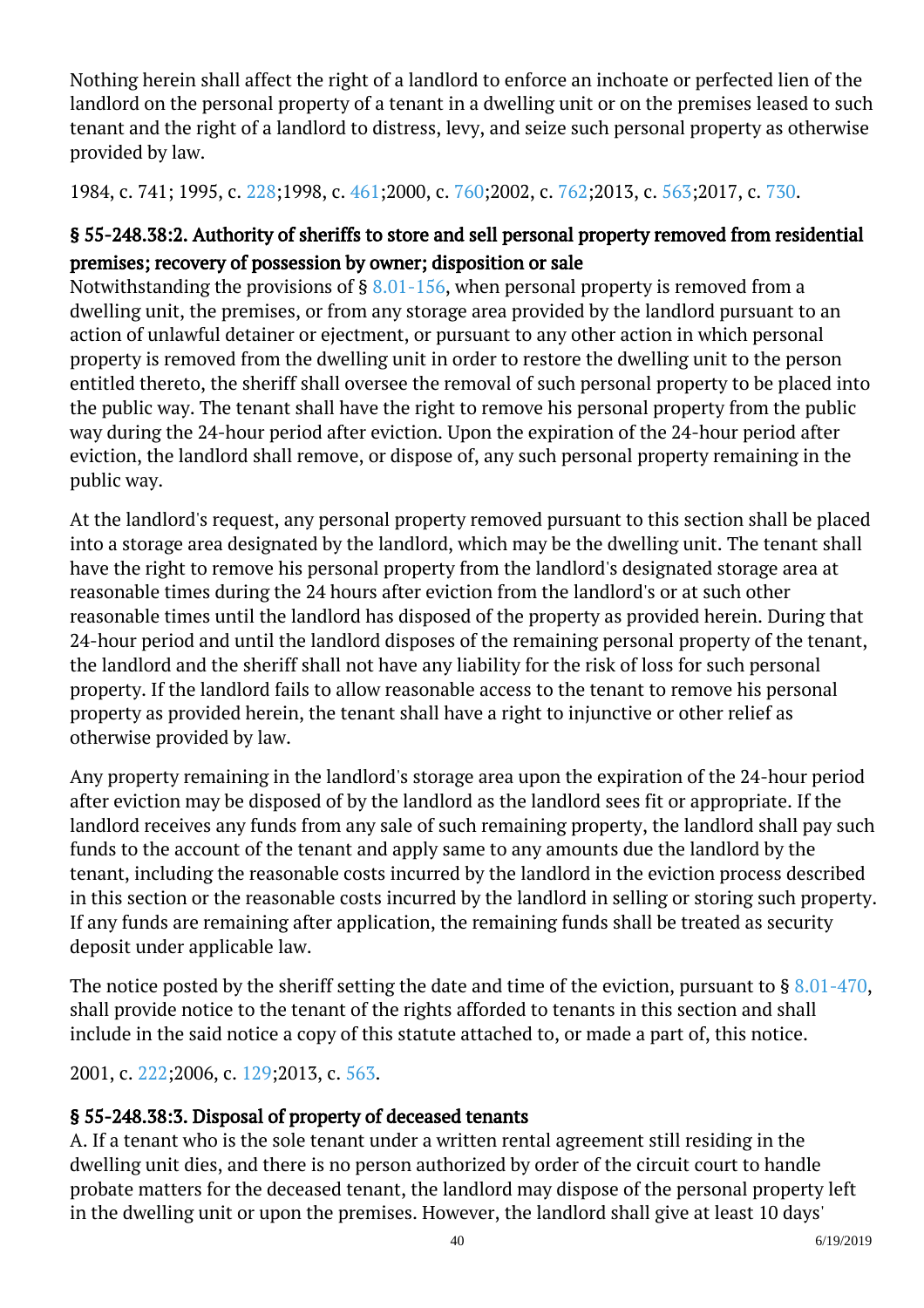Nothing herein shall affect the right of a landlord to enforce an inchoate or perfected lien of the landlord on the personal property of a tenant in a dwelling unit or on the premises leased to such tenant and the right of a landlord to distress, levy, and seize such personal property as otherwise provided by law. <sup>"</sup>

1984, c. 741; 1995, c. [228;1](http://lis.virginia.gov/cgi-bin/legp604.exe?951+ful+CHAP0228)998, c. [461;2](http://lis.virginia.gov/cgi-bin/legp604.exe?981+ful+CHAP0461)000, c. [760;2](http://lis.virginia.gov/cgi-bin/legp604.exe?001+ful+CHAP0760)002, c. [762;2](http://lis.virginia.gov/cgi-bin/legp604.exe?021+ful+CHAP0762)013, c. [563;](http://lis.virginia.gov/cgi-bin/legp604.exe?131+ful+CHAP0563)2017, c. [730](http://lis.virginia.gov/cgi-bin/legp604.exe?171+ful+CHAP0730).

# § 55-248.38:2. Authority of sheriffs to store and sell personal property removed from residential premises; recovery of possession by owner; disposition or sale

Notwithstanding the provisions of  $\S$  [8.01-156,](http://law.lis.virginia.gov/vacode/8.01-156/) when personal property is removed from a dwelling unit, the premises, or from any storage area provided by the landlord pursuant to an action of unlawful detainer or ejectment, or pursuant to any other action in which personal property is removed from the dwelling unit in order to restore the dwelling unit to the person entitled thereto, the sheriff shall oversee the removal of such personal property to be placed into the public way. The tenant shall have the right to remove his personal property from the public way during the 24-hour period after eviction. Upon the expiration of the 24-hour period after eviction, the landlord shall remove, or dispose of, any such personal property remaining in the public way. <sup>"</sup>

At the landlord's request, any personal property removed pursuant to this section shall be placed into a storage area designated by the landlord, which may be the dwelling unit. The tenant shall have the right to remove his personal property from the landlord's designated storage area at reasonable times during the 24 hours after eviction from the landlord's or at such other reasonable times until the landlord has disposed of the property as provided herein. During that 24-hour period and until the landlord disposes of the remaining personal property of the tenant, the landlord and the sheriff shall not have any liability for the risk of loss for such personal property. If the landlord fails to allow reasonable access to the tenant to remove his personal property as provided herein, the tenant shall have a right to injunctive or other relief as otherwise provided by law.

Any property remaining in the landlord's storage area upon the expiration of the 24-hour period after eviction may be disposed of by the landlord as the landlord sees fit or appropriate. If the landlord receives any funds from any sale of such remaining property, the landlord shall pay such funds to the account of the tenant and apply same to any amounts due the landlord by the tenant, including the reasonable costs incurred by the landlord in the eviction process described in this section or the reasonable costs incurred by the landlord in selling or storing such property. If any funds are remaining after application, the remaining funds shall be treated as security deposit under applicable law.

The notice posted by the sheriff setting the date and time of the eviction, pursuant to  $\S 8.01-470$  $\S 8.01-470$ , shall provide notice to the tenant of the rights afforded to tenants in this section and shall include in the said notice a copy of this statute attached to, or made a part of, this notice.

2001, c. [222;2](http://lis.virginia.gov/cgi-bin/legp604.exe?011+ful+CHAP0222)006, c. [129;2](http://lis.virginia.gov/cgi-bin/legp604.exe?061+ful+CHAP0129)013, c. [563.](http://lis.virginia.gov/cgi-bin/legp604.exe?131+ful+CHAP0563)

# § 55-248.38:3. Disposal of property of deceased tenants

A. If a tenant who is the sole tenant under a written rental agreement still residing in the dwelling unit dies, and there is no person authorized by order of the circuit court to handle probate matters for the deceased tenant, the landlord may dispose of the personal property left in the dwelling unit or upon the premises. However, the landlord shall give at least 10 days'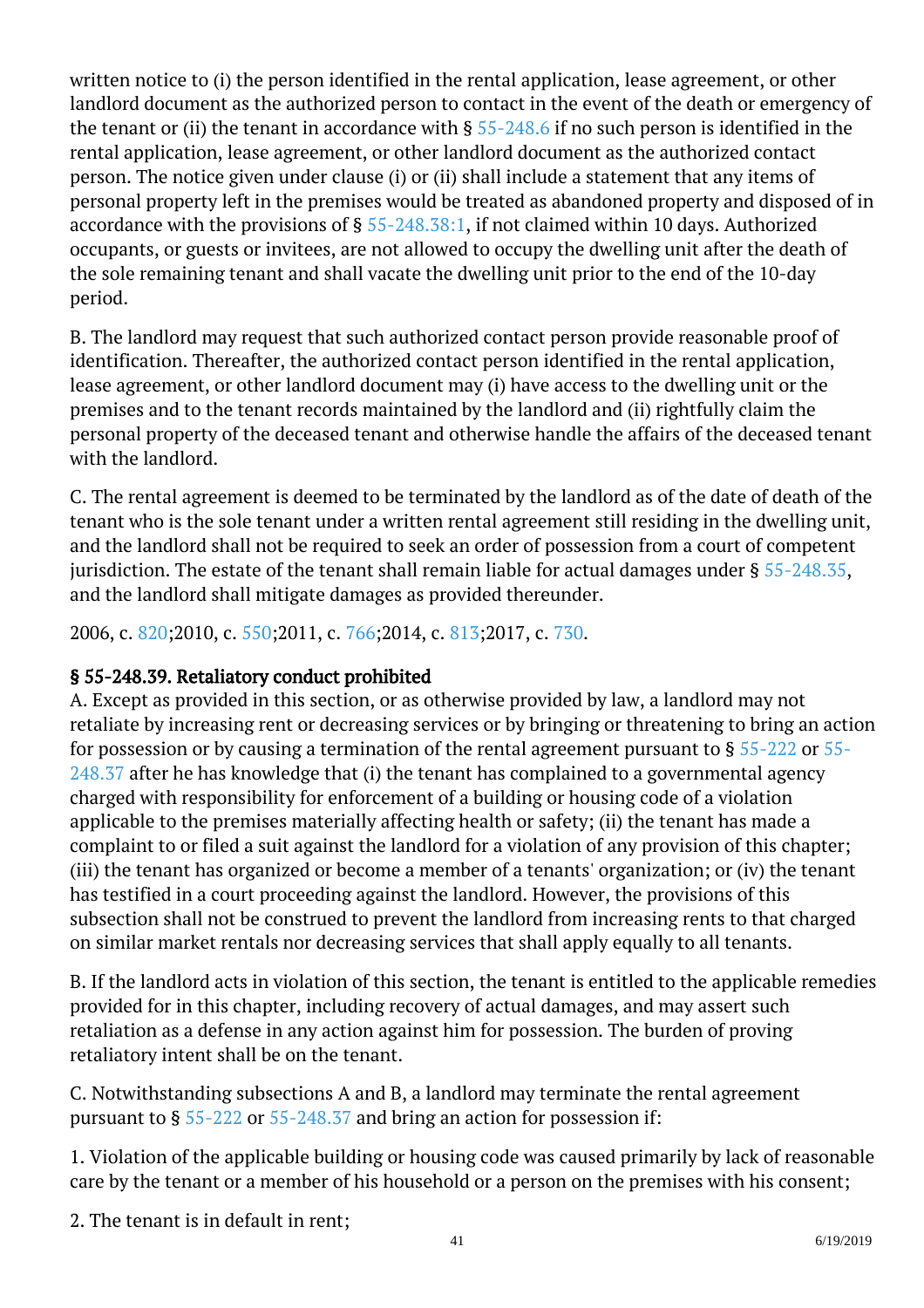written notice to (i) the person identified in the rental application, lease agreement, or other landlord document as the authorized person to contact in the event of the death or emergency of the tenant or (ii) the tenant in accordance with  $\S$  [55-248.6](http://law.lis.virginia.gov/vacode/55-248.6/) if no such person is identified in the rental application, lease agreement, or other landlord document as the authorized contact person. The notice given under clause (i) or (ii) shall include a statement that any items of personal property left in the premises would be treated as abandoned property and disposed of in accordance with the provisions of § [55-248.38:1,](http://law.lis.virginia.gov/vacode/55-248.38:1/) if not claimed within 10 days. Authorized occupants, or guests or invitees, are not allowed to occupy the dwelling unit after the death of the sole remaining tenant and shall vacate the dwelling unit prior to the end of the 10-day period. <sup>"</sup>

B. The landlord may request that such authorized contact person provide reasonable proof of identification. Thereafter, the authorized contact person identified in the rental application, lease agreement, or other landlord document may (i) have access to the dwelling unit or the premises and to the tenant records maintained by the landlord and (ii) rightfully claim the personal property of the deceased tenant and otherwise handle the affairs of the deceased tenant with the landlord.

C. The rental agreement is deemed to be terminated by the landlord as of the date of death of the tenant who is the sole tenant under a written rental agreement still residing in the dwelling unit, and the landlord shall not be required to seek an order of possession from a court of competent jurisdiction. The estate of the tenant shall remain liable for actual damages under § [55-248.35](http://law.lis.virginia.gov/vacode/55-248.35/), and the landlord shall mitigate damages as provided thereunder. Ĩ

2006, c. [820;2](http://lis.virginia.gov/cgi-bin/legp604.exe?061+ful+CHAP0820)010, c. [550;2](http://lis.virginia.gov/cgi-bin/legp604.exe?101+ful+CHAP0550)011, c. [766;2](http://lis.virginia.gov/cgi-bin/legp604.exe?111+ful+CHAP0766)014, c. [813;2](http://lis.virginia.gov/cgi-bin/legp604.exe?141+ful+CHAP0813)017, c. [730.](http://lis.virginia.gov/cgi-bin/legp604.exe?171+ful+CHAP0730)

## § 55-248.39. Retaliatory conduct prohibited

A. Except as provided in this section, or as otherwise provided by law, a landlord may not retaliate by increasing rent or decreasing services or by bringing or threatening to bring an action for possession or by causing a termination of the rental agreement pursuant to  $\S 55-222$  $\S 55-222$  or  $55-$ [248.37](http://law.lis.virginia.gov/vacode/55-248.37/) after he has knowledge that (i) the tenant has complained to a governmental agency charged with responsibility for enforcement of a building or housing code of a violation applicable to the premises materially affecting health or safety; (ii) the tenant has made a complaint to or filed a suit against the landlord for a violation of any provision of this chapter; (iii) the tenant has organized or become a member of a tenants' organization; or (iv) the tenant has testified in a court proceeding against the landlord. However, the provisions of this subsection shall not be construed to prevent the landlord from increasing rents to that charged on similar market rentals nor decreasing services that shall apply equally to all tenants.

B. If the landlord acts in violation of this section, the tenant is entitled to the applicable remedies provided for in this chapter, including recovery of actual damages, and may assert such retaliation as a defense in any action against him for possession. The burden of proving retaliatory intent shall be on the tenant.

C. Notwithstanding subsections A and B, a landlord may terminate the rental agreement pursuant to § [55-222](http://law.lis.virginia.gov/vacode/55-222/) or [55-248.37](http://law.lis.virginia.gov/vacode/55-248.37/) and bring an action for possession if: <sup>"</sup>

1. Violation of the applicable building or housing code was caused primarily by lack of reasonable care by the tenant or a member of his household or a person on the premises with his consent;

2. The tenant is in default in rent;